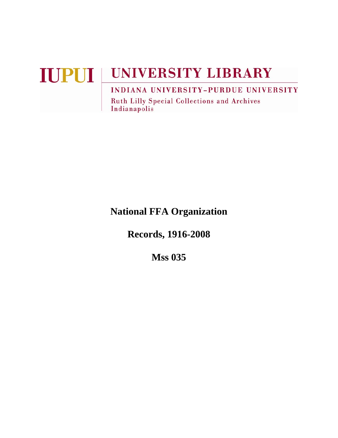# **IUPUI UNIVERSITY LIBRARY** INDIANA UNIVERSITY-PURDUE UNIVERSITY

Ruth Lilly Special Collections and Archives Indianapolis

# **National FFA Organization**

**Records, 1916-2008** 

**Mss 035**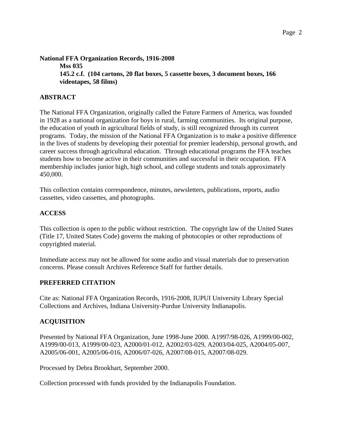**National FFA Organization Records, 1916-2008 Mss 035 145.2 c.f. (104 cartons, 20 flat boxes, 5 cassette boxes, 3 document boxes, 166 videotapes, 58 films)** 

# **ABSTRACT**

The National FFA Organization, originally called the Future Farmers of America, was founded in 1928 as a national organization for boys in rural, farming communities. Its original purpose, the education of youth in agricultural fields of study, is still recognized through its current programs. Today, the mission of the National FFA Organization is to make a positive difference in the lives of students by developing their potential for premier leadership, personal growth, and career success through agricultural education. Through educational programs the FFA teaches students how to become active in their communities and successful in their occupation. FFA membership includes junior high, high school, and college students and totals approximately 450,000.

This collection contains correspondence, minutes, newsletters, publications, reports, audio cassettes, video cassettes, and photographs.

#### **ACCESS**

This collection is open to the public without restriction. The copyright law of the United States (Title 17, United States Code) governs the making of photocopies or other reproductions of copyrighted material.

Immediate access may not be allowed for some audio and visual materials due to preservation concerns. Please consult Archives Reference Staff for further details.

# **PREFERRED CITATION**

Cite as: National FFA Organization Records, 1916-2008, IUPUI University Library Special Collections and Archives, Indiana University-Purdue University Indianapolis.

#### **ACQUISITION**

Presented by National FFA Organization, June 1998-June 2000. A1997/98-026, A1999/00-002, A1999/00-013, A1999/00-023, A2000/01-012, A2002/03-029, A2003/04-025, A2004/05-007, A2005/06-001, A2005/06-016, A2006/07-026, A2007/08-015, A2007/08-029.

Processed by Debra Brookhart, September 2000.

Collection processed with funds provided by the Indianapolis Foundation.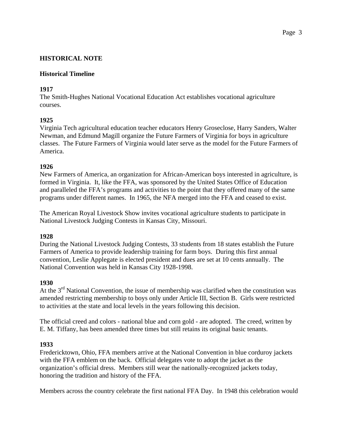# **HISTORICAL NOTE**

#### **Historical Timeline**

# **1917**

The Smith-Hughes National Vocational Education Act establishes vocational agriculture courses.

#### **1925**

Virginia Tech agricultural education teacher educators Henry Groseclose, Harry Sanders, Walter Newman, and Edmund Magill organize the Future Farmers of Virginia for boys in agriculture classes. The Future Farmers of Virginia would later serve as the model for the Future Farmers of America.

#### **1926**

New Farmers of America, an organization for African-American boys interested in agriculture, is formed in Virginia. It, like the FFA, was sponsored by the United States Office of Education and paralleled the FFA's programs and activities to the point that they offered many of the same programs under different names. In 1965, the NFA merged into the FFA and ceased to exist.

The American Royal Livestock Show invites vocational agriculture students to participate in National Livestock Judging Contests in Kansas City, Missouri.

#### **1928**

During the National Livestock Judging Contests, 33 students from 18 states establish the Future Farmers of America to provide leadership training for farm boys. During this first annual convention, Leslie Applegate is elected president and dues are set at 10 cents annually. The National Convention was held in Kansas City 1928-1998.

#### **1930**

At the  $3<sup>rd</sup>$  National Convention, the issue of membership was clarified when the constitution was amended restricting membership to boys only under Article III, Section B. Girls were restricted to activities at the state and local levels in the years following this decision.

The official creed and colors - national blue and corn gold - are adopted. The creed, written by E. M. Tiffany, has been amended three times but still retains its original basic tenants.

#### **1933**

Fredericktown, Ohio, FFA members arrive at the National Convention in blue corduroy jackets with the FFA emblem on the back. Official delegates vote to adopt the jacket as the organization's official dress. Members still wear the nationally-recognized jackets today, honoring the tradition and history of the FFA.

Members across the country celebrate the first national FFA Day. In 1948 this celebration would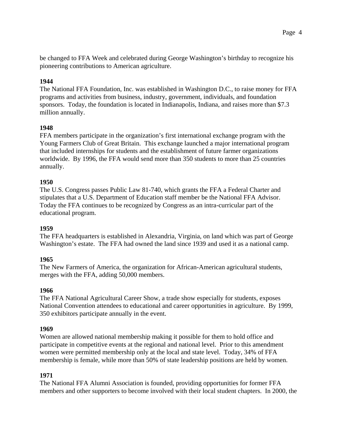be changed to FFA Week and celebrated during George Washington's birthday to recognize his pioneering contributions to American agriculture.

# **1944**

The National FFA Foundation, Inc. was established in Washington D.C., to raise money for FFA programs and activities from business, industry, government, individuals, and foundation sponsors. Today, the foundation is located in Indianapolis, Indiana, and raises more than \$7.3 million annually.

#### **1948**

FFA members participate in the organization's first international exchange program with the Young Farmers Club of Great Britain. This exchange launched a major international program that included internships for students and the establishment of future farmer organizations worldwide. By 1996, the FFA would send more than 350 students to more than 25 countries annually.

#### **1950**

The U.S. Congress passes Public Law 81-740, which grants the FFA a Federal Charter and stipulates that a U.S. Department of Education staff member be the National FFA Advisor. Today the FFA continues to be recognized by Congress as an intra-curricular part of the educational program.

#### **1959**

The FFA headquarters is established in Alexandria, Virginia, on land which was part of George Washington's estate. The FFA had owned the land since 1939 and used it as a national camp.

#### **1965**

The New Farmers of America, the organization for African-American agricultural students, merges with the FFA, adding 50,000 members.

#### **1966**

The FFA National Agricultural Career Show, a trade show especially for students, exposes National Convention attendees to educational and career opportunities in agriculture. By 1999, 350 exhibitors participate annually in the event.

#### **1969**

Women are allowed national membership making it possible for them to hold office and participate in competitive events at the regional and national level. Prior to this amendment women were permitted membership only at the local and state level. Today, 34% of FFA membership is female, while more than 50% of state leadership positions are held by women.

#### **1971**

The National FFA Alumni Association is founded, providing opportunities for former FFA members and other supporters to become involved with their local student chapters. In 2000, the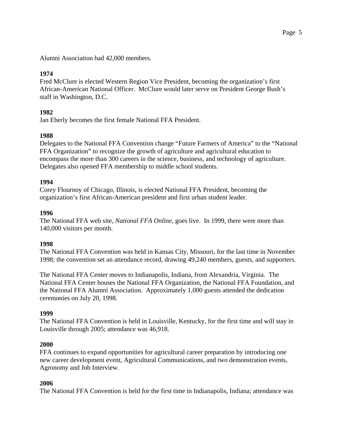Alumni Association had 42,000 members.

# **1974**

Fred McClure is elected Western Region Vice President, becoming the organization's first African-American National Officer. McClure would later serve on President George Bush's staff in Washington, D.C.

# **1982**

Jan Eberly becomes the first female National FFA President.

# **1988**

Delegates to the National FFA Convention change "Future Farmers of America" to the "National FFA Organization" to recognize the growth of agriculture and agricultural education to encompass the more than 300 careers in the science, business, and technology of agriculture. Delegates also opened FFA membership to middle school students.

#### **1994**

Corey Flournoy of Chicago, Illinois, is elected National FFA President, becoming the organization's first African-American president and first urban student leader.

#### **1996**

The National FFA web site, *National FFA Online*, goes live. In 1999, there were more than 140,000 visitors per month.

#### **1998**

The National FFA Convention was held in Kansas City, Missouri, for the last time in November 1998; the convention set an attendance record, drawing 49,240 members, guests, and supporters.

The National FFA Center moves to Indianapolis, Indiana, from Alexandria, Virginia. The National FFA Center houses the National FFA Organization, the National FFA Foundation, and the National FFA Alumni Association. Approximately 1,000 guests attended the dedication ceremonies on July 20, 1998.

#### **1999**

The National FFA Convention is held in Louisville, Kentucky, for the first time and will stay in Louisville through 2005; attendance was 46,918.

#### **2000**

FFA continues to expand opportunities for agricultural career preparation by introducing one new career development event, Agricultural Communications, and two demonstration events, Agronomy and Job Interview.

#### **2006**

The National FFA Convention is held for the first time in Indianapolis, Indiana; attendance was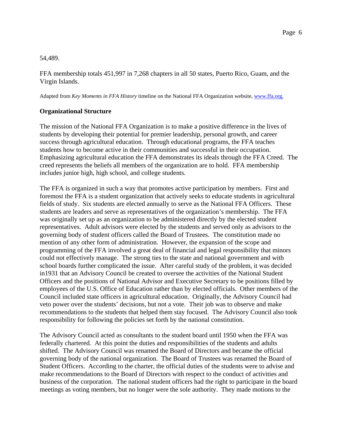#### 54,489.

FFA membership totals 451,997 in 7,268 chapters in all 50 states, Puerto Rico, Guam, and the Virgin Islands.

Adapted from *Key Moments in FFA History* timeline on the National FFA Organization website, www.ffa.org.

#### **Organizational Structure**

The mission of the National FFA Organization is to make a positive difference in the lives of students by developing their potential for premier leadership, personal growth, and career success through agricultural education. Through educational programs, the FFA teaches students how to become active in their communities and successful in their occupation. Emphasizing agricultural education the FFA demonstrates its ideals through the FFA Creed. The creed represents the beliefs all members of the organization are to hold. FFA membership includes junior high, high school, and college students.

The FFA is organized in such a way that promotes active participation by members. First and foremost the FFA is a student organization that actively seeks to educate students in agricultural fields of study. Six students are elected annually to serve as the National FFA Officers. These students are leaders and serve as representatives of the organization's membership. The FFA was originally set up as an organization to be administered directly by the elected student representatives. Adult advisors were elected by the students and served only as advisors to the governing body of student officers called the Board of Trustees. The constitution made no mention of any other form of administration. However, the expansion of the scope and programming of the FFA involved a great deal of financial and legal responsibility that minors could not effectively manage. The strong ties to the state and national government and with school boards further complicated the issue. After careful study of the problem, it was decided in1931 that an Advisory Council be created to oversee the activities of the National Student Officers and the positions of National Advisor and Executive Secretary to be positions filled by employees of the U.S. Office of Education rather than by elected officials. Other members of the Council included state officers in agricultural education. Originally, the Advisory Council had veto power over the students' decisions, but not a vote. Their job was to observe and make recommendations to the students that helped them stay focused. The Advisory Council also took responsibility for following the policies set forth by the national constitution.

The Advisory Council acted as consultants to the student board until 1950 when the FFA was federally chartered. At this point the duties and responsibilities of the students and adults shifted. The Advisory Council was renamed the Board of Directors and became the official governing body of the national organization. The Board of Trustees was renamed the Board of Student Officers. According to the charter, the official duties of the students were to advise and make recommendations to the Board of Directors with respect to the conduct of activities and business of the corporation. The national student officers had the right to participate in the board meetings as voting members, but no longer were the sole authority. They made motions to the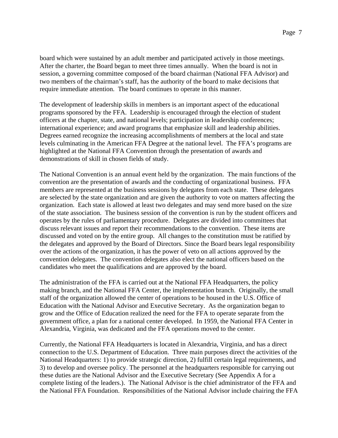board which were sustained by an adult member and participated actively in those meetings. After the charter, the Board began to meet three times annually. When the board is not in session, a governing committee composed of the board chairman (National FFA Advisor) and two members of the chairman's staff, has the authority of the board to make decisions that require immediate attention. The board continues to operate in this manner.

The development of leadership skills in members is an important aspect of the educational programs sponsored by the FFA. Leadership is encouraged through the election of student officers at the chapter, state, and national levels; participation in leadership conferences; international experience; and award programs that emphasize skill and leadership abilities. Degrees earned recognize the increasing accomplishments of members at the local and state levels culminating in the American FFA Degree at the national level. The FFA's programs are highlighted at the National FFA Convention through the presentation of awards and demonstrations of skill in chosen fields of study.

The National Convention is an annual event held by the organization. The main functions of the convention are the presentation of awards and the conducting of organizational business. FFA members are represented at the business sessions by delegates from each state. These delegates are selected by the state organization and are given the authority to vote on matters affecting the organization. Each state is allowed at least two delegates and may send more based on the size of the state association. The business session of the convention is run by the student officers and operates by the rules of parliamentary procedure. Delegates are divided into committees that discuss relevant issues and report their recommendations to the convention. These items are discussed and voted on by the entire group. All changes to the constitution must be ratified by the delegates and approved by the Board of Directors. Since the Board bears legal responsibility over the actions of the organization, it has the power of veto on all actions approved by the convention delegates. The convention delegates also elect the national officers based on the candidates who meet the qualifications and are approved by the board.

The administration of the FFA is carried out at the National FFA Headquarters, the policy making branch, and the National FFA Center, the implementation branch. Originally, the small staff of the organization allowed the center of operations to be housed in the U.S. Office of Education with the National Advisor and Executive Secretary. As the organization began to grow and the Office of Education realized the need for the FFA to operate separate from the government office, a plan for a national center developed. In 1959, the National FFA Center in Alexandria, Virginia, was dedicated and the FFA operations moved to the center.

Currently, the National FFA Headquarters is located in Alexandria, Virginia, and has a direct connection to the U.S. Department of Education. Three main purposes direct the activities of the National Headquarters: 1) to provide strategic direction, 2) fulfill certain legal requirements, and 3) to develop and oversee policy. The personnel at the headquarters responsible for carrying out these duties are the National Advisor and the Executive Secretary (See Appendix A for a complete listing of the leaders.). The National Advisor is the chief administrator of the FFA and the National FFA Foundation. Responsibilities of the National Advisor include chairing the FFA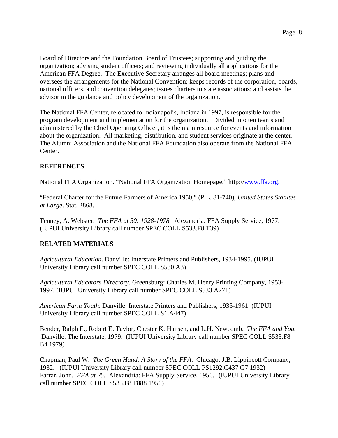Board of Directors and the Foundation Board of Trustees; supporting and guiding the organization; advising student officers; and reviewing individually all applications for the American FFA Degree. The Executive Secretary arranges all board meetings; plans and oversees the arrangements for the National Convention; keeps records of the corporation, boards, national officers, and convention delegates; issues charters to state associations; and assists the advisor in the guidance and policy development of the organization.

The National FFA Center, relocated to Indianapolis, Indiana in 1997, is responsible for the program development and implementation for the organization. Divided into ten teams and administered by the Chief Operating Officer, it is the main resource for events and information about the organization. All marketing, distribution, and student services originate at the center. The Alumni Association and the National FFA Foundation also operate from the National FFA Center.

# **REFERENCES**

National FFA Organization. "National FFA Organization Homepage," http://www.ffa.org.

"Federal Charter for the Future Farmers of America 1950," (P.L. 81-740), *United States Statutes at Large*. Stat. 2868.

Tenney, A. Webster. *The FFA at 50: 1928-1978.* Alexandria: FFA Supply Service, 1977. (IUPUI University Library call number SPEC COLL S533.F8 T39)

# **RELATED MATERIALS**

*Agricultural Education*. Danville: Interstate Printers and Publishers, 1934-1995. (IUPUI University Library call number SPEC COLL S530.A3)

*Agricultural Educators Directory*. Greensburg: Charles M. Henry Printing Company, 1953- 1997. (IUPUI University Library call number SPEC COLL S533.A271)

*American Farm Youth*. Danville: Interstate Printers and Publishers, 1935-1961. (IUPUI University Library call number SPEC COLL S1.A447)

Bender, Ralph E., Robert E. Taylor, Chester K. Hansen, and L.H. Newcomb. *The FFA and You.* Danville: The Interstate, 1979. (IUPUI University Library call number SPEC COLL S533.F8 B4 1979)

Chapman, Paul W. *The Green Hand: A Story of the FFA*. Chicago: J.B. Lippincott Company, 1932. (IUPUI University Library call number SPEC COLL PS1292.C437 G7 1932) Farrar, John. *FFA at 25.* Alexandria: FFA Supply Service, 1956. (IUPUI University Library call number SPEC COLL S533.F8 F888 1956)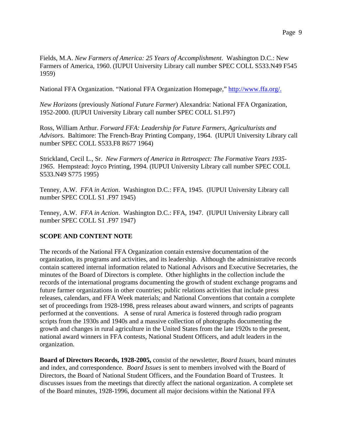Fields, M.A. *New Farmers of America: 25 Years of Accomplishment*. Washington D.C.: New Farmers of America, 1960. (IUPUI University Library call number SPEC COLL S533.N49 F545 1959)

National FFA Organization. "National FFA Organization Homepage," http://www.ffa.org/.

*New Horizons* (previously *National Future Farmer*) Alexandria: National FFA Organization, 1952-2000. (IUPUI University Library call number SPEC COLL S1.F97)

Ross, William Arthur. *Forward FFA: Leadership for Future Farmers, Agriculturists and Advisors*. Baltimore: The French-Bray Printing Company, 1964. (IUPUI University Library call number SPEC COLL S533.F8 R677 1964)

Strickland, Cecil L., Sr. *New Farmers of America in Retrospect: The Formative Years 1935- 1965*. Hempstead: Joyco Printing, 1994. (IUPUI University Library call number SPEC COLL S533.N49 S775 1995)

Tenney, A.W. *FFA in Action*. Washington D.C.: FFA, 1945. (IUPUI University Library call number SPEC COLL S1 .F97 1945)

Tenney, A.W. *FFA in Action*. Washington D.C.: FFA, 1947. (IUPUI University Library call number SPEC COLL S1 .F97 1947)

#### **SCOPE AND CONTENT NOTE**

The records of the National FFA Organization contain extensive documentation of the organization, its programs and activities, and its leadership. Although the administrative records contain scattered internal information related to National Advisors and Executive Secretaries, the minutes of the Board of Directors is complete. Other highlights in the collection include the records of the international programs documenting the growth of student exchange programs and future farmer organizations in other countries; public relations activities that include press releases, calendars, and FFA Week materials; and National Conventions that contain a complete set of proceedings from 1928-1998, press releases about award winners, and scripts of pageants performed at the conventions. A sense of rural America is fostered through radio program scripts from the 1930s and 1940s and a massive collection of photographs documenting the growth and changes in rural agriculture in the United States from the late 1920s to the present, national award winners in FFA contests, National Student Officers, and adult leaders in the organization.

**Board of Directors Records, 1928-2005,** consist of the newsletter, *Board Issues*, board minutes and index, and correspondence. *Board Issues* is sent to members involved with the Board of Directors, the Board of National Student Officers, and the Foundation Board of Trustees. It discusses issues from the meetings that directly affect the national organization. A complete set of the Board minutes, 1928-1996, document all major decisions within the National FFA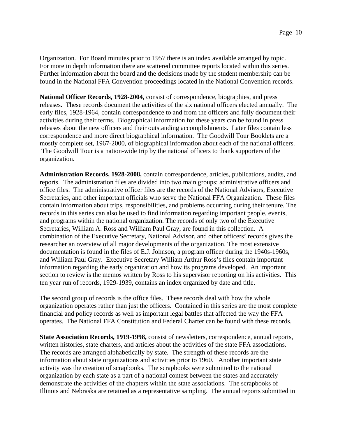Organization. For Board minutes prior to 1957 there is an index available arranged by topic. For more in depth information there are scattered committee reports located within this series. Further information about the board and the decisions made by the student membership can be found in the National FFA Convention proceedings located in the National Convention records.

**National Officer Records, 1928-2004,** consist of correspondence, biographies, and press releases. These records document the activities of the six national officers elected annually. The early files, 1928-1964, contain correspondence to and from the officers and fully document their activities during their terms. Biographical information for these years can be found in press releases about the new officers and their outstanding accomplishments. Later files contain less correspondence and more direct biographical information. The Goodwill Tour Booklets are a mostly complete set, 1967-2000, of biographical information about each of the national officers. The Goodwill Tour is a nation-wide trip by the national officers to thank supporters of the organization.

**Administration Records, 1928-2008,** contain correspondence, articles, publications, audits, and reports. The administration files are divided into two main groups: administrative officers and office files. The administrative officer files are the records of the National Advisors, Executive Secretaries, and other important officials who serve the National FFA Organization. These files contain information about trips, responsibilities, and problems occurring during their tenure. The records in this series can also be used to find information regarding important people, events, and programs within the national organization. The records of only two of the Executive Secretaries, William A. Ross and William Paul Gray, are found in this collection. A combination of the Executive Secretary, National Advisor, and other officers' records gives the researcher an overview of all major developments of the organization. The most extensive documentation is found in the files of E.J. Johnson, a program officer during the 1940s-1960s, and William Paul Gray. Executive Secretary William Arthur Ross's files contain important information regarding the early organization and how its programs developed. An important section to review is the memos written by Ross to his supervisor reporting on his activities. This ten year run of records, 1929-1939, contains an index organized by date and title.

The second group of records is the office files. These records deal with how the whole organization operates rather than just the officers. Contained in this series are the most complete financial and policy records as well as important legal battles that affected the way the FFA operates. The National FFA Constitution and Federal Charter can be found with these records.

**State Association Records, 1919-1998,** consist of newsletters, correspondence, annual reports, written histories, state charters, and articles about the activities of the state FFA associations. The records are arranged alphabetically by state. The strength of these records are the information about state organizations and activities prior to 1960. Another important state activity was the creation of scrapbooks. The scrapbooks were submitted to the national organization by each state as a part of a national contest between the states and accurately demonstrate the activities of the chapters within the state associations. The scrapbooks of Illinois and Nebraska are retained as a representative sampling. The annual reports submitted in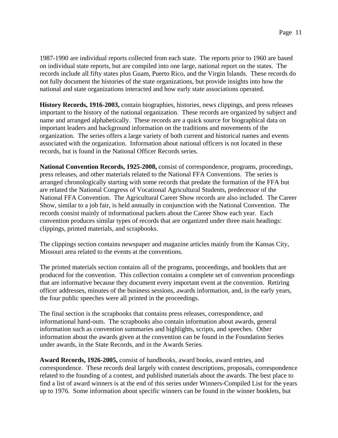1987-1990 are individual reports collected from each state. The reports prior to 1960 are based on individual state reports, but are compiled into one large, national report on the states. The records include all fifty states plus Guam, Puerto Rico, and the Virgin Islands.These records do not fully document the histories of the state organizations, but provide insights into how the national and state organizations interacted and how early state associations operated.

**History Records, 1916-2003,** contain biographies, histories, news clippings, and press releases important to the history of the national organization. These records are organized by subject and name and arranged alphabetically. These records are a quick source for biographical data on important leaders and background information on the traditions and movements of the organization. The series offers a large variety of both current and historical names and events associated with the organization. Information about national officers is not located in these records, but is found in the National Officer Records series.

**National Convention Records, 1925-2008,** consist of correspondence, programs, proceedings, press releases, and other materials related to the National FFA Conventions. The series is arranged chronologically starting with some records that predate the formation of the FFA but are related the National Congress of Vocational Agricultural Students, predecessor of the National FFA Convention. The Agricultural Career Show records are also included. The Career Show, similar to a job fair, is held annually in conjunction with the National Convention. The records consist mainly of informational packets about the Career Show each year. Each convention produces similar types of records that are organized under three main headings: clippings, printed materials, and scrapbooks.

The clippings section contains newspaper and magazine articles mainly from the Kansas City, Missouri area related to the events at the conventions.

The printed materials section contains all of the programs, proceedings, and booklets that are produced for the convention. This collection contains a complete set of convention proceedings that are informative because they document every important event at the convention. Retiring officer addresses, minutes of the business sessions, awards information, and, in the early years, the four public speeches were all printed in the proceedings.

The final section is the scrapbooks that contains press releases, correspondence, and informational hand-outs. The scrapbooks also contain information about awards, general information such as convention summaries and highlights, scripts, and speeches. Other information about the awards given at the convention can be found in the Foundation Series under awards, in the State Records, and in the Awards Series.

**Award Records, 1926-2005,** consist of handbooks, award books, award entries, and correspondence. These records deal largely with contest descriptions, proposals, correspondence related to the founding of a contest, and published materials about the awards. The best place to find a list of award winners is at the end of this series under Winners-Compiled List for the years up to 1976. Some information about specific winners can be found in the winner booklets, but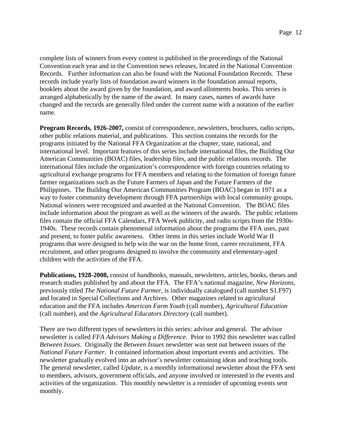complete lists of winners from every contest is published in the proceedings of the National Convention each year and in the Convention news releases, located in the National Convention Records. Further information can also be found with the National Foundation Records.These records include yearly lists of foundation award winners in the foundation annual reports, booklets about the award given by the foundation, and award allotments books. This series is arranged alphabetically by the name of the award. In many cases, names of awards have changed and the records are generally filed under the current name with a notation of the earlier name.

**Program Records, 1926-2007,** consist of correspondence, newsletters, brochures, radio scripts, other public relations material, and publications. This section contains the records for the programs initiated by the National FFA Organization at the chapter, state, national, and international level. Important features of this series include international files, the Building Our American Communities (BOAC) files, leadership files, and the public relations records. The international files include the organization's correspondence with foreign countries relating to agricultural exchange programs for FFA members and relating to the formation of foreign future farmer organizations such as the Future Farmers of Japan and the Future Farmers of the Philippines. The Building Our American Communities Program (BOAC) began in 1971 as a way to foster community development through FFA partnerships with local community groups. National winners were recognized and awarded at the National Convention. The BOAC files include information about the program as well as the winners of the awards. The public relations files contain the official FFA Calendars, FFA Week publicity, and radio scripts from the 1930s-1940s. These records contain phenomenal information about the programs the FFA uses, past and present, to foster public awareness. Other items in this series include World War II programs that were designed to help win the war on the home front, career recruitment, FFA recruitment, and other programs designed to involve the community and elementary-aged children with the activities of the FFA.

**Publications, 1928-2008,** consist of handbooks, manuals, newsletters, articles, books, theses and research studies published by and about the FFA. The FFA's national magazine, *New Horizons*, previously titled *The National Future Farmer*, is individually catalogued (call number S1.F97) and located in Special Collections and Archives. Other magazines related to agricultural education and the FFA includes *American Farm Youth* (call number), *Agricultural Education*  (call number), and the *Agricultural Educators Directory* (call number).

There are two different types of newsletters in this series: advisor and general. The advisor newsletter is called *FFA Advisors Making a Difference.* Prior to 1992 this newsletter was called *Between Issues*. Originally the *Between Issues* newsletter was sent out between issues of the *National Future Farmer*. It contained information about important events and activities. The newsletter gradually evolved into an advisor's newsletter containing ideas and teaching tools. The general newsletter, called *Update*, is a monthly informational newsletter about the FFA sent to members, advisors, government officials, and anyone involved or interested in the events and activities of the organization. This monthly newsletter is a reminder of upcoming events sent monthly.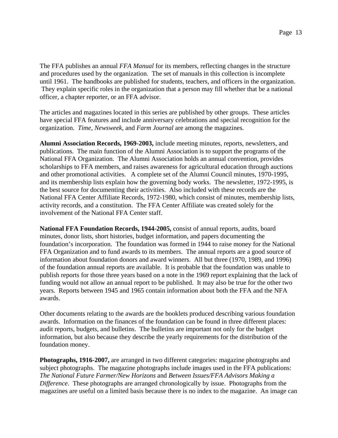The FFA publishes an annual *FFA Manual* for its members, reflecting changes in the structure and procedures used by the organization. The set of manuals in this collection is incomplete until 1961. The handbooks are published for students, teachers, and officers in the organization. They explain specific roles in the organization that a person may fill whether that be a national officer, a chapter reporter, or an FFA advisor.

The articles and magazines located in this series are published by other groups. These articles have special FFA features and include anniversary celebrations and special recognition for the organization. *Time, Newsweek,* and *Farm Journal* are among the magazines.

**Alumni Association Records, 1969-2003,** include meeting minutes, reports, newsletters, and publications. The main function of the Alumni Association is to support the programs of the National FFA Organization. The Alumni Association holds an annual convention, provides scholarships to FFA members, and raises awareness for agricultural education through auctions and other promotional activities. A complete set of the Alumni Council minutes, 1970-1995, and its membership lists explain how the governing body works. The newsletter, 1972-1995, is the best source for documenting their activities.Also included with these records are the National FFA Center Affiliate Records, 1972-1980, which consist of minutes, membership lists, activity records, and a constitution. The FFA Center Affiliate was created solely for the involvement of the National FFA Center staff.

**National FFA Foundation Records, 1944-2005,** consist of annual reports, audits, board minutes, donor lists, short histories, budget information, and papers documenting the foundation's incorporation. The foundation was formed in 1944 to raise money for the National FFA Organization and to fund awards to its members. The annual reports are a good source of information about foundation donors and award winners. All but three (1970, 1989, and 1996) of the foundation annual reports are available. It is probable that the foundation was unable to publish reports for those three years based on a note in the 1969 report explaining that the lack of funding would not allow an annual report to be published. It may also be true for the other two years. Reports between 1945 and 1965 contain information about both the FFA and the NFA awards.

Other documents relating to the awards are the booklets produced describing various foundation awards. Information on the finances of the foundation can be found in three different places: audit reports, budgets, and bulletins. The bulletins are important not only for the budget information, but also because they describe the yearly requirements for the distribution of the foundation money.

**Photographs, 1916-2007,** are arranged in two different categories: magazine photographs and subject photographs. The magazine photographs include images used in the FFA publications: *The National Future Farmer/New Horizons* and *Between Issues/FFA Advisors Making a Difference*. These photographs are arranged chronologically by issue. Photographs from the magazines are useful on a limited basis because there is no index to the magazine. An image can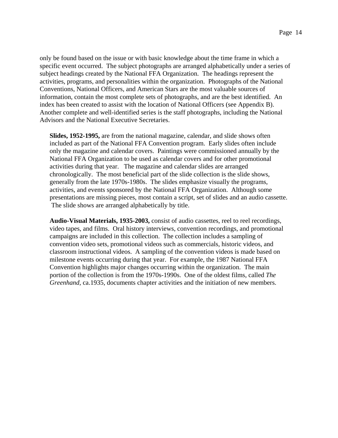only be found based on the issue or with basic knowledge about the time frame in which a specific event occurred. The subject photographs are arranged alphabetically under a series of subject headings created by the National FFA Organization. The headings represent the activities, programs, and personalities within the organization. Photographs of the National Conventions, National Officers, and American Stars are the most valuable sources of information, contain the most complete sets of photographs, and are the best identified. An index has been created to assist with the location of National Officers (see Appendix B). Another complete and well-identified series is the staff photographs, including the National Advisors and the National Executive Secretaries.

**Slides, 1952-1995,** are from the national magazine, calendar, and slide shows often included as part of the National FFA Convention program. Early slides often include only the magazine and calendar covers. Paintings were commissioned annually by the National FFA Organization to be used as calendar covers and for other promotional activities during that year. The magazine and calendar slides are arranged chronologically. The most beneficial part of the slide collection is the slide shows, generally from the late 1970s-1980s. The slides emphasize visually the programs, activities, and events sponsored by the National FFA Organization. Although some presentations are missing pieces, most contain a script, set of slides and an audio cassette. The slide shows are arranged alphabetically by title.

**Audio-Visual Materials, 1935-2003,** consist of audio cassettes, reel to reel recordings, video tapes, and films. Oral history interviews, convention recordings, and promotional campaigns are included in this collection. The collection includes a sampling of convention video sets, promotional videos such as commercials, historic videos, and classroom instructional videos. A sampling of the convention videos is made based on milestone events occurring during that year. For example, the 1987 National FFA Convention highlights major changes occurring within the organization. The main portion of the collection is from the 1970s-1990s. One of the oldest films, called *The Greenhand,* ca.1935, documents chapter activities and the initiation of new members.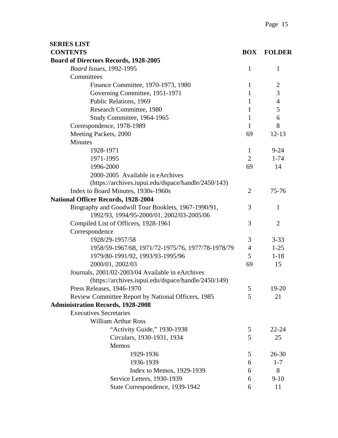| <b>SERIES LIST</b>                                  |                |                |
|-----------------------------------------------------|----------------|----------------|
| <b>CONTENTS</b>                                     | <b>BOX</b>     | <b>FOLDER</b>  |
| <b>Board of Directors Records, 1928-2005</b>        |                |                |
| <b>Board Issues, 1992-1995</b>                      | $\mathbf{1}$   | 1              |
| Committees                                          |                |                |
| Finance Committee, 1970-1973, 1980                  | $\mathbf{1}$   | $\overline{2}$ |
| Governing Committee, 1951-1971                      | 1              | 3              |
| Public Relations, 1969                              | $\mathbf{1}$   | $\overline{4}$ |
| Research Committee, 1980                            | $\mathbf{1}$   | 5              |
| Study Committee, 1964-1965                          | 1              | 6              |
| Correspondence, 1978-1989                           | $\mathbf{1}$   | 8              |
| Meeting Packets, 2000                               | 69             | $12 - 13$      |
| <b>Minutes</b>                                      |                |                |
| 1928-1971                                           | $\mathbf{1}$   | $9 - 24$       |
| 1971-1995                                           | $\overline{2}$ | $1 - 74$       |
| 1996-2000                                           | 69             | 14             |
| 2000-2005 Available in eArchives                    |                |                |
| (https://archives.iupui.edu/dspace/handle/2450/143) |                |                |
| Index to Board Minutes, 1930s-1960s                 | $\overline{2}$ | 75-76          |
| <b>National Officer Records, 1928-2004</b>          |                |                |
| Biography and Goodwill Tour Booklets, 1967-1990/91, | 3              | $\mathbf{1}$   |
| 1992/93, 1994/95-2000/01, 2002/03-2005/06           |                |                |
| Compiled List of Officers, 1928-1961                | 3              | $\overline{2}$ |
| Correspondence                                      |                |                |
| 1928/29-1957/58                                     | 3              | $3 - 33$       |
| 1958/59-1967/68, 1971/72-1975/76, 1977/78-1978/79   | $\overline{4}$ | $1-25$         |
| 1979/80-1991/92, 1993/93-1995/96                    | 5              | $1 - 18$       |
| 2000/01, 2002/03                                    | 69             | 15             |
| Journals, 2001/02-2003/04 Available in eArchives    |                |                |
| (https://archives.iupui.edu/dspace/handle/2450/149) |                |                |
| Press Releases, 1946-1970                           | 5              | 19-20          |
| Review Committee Report by National Officers, 1985  | 5              | 21             |
| <b>Administration Records, 1928-2008</b>            |                |                |
| <b>Executives Secretaries</b>                       |                |                |
| <b>William Arthur Ross</b>                          |                |                |
| "Activity Guide," 1930-1938                         | 5              | $22 - 24$      |
| Circulars, 1930-1931, 1934                          | 5              | 25             |
| Memos                                               |                |                |
| 1929-1936                                           | 5              | $26 - 30$      |
| 1936-1939                                           | 6              | $1 - 7$        |
| Index to Memos, 1929-1939                           | 6              | 8              |
| Service Letters, 1930-1939                          | 6              | $9-10$         |
| State Correspondence, 1939-1942                     | 6              | 11             |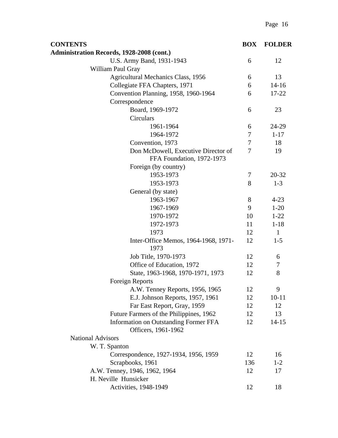| <b>CONTENTS</b>                                                  | <b>BOX</b>     | <b>FOLDER</b> |
|------------------------------------------------------------------|----------------|---------------|
| <b>Administration Records, 1928-2008 (cont.)</b>                 |                |               |
| U.S. Army Band, 1931-1943                                        | 6              | 12            |
| William Paul Gray                                                |                |               |
| <b>Agricultural Mechanics Class, 1956</b>                        | 6              | 13            |
| Collegiate FFA Chapters, 1971                                    | 6              | $14 - 16$     |
| Convention Planning, 1958, 1960-1964                             | 6              | 17-22         |
| Correspondence                                                   |                |               |
| Board, 1969-1972                                                 | 6              | 23            |
| <b>Circulars</b>                                                 |                |               |
| 1961-1964                                                        | 6              | 24-29         |
| 1964-1972                                                        | $\tau$         | $1 - 17$      |
| Convention, 1973                                                 | $\tau$         | 18            |
| Don McDowell, Executive Director of<br>FFA Foundation, 1972-1973 | $\overline{7}$ | 19            |
| Foreign (by country)                                             |                |               |
| 1953-1973                                                        | 7              | 20-32         |
| 1953-1973                                                        | 8              | $1 - 3$       |
| General (by state)                                               |                |               |
| 1963-1967                                                        | 8              | $4 - 23$      |
| 1967-1969                                                        | 9              | $1 - 20$      |
| 1970-1972                                                        | 10             | $1 - 22$      |
| 1972-1973                                                        | 11             | $1 - 18$      |
| 1973                                                             | 12             | $\mathbf{1}$  |
| Inter-Office Memos, 1964-1968, 1971-<br>1973                     | 12             | $1 - 5$       |
| Job Title, 1970-1973                                             | 12             | 6             |
| Office of Education, 1972                                        | 12             | 7             |
| State, 1963-1968, 1970-1971, 1973                                | 12             | 8             |
| <b>Foreign Reports</b>                                           |                |               |
| A.W. Tenney Reports, 1956, 1965                                  | 12             | 9             |
| E.J. Johnson Reports, 1957, 1961                                 | 12             | $10 - 11$     |
| Far East Report, Gray, 1959                                      | 12             | 12            |
| Future Farmers of the Philippines, 1962                          | 12             | 13            |
| Information on Outstanding Former FFA<br>Officers, 1961-1962     | 12             | $14 - 15$     |
| <b>National Advisors</b>                                         |                |               |
| W. T. Spanton                                                    |                |               |
| Correspondence, 1927-1934, 1956, 1959                            | 12             | 16            |
| Scrapbooks, 1961                                                 | 136            | $1 - 2$       |
| A.W. Tenney, 1946, 1962, 1964                                    | 12             | 17            |
| H. Neville Hunsicker                                             |                |               |
| <b>Activities</b> , 1948-1949                                    | 12             | 18            |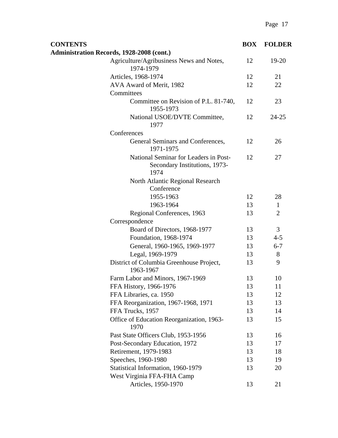| <b>CONTENTS</b>                                                                | <b>BOX</b> | <b>FOLDER</b>  |
|--------------------------------------------------------------------------------|------------|----------------|
| <b>Administration Records, 1928-2008 (cont.)</b>                               |            |                |
| Agriculture/Agribusiness News and Notes,<br>1974-1979                          | 12         | 19-20          |
| Articles, 1968-1974                                                            | 12         | 21             |
| AVA Award of Merit, 1982                                                       | 12         | 22             |
| Committees                                                                     |            |                |
| Committee on Revision of P.L. 81-740,<br>1955-1973                             | 12         | 23             |
| National USOE/DVTE Committee,<br>1977                                          | 12         | 24-25          |
| Conferences                                                                    |            |                |
| General Seminars and Conferences,<br>1971-1975                                 | 12         | 26             |
| National Seminar for Leaders in Post-<br>Secondary Institutions, 1973-<br>1974 | 12         | 27             |
| North Atlantic Regional Research<br>Conference                                 |            |                |
| 1955-1963                                                                      | 12         | 28             |
| 1963-1964                                                                      | 13         | $\mathbf{1}$   |
| Regional Conferences, 1963                                                     | 13         | $\overline{2}$ |
| Correspondence                                                                 |            |                |
| Board of Directors, 1968-1977                                                  | 13         | 3              |
| Foundation, 1968-1974                                                          | 13         | $4 - 5$        |
| General, 1960-1965, 1969-1977                                                  | 13         | $6 - 7$        |
| Legal, 1969-1979                                                               | 13         | 8              |
| District of Columbia Greenhouse Project,<br>1963-1967                          | 13         | 9              |
| Farm Labor and Minors, 1967-1969                                               | 13         | 10             |
| FFA History, 1966-1976                                                         | 13         | 11             |
| FFA Libraries, ca. 1950                                                        | 13         | 12             |
| FFA Reorganization, 1967-1968, 1971                                            | 13         | 13             |
| FFA Trucks, 1957                                                               | 13         | 14             |
| Office of Education Reorganization, 1963-<br>1970                              | 13         | 15             |
| Past State Officers Club, 1953-1956                                            | 13         | 16             |
| Post-Secondary Education, 1972                                                 | 13         | 17             |
| Retirement, 1979-1983                                                          | 13         | 18             |
| Speeches, 1960-1980                                                            | 13         | 19             |
| Statistical Information, 1960-1979                                             | 13         | 20             |
| West Virginia FFA-FHA Camp                                                     |            |                |
| Articles, 1950-1970                                                            | 13         | 21             |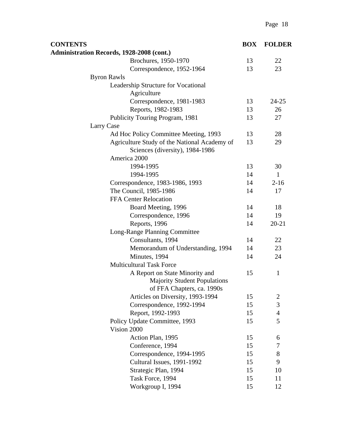| <b>CONTENTS</b>                                                                                     | <b>BOX</b> | <b>FOLDER</b>  |
|-----------------------------------------------------------------------------------------------------|------------|----------------|
| <b>Administration Records, 1928-2008 (cont.)</b>                                                    |            |                |
| Brochures, 1950-1970                                                                                | 13         | 22             |
| Correspondence, 1952-1964                                                                           | 13         | 23             |
| <b>Byron Rawls</b>                                                                                  |            |                |
| Leadership Structure for Vocational<br>Agriculture                                                  |            |                |
| Correspondence, 1981-1983                                                                           | 13         | $24 - 25$      |
| Reports, 1982-1983                                                                                  | 13         | 26             |
| Publicity Touring Program, 1981                                                                     | 13         | 27             |
| Larry Case                                                                                          |            |                |
| Ad Hoc Policy Committee Meeting, 1993                                                               | 13         | 28             |
| Agriculture Study of the National Academy of<br>Sciences (diversity), 1984-1986                     | 13         | 29             |
| America 2000                                                                                        |            |                |
| 1994-1995                                                                                           | 13         | 30             |
| 1994-1995                                                                                           | 14         | $\mathbf{1}$   |
| Correspondence, 1983-1986, 1993                                                                     | 14         | $2 - 16$       |
| The Council, 1985-1986                                                                              | 14         | 17             |
| <b>FFA Center Relocation</b>                                                                        |            |                |
| Board Meeting, 1996                                                                                 | 14         | 18             |
| Correspondence, 1996                                                                                | 14         | 19             |
| Reports, 1996                                                                                       | 14         | $20 - 21$      |
| Long-Range Planning Committee                                                                       |            |                |
| Consultants, 1994                                                                                   | 14         | 22             |
| Memorandum of Understanding, 1994                                                                   | 14         | 23             |
| Minutes, 1994                                                                                       | 14         | 24             |
| <b>Multicultural Task Force</b>                                                                     |            |                |
| A Report on State Minority and<br><b>Majority Student Populations</b><br>of FFA Chapters, ca. 1990s | 15         | 1              |
| Articles on Diversity, 1993-1994                                                                    | 15         | $\overline{c}$ |
| Correspondence, 1992-1994                                                                           | 15         | 3              |
| Report, 1992-1993                                                                                   | 15         | $\overline{4}$ |
| Policy Update Committee, 1993                                                                       | 15         | 5              |
| Vision 2000                                                                                         |            |                |
| Action Plan, 1995                                                                                   | 15         | 6              |
| Conference, 1994                                                                                    | 15         | 7              |
| Correspondence, 1994-1995                                                                           | 15         | 8              |
| Cultural Issues, 1991-1992                                                                          | 15         | 9              |
| Strategic Plan, 1994                                                                                | 15         | 10             |
| Task Force, 1994                                                                                    | 15         | 11             |
| Workgroup I, 1994                                                                                   | 15         | 12             |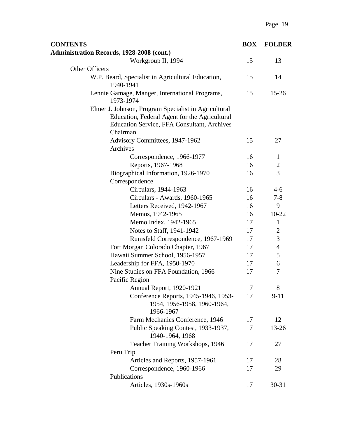| <b>CONTENTS</b>                                                                                                                                                         | <b>BOX</b> | <b>FOLDER</b> |
|-------------------------------------------------------------------------------------------------------------------------------------------------------------------------|------------|---------------|
| <b>Administration Records, 1928-2008 (cont.)</b>                                                                                                                        |            |               |
| Workgroup II, 1994                                                                                                                                                      | 15         | 13            |
| Other Officers                                                                                                                                                          |            |               |
| W.P. Beard, Specialist in Agricultural Education,<br>1940-1941                                                                                                          | 15         | 14            |
| Lennie Gamage, Manger, International Programs,<br>1973-1974                                                                                                             | 15         | $15 - 26$     |
| Elmer J. Johnson, Program Specialist in Agricultural<br>Education, Federal Agent for the Agricultural<br><b>Education Service, FFA Consultant, Archives</b><br>Chairman |            |               |
| Advisory Committees, 1947-1962                                                                                                                                          | 15         | 27            |
| Archives                                                                                                                                                                |            |               |
| Correspondence, 1966-1977                                                                                                                                               | 16         | 1             |
| Reports, 1967-1968                                                                                                                                                      | 16         | $\sqrt{2}$    |
| Biographical Information, 1926-1970<br>Correspondence                                                                                                                   | 16         | 3             |
| Circulars, 1944-1963                                                                                                                                                    | 16         | $4 - 6$       |
| Circulars - Awards, 1960-1965                                                                                                                                           | 16         | $7 - 8$       |
| Letters Received, 1942-1967                                                                                                                                             | 16         | 9             |
| Memos, 1942-1965                                                                                                                                                        | 16         | $10-22$       |
| Memo Index, 1942-1965                                                                                                                                                   | 17         | $\mathbf{1}$  |
| Notes to Staff, 1941-1942                                                                                                                                               | 17         | $\mathbf{2}$  |
| Rumsfeld Correspondence, 1967-1969                                                                                                                                      | 17         | 3             |
| Fort Morgan Colorado Chapter, 1967                                                                                                                                      | 17         | 4             |
| Hawaii Summer School, 1956-1957                                                                                                                                         | 17         | 5             |
| Leadership for FFA, 1950-1970                                                                                                                                           | 17         | 6             |
| Nine Studies on FFA Foundation, 1966                                                                                                                                    | 17         | 7             |
| Pacific Region                                                                                                                                                          |            |               |
| <b>Annual Report, 1920-1921</b>                                                                                                                                         | 17         | 8             |
| Conference Reports, 1945-1946, 1953-<br>1954, 1956-1958, 1960-1964,<br>1966-1967                                                                                        | 17         | $9 - 11$      |
| Farm Mechanics Conference, 1946                                                                                                                                         | 17         | 12            |
| Public Speaking Contest, 1933-1937,<br>1940-1964, 1968                                                                                                                  | 17         | 13-26         |
| Teacher Training Workshops, 1946                                                                                                                                        | 17         | 27            |
| Peru Trip                                                                                                                                                               |            |               |
| Articles and Reports, 1957-1961                                                                                                                                         | 17         | 28            |
| Correspondence, 1960-1966                                                                                                                                               | 17         | 29            |
| Publications                                                                                                                                                            |            |               |
| Articles, 1930s-1960s                                                                                                                                                   | 17         | $30 - 31$     |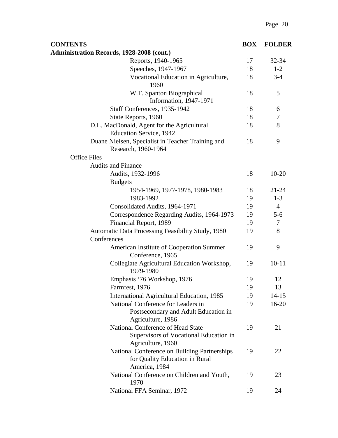| <b>CONTENTS</b>                                                                                  | <b>BOX</b> | <b>FOLDER</b>  |
|--------------------------------------------------------------------------------------------------|------------|----------------|
| <b>Administration Records, 1928-2008 (cont.)</b>                                                 |            |                |
| Reports, 1940-1965                                                                               | 17         | 32-34          |
| Speeches, 1947-1967                                                                              | 18         | $1 - 2$        |
| Vocational Education in Agriculture,<br>1960                                                     | 18         | $3 - 4$        |
| W.T. Spanton Biographical<br>Information, 1947-1971                                              | 18         | 5              |
| Staff Conferences, 1935-1942                                                                     | 18         | 6              |
| State Reports, 1960                                                                              | 18         | 7              |
| D.L. MacDonald, Agent for the Agricultural<br><b>Education Service, 1942</b>                     | 18         | 8              |
| Duane Nielsen, Specialist in Teacher Training and<br>Research, 1960-1964                         | 18         | 9              |
| <b>Office Files</b>                                                                              |            |                |
| <b>Audits and Finance</b>                                                                        |            |                |
| Audits, 1932-1996<br><b>Budgets</b>                                                              | 18         | $10 - 20$      |
| 1954-1969, 1977-1978, 1980-1983                                                                  | 18         | $21 - 24$      |
| 1983-1992                                                                                        | 19         | $1 - 3$        |
| Consolidated Audits, 1964-1971                                                                   | 19         | $\overline{4}$ |
| Correspondence Regarding Audits, 1964-1973                                                       | 19         | $5 - 6$        |
| Financial Report, 1989                                                                           | 19         | $\overline{7}$ |
| Automatic Data Processing Feasibility Study, 1980                                                | 19         | 8              |
| Conferences                                                                                      |            |                |
| American Institute of Cooperation Summer<br>Conference, 1965                                     | 19         | 9              |
| Collegiate Agricultural Education Workshop,<br>1979-1980                                         | 19         | $10 - 11$      |
| Emphasis '76 Workshop, 1976                                                                      | 19         | 12             |
| Farmfest, 1976                                                                                   | 19         | 13             |
| International Agricultural Education, 1985                                                       | 19         | $14 - 15$      |
| National Conference for Leaders in<br>Postsecondary and Adult Education in<br>Agriculture, 1986  | 19         | $16 - 20$      |
| National Conference of Head State<br>Supervisors of Vocational Education in<br>Agriculture, 1960 | 19         | 21             |
| National Conference on Building Partnerships<br>for Quality Education in Rural<br>America, 1984  | 19         | 22             |
| National Conference on Children and Youth,<br>1970                                               | 19         | 23             |
| National FFA Seminar, 1972                                                                       | 19         | 24             |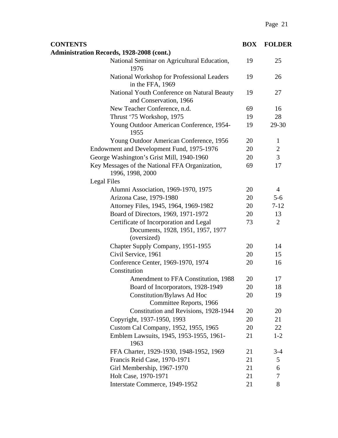| <b>CONTENTS</b>                                                                            | <b>BOX</b> | <b>FOLDER</b>  |
|--------------------------------------------------------------------------------------------|------------|----------------|
| <b>Administration Records, 1928-2008 (cont.)</b>                                           |            |                |
| National Seminar on Agricultural Education,<br>1976                                        | 19         | 25             |
| National Workshop for Professional Leaders<br>in the FFA, 1969                             | 19         | 26             |
| National Youth Conference on Natural Beauty<br>and Conservation, 1966                      | 19         | 27             |
| New Teacher Conference, n.d.                                                               | 69         | 16             |
| Thrust '75 Workshop, 1975                                                                  | 19         | 28             |
| Young Outdoor American Conference, 1954-<br>1955                                           | 19         | 29-30          |
| Young Outdoor American Conference, 1956                                                    | 20         | $\mathbf{1}$   |
| Endowment and Development Fund, 1975-1976                                                  | 20         | $\overline{c}$ |
| George Washington's Grist Mill, 1940-1960                                                  | 20         | 3              |
| Key Messages of the National FFA Organization,<br>1996, 1998, 2000                         | 69         | 17             |
| <b>Legal Files</b>                                                                         |            |                |
| Alumni Association, 1969-1970, 1975                                                        | 20         | $\overline{4}$ |
| Arizona Case, 1979-1980                                                                    | 20         | $5 - 6$        |
| Attorney Files, 1945, 1964, 1969-1982                                                      | 20         | $7 - 12$       |
| Board of Directors, 1969, 1971-1972                                                        | 20         | 13             |
| Certificate of Incorporation and Legal<br>Documents, 1928, 1951, 1957, 1977<br>(oversized) | 73         | $\overline{2}$ |
| Chapter Supply Company, 1951-1955                                                          | 20         | 14             |
| Civil Service, 1961                                                                        | 20         | 15             |
| Conference Center, 1969-1970, 1974<br>Constitution                                         | 20         | 16             |
| Amendment to FFA Constitution, 1988                                                        | 20         | 17             |
| Board of Incorporators, 1928-1949                                                          | 20         | 18             |
| Constitution/Bylaws Ad Hoc<br>Committee Reports, 1966                                      | 20         | 19             |
| Constitution and Revisions, 1928-1944                                                      | 20         | 20             |
| Copyright, 1937-1950, 1993                                                                 | 20         | 21             |
| Custom Cal Company, 1952, 1955, 1965                                                       | 20         | 22             |
| Emblem Lawsuits, 1945, 1953-1955, 1961-<br>1963                                            | 21         | $1 - 2$        |
| FFA Charter, 1929-1930, 1948-1952, 1969                                                    | 21         | $3-4$          |
| Francis Reid Case, 1970-1971                                                               | 21         | 5              |
| Girl Membership, 1967-1970                                                                 | 21         | 6              |
| Holt Case, 1970-1971                                                                       | 21         | 7              |
| Interstate Commerce, 1949-1952                                                             | 21         | 8              |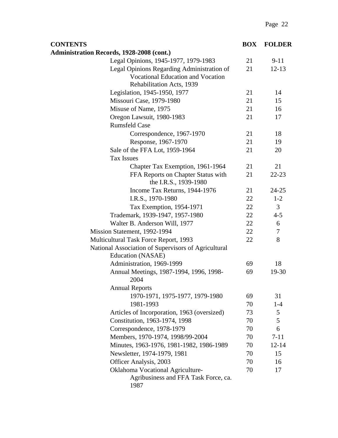| <b>CONTENTS</b>                                                                                                     | <b>BOX</b> | <b>FOLDER</b> |
|---------------------------------------------------------------------------------------------------------------------|------------|---------------|
| Administration Records, 1928-2008 (cont.)                                                                           |            |               |
| Legal Opinions, 1945-1977, 1979-1983                                                                                | 21         | $9-11$        |
| Legal Opinions Regarding Administration of<br><b>Vocational Education and Vocation</b><br>Rehabilitation Acts, 1939 | 21         | $12 - 13$     |
| Legislation, 1945-1950, 1977                                                                                        | 21         | 14            |
| Missouri Case, 1979-1980                                                                                            | 21         | 15            |
| Misuse of Name, 1975                                                                                                | 21         | 16            |
| Oregon Lawsuit, 1980-1983                                                                                           | 21         | 17            |
| <b>Rumsfeld Case</b>                                                                                                |            |               |
| Correspondence, 1967-1970                                                                                           | 21         | 18            |
| Response, 1967-1970                                                                                                 | 21         | 19            |
| Sale of the FFA Lot, 1959-1964<br><b>Tax Issues</b>                                                                 | 21         | 20            |
| Chapter Tax Exemption, 1961-1964                                                                                    | 21         | 21            |
| FFA Reports on Chapter Status with<br>the I.R.S., 1939-1980                                                         | 21         | $22 - 23$     |
| Income Tax Returns, 1944-1976                                                                                       | 21         | $24 - 25$     |
| I.R.S., 1970-1980                                                                                                   | 22         | $1 - 2$       |
| Tax Exemption, 1954-1971                                                                                            | 22         | 3             |
| Trademark, 1939-1947, 1957-1980                                                                                     | 22         | $4 - 5$       |
| Walter B. Anderson Will, 1977                                                                                       | 22         | 6             |
| Mission Statement, 1992-1994                                                                                        | 22         | $\tau$        |
| Multicultural Task Force Report, 1993                                                                               | 22         | 8             |
| National Association of Supervisors of Agricultural<br>Education (NASAE)                                            |            |               |
| Administration, 1969-1999                                                                                           | 69         | 18            |
| Annual Meetings, 1987-1994, 1996, 1998-<br>2004                                                                     | 69         | 19-30         |
| <b>Annual Reports</b>                                                                                               |            |               |
| 1970-1971, 1975-1977, 1979-1980                                                                                     | 69         | 31            |
| 1981-1993                                                                                                           | 70         | $1 - 4$       |
| Articles of Incorporation, 1963 (oversized)                                                                         | 73         | 5             |
| Constitution, 1963-1974, 1998                                                                                       | 70         | 5             |
| Correspondence, 1978-1979                                                                                           | 70         | 6             |
| Members, 1970-1974, 1998/99-2004                                                                                    | 70         | $7 - 11$      |
| Minutes, 1963-1976, 1981-1982, 1986-1989                                                                            | 70         | $12 - 14$     |
| Newsletter, 1974-1979, 1981                                                                                         | 70         | 15            |
| Officer Analysis, 2003                                                                                              | 70         | 16            |
| Oklahoma Vocational Agriculture-                                                                                    | 70         | 17            |
| Agribusiness and FFA Task Force, ca.<br>1987                                                                        |            |               |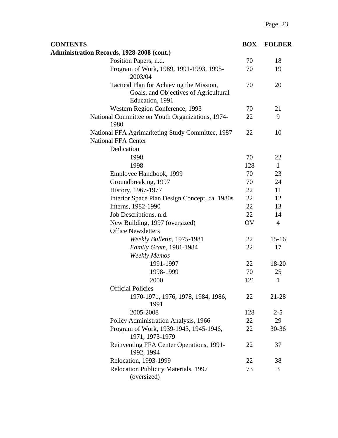| <b>CONTENTS</b>                                                                                      | <b>BOX</b> | <b>FOLDER</b>  |
|------------------------------------------------------------------------------------------------------|------------|----------------|
| <b>Administration Records, 1928-2008 (cont.)</b>                                                     |            |                |
| Position Papers, n.d.                                                                                | 70         | 18             |
| Program of Work, 1989, 1991-1993, 1995-<br>2003/04                                                   | 70         | 19             |
| Tactical Plan for Achieving the Mission,<br>Goals, and Objectives of Agricultural<br>Education, 1991 | 70         | 20             |
| Western Region Conference, 1993                                                                      | 70         | 21             |
| National Committee on Youth Organizations, 1974-<br>1980                                             | 22         | 9              |
| National FFA Agrimarketing Study Committee, 1987<br><b>National FFA Center</b><br>Dedication         | 22         | 10             |
| 1998                                                                                                 | 70         | 22             |
| 1998                                                                                                 | 128        | $\mathbf{1}$   |
| Employee Handbook, 1999                                                                              | 70         | 23             |
| Groundbreaking, 1997                                                                                 | 70         | 24             |
| History, 1967-1977                                                                                   | 22         | 11             |
| Interior Space Plan Design Concept, ca. 1980s                                                        | 22         | 12             |
| Interns, 1982-1990                                                                                   | 22         | 13             |
| Job Descriptions, n.d.                                                                               | 22         | 14             |
| New Building, 1997 (oversized)                                                                       | OV         | $\overline{4}$ |
| <b>Office Newsletters</b>                                                                            |            |                |
| Weekly Bulletin, 1975-1981                                                                           | 22         | $15 - 16$      |
| Family Gram, 1981-1984                                                                               | 22         | 17             |
| <b>Weekly Memos</b>                                                                                  |            |                |
| 1991-1997                                                                                            | 22         | 18-20          |
| 1998-1999                                                                                            | 70         | 25             |
| 2000                                                                                                 | 121        | $\mathbf{1}$   |
| <b>Official Policies</b>                                                                             |            |                |
| 1970-1971, 1976, 1978, 1984, 1986,<br>1991                                                           | 22         | 21-28          |
| 2005-2008                                                                                            | 128        | $2 - 5$        |
| Policy Administration Analysis, 1966                                                                 | 22         | 29             |
| Program of Work, 1939-1943, 1945-1946,<br>1971, 1973-1979                                            | 22         | 30-36          |
| Reinventing FFA Center Operations, 1991-<br>1992, 1994                                               | 22         | 37             |
| Relocation, 1993-1999                                                                                | 22         | 38             |
| Relocation Publicity Materials, 1997                                                                 | 73         | 3              |
| (oversized)                                                                                          |            |                |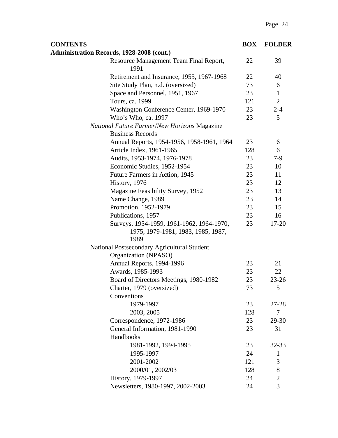| <b>CONTENTS</b>                                                     | <b>BOX</b> | <b>FOLDER</b>  |
|---------------------------------------------------------------------|------------|----------------|
| <b>Administration Records, 1928-2008 (cont.)</b>                    |            |                |
| Resource Management Team Final Report,<br>1991                      | 22         | 39             |
| Retirement and Insurance, 1955, 1967-1968                           | 22         | 40             |
| Site Study Plan, n.d. (oversized)                                   | 73         | 6              |
| Space and Personnel, 1951, 1967                                     | 23         | $\mathbf{1}$   |
| Tours, ca. 1999                                                     | 121        | $\overline{2}$ |
| Washington Conference Center, 1969-1970                             | 23         | $2 - 4$        |
| Who's Who, ca. 1997                                                 | 23         | 5              |
| <b>National Future Farmer/New Horizons Magazine</b>                 |            |                |
| <b>Business Records</b>                                             |            |                |
| Annual Reports, 1954-1956, 1958-1961, 1964                          | 23         | 6              |
| Article Index, 1961-1965                                            | 128        | 6              |
| Audits, 1953-1974, 1976-1978                                        | 23         | $7-9$          |
| Economic Studies, 1952-1954                                         | 23         | 10             |
| Future Farmers in Action, 1945                                      | 23         | 11             |
| History, 1976                                                       | 23         | 12             |
| Magazine Feasibility Survey, 1952                                   | 23         | 13             |
| Name Change, 1989                                                   | 23         | 14             |
| Promotion, 1952-1979                                                | 23         | 15             |
| Publications, 1957                                                  | 23         | 16             |
| Surveys, 1954-1959, 1961-1962, 1964-1970,                           | 23         | 17-20          |
| 1975, 1979-1981, 1983, 1985, 1987,<br>1989                          |            |                |
| National Postsecondary Agricultural Student<br>Organization (NPASO) |            |                |
| Annual Reports, 1994-1996                                           | 23         | 21             |
| Awards, 1985-1993                                                   | 23         | 22             |
| Board of Directors Meetings, 1980-1982                              | 23         | $23 - 26$      |
| Charter, 1979 (oversized)                                           | 73         | 5              |
| Conventions                                                         |            |                |
| 1979-1997                                                           | 23         | 27-28          |
| 2003, 2005                                                          | 128        | $\tau$         |
| Correspondence, 1972-1986                                           | 23         | 29-30          |
| General Information, 1981-1990                                      | 23         | 31             |
| Handbooks                                                           |            |                |
| 1981-1992, 1994-1995                                                | 23         | 32-33          |
| 1995-1997                                                           | 24         | $\mathbf{1}$   |
| 2001-2002                                                           | 121        | 3              |
| 2000/01, 2002/03                                                    | 128        | 8              |
| History, 1979-1997                                                  | 24         | $\mathbf{2}$   |
| Newsletters, 1980-1997, 2002-2003                                   | 24         | 3              |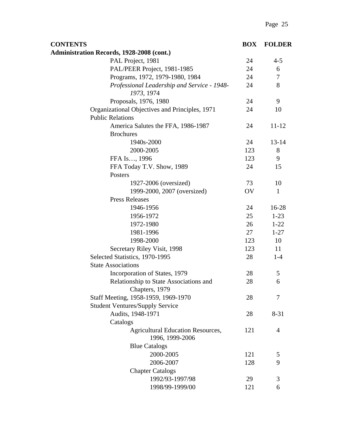| <b>CONTENTS</b>                                             | <b>BOX</b> | <b>FOLDER</b>    |
|-------------------------------------------------------------|------------|------------------|
| <b>Administration Records, 1928-2008 (cont.)</b>            |            |                  |
| PAL Project, 1981                                           | 24         | $4 - 5$          |
| PAL/PEER Project, 1981-1985                                 | 24         | 6                |
| Programs, 1972, 1979-1980, 1984                             | 24         | $\boldsymbol{7}$ |
| Professional Leadership and Service - 1948-<br>1973, 1974   | 24         | 8                |
| Proposals, 1976, 1980                                       | 24         | 9                |
| Organizational Objectives and Principles, 1971              | 24         | 10               |
| <b>Public Relations</b>                                     |            |                  |
| America Salutes the FFA, 1986-1987                          | 24         | $11 - 12$        |
| <b>Brochures</b>                                            |            |                  |
| 1940s-2000                                                  | 24         | $13 - 14$        |
| 2000-2005                                                   | 123        | 8                |
| FFA Is, 1996                                                | 123        | 9                |
| FFA Today T.V. Show, 1989                                   | 24         | 15               |
| Posters                                                     |            |                  |
| 1927-2006 (oversized)                                       | 73         | 10               |
| 1999-2000, 2007 (oversized)                                 | OV         | $\mathbf{1}$     |
| <b>Press Releases</b>                                       |            |                  |
| 1946-1956                                                   | 24         | $16-28$          |
| 1956-1972                                                   | 25         | $1-23$           |
| 1972-1980                                                   | 26         | $1 - 22$         |
| 1981-1996                                                   | 27         | $1 - 27$         |
| 1998-2000                                                   | 123        | 10               |
| Secretary Riley Visit, 1998                                 | 123        | 11               |
| Selected Statistics, 1970-1995                              | 28         | $1-4$            |
| <b>State Associations</b>                                   |            |                  |
| Incorporation of States, 1979                               | 28         | 5                |
| Relationship to State Associations and<br>Chapters, 1979    | 28         | 6                |
| Staff Meeting, 1958-1959, 1969-1970                         | 28         | 7                |
| <b>Student Ventures/Supply Service</b>                      |            |                  |
| Audits, 1948-1971                                           | 28         | $8 - 31$         |
| Catalogs                                                    |            |                  |
| <b>Agricultural Education Resources,</b><br>1996, 1999-2006 | 121        | 4                |
| <b>Blue Catalogs</b>                                        |            |                  |
| 2000-2005                                                   | 121        | 5                |
| 2006-2007                                                   | 128        | 9                |
| <b>Chapter Catalogs</b>                                     |            |                  |
| 1992/93-1997/98                                             | 29         | 3                |
| 1998/99-1999/00                                             | 121        | 6                |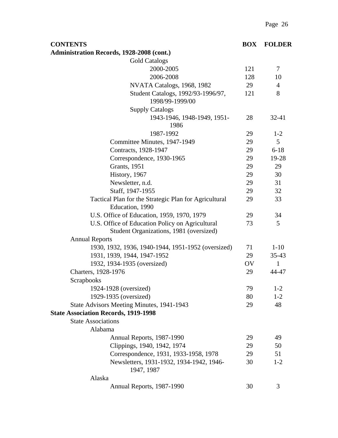| <b>CONTENTS</b>                                                                            | <b>BOX</b> | <b>FOLDER</b>  |
|--------------------------------------------------------------------------------------------|------------|----------------|
| <b>Administration Records, 1928-2008 (cont.)</b>                                           |            |                |
| <b>Gold Catalogs</b>                                                                       |            |                |
| 2000-2005                                                                                  | 121        | 7              |
| 2006-2008                                                                                  | 128        | 10             |
| NVATA Catalogs, 1968, 1982                                                                 | 29         | $\overline{4}$ |
| Student Catalogs, 1992/93-1996/97,<br>1998/99-1999/00                                      | 121        | 8              |
| <b>Supply Catalogs</b>                                                                     |            |                |
| 1943-1946, 1948-1949, 1951-<br>1986                                                        | 28         | $32 - 41$      |
| 1987-1992                                                                                  | 29         | $1 - 2$        |
| Committee Minutes, 1947-1949                                                               | 29         | 5              |
| Contracts, 1928-1947                                                                       | 29         | $6 - 18$       |
| Correspondence, 1930-1965                                                                  | 29         | 19-28          |
| <b>Grants</b> , 1951                                                                       | 29         | 29             |
| History, 1967                                                                              | 29         | 30             |
| Newsletter, n.d.                                                                           | 29         | 31             |
| Staff, 1947-1955                                                                           | 29         | 32             |
| Tactical Plan for the Strategic Plan for Agricultural<br>Education, 1990                   | 29         | 33             |
| U.S. Office of Education, 1959, 1970, 1979                                                 | 29         | 34             |
| U.S. Office of Education Policy on Agricultural<br>Student Organizations, 1981 (oversized) | 73         | 5              |
| <b>Annual Reports</b>                                                                      |            |                |
| 1930, 1932, 1936, 1940-1944, 1951-1952 (oversized)                                         | 71         | $1 - 10$       |
| 1931, 1939, 1944, 1947-1952                                                                | 29         | $35 - 43$      |
| 1932, 1934-1935 (oversized)                                                                | OV         | 1              |
| Charters, 1928-1976                                                                        | 29         | 44-47          |
| Scrapbooks                                                                                 |            |                |
| 1924-1928 (oversized)                                                                      | 79         | $1 - 2$        |
| 1929-1935 (oversized)                                                                      | 80         | $1 - 2$        |
| State Advisors Meeting Minutes, 1941-1943                                                  | 29         | 48             |
| <b>State Association Records, 1919-1998</b>                                                |            |                |
| <b>State Associations</b>                                                                  |            |                |
| Alabama                                                                                    |            |                |
| Annual Reports, 1987-1990                                                                  | 29         | 49             |
| Clippings, 1940, 1942, 1974                                                                | 29         | 50             |
| Correspondence, 1931, 1933-1958, 1978                                                      | 29         | 51             |
| Newsletters, 1931-1932, 1934-1942, 1946-<br>1947, 1987                                     | 30         | $1 - 2$        |
| Alaska                                                                                     |            |                |
| Annual Reports, 1987-1990                                                                  | 30         | 3              |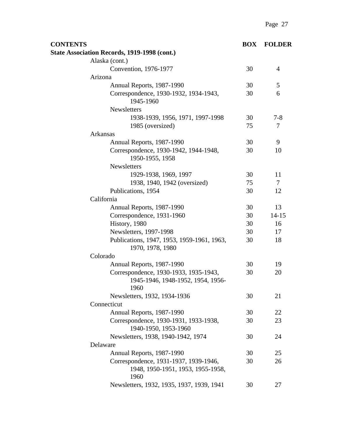| <b>CONTENTS</b>                                                | <b>BOX</b> | <b>FOLDER</b> |
|----------------------------------------------------------------|------------|---------------|
| <b>State Association Records, 1919-1998 (cont.)</b>            |            |               |
| Alaska (cont.)                                                 |            |               |
| Convention, 1976-1977                                          | 30         | 4             |
| Arizona                                                        |            |               |
| Annual Reports, 1987-1990                                      | 30         | 5             |
| Correspondence, 1930-1932, 1934-1943,<br>1945-1960             | 30         | 6             |
| <b>Newsletters</b>                                             |            |               |
| 1938-1939, 1956, 1971, 1997-1998                               | 30         | $7 - 8$       |
| 1985 (oversized)                                               | 75         | 7             |
| Arkansas                                                       |            |               |
| Annual Reports, 1987-1990                                      | 30         | 9             |
| Correspondence, 1930-1942, 1944-1948,<br>1950-1955, 1958       | 30         | 10            |
| <b>Newsletters</b>                                             |            |               |
| 1929-1938, 1969, 1997                                          | 30         | 11            |
| 1938, 1940, 1942 (oversized)                                   | 75         | 7             |
| Publications, 1954                                             | 30         | 12            |
| California                                                     |            |               |
| Annual Reports, 1987-1990                                      | 30         | 13            |
| Correspondence, 1931-1960                                      | 30         | $14 - 15$     |
| History, 1980                                                  | 30         | 16            |
| Newsletters, 1997-1998                                         | 30         | 17            |
| Publications, 1947, 1953, 1959-1961, 1963,<br>1970, 1978, 1980 | 30         | 18            |
| Colorado                                                       |            |               |
| Annual Reports, 1987-1990                                      | 30         | 19            |
| Correspondence, 1930-1933, 1935-1943,                          | 30         | 20            |
| 1945-1946, 1948-1952, 1954, 1956-<br>1960                      |            |               |
| Newsletters, 1932, 1934-1936                                   | 30         | 21            |
| Connecticut                                                    |            |               |
| Annual Reports, 1987-1990                                      | 30         | 22            |
| Correspondence, 1930-1931, 1933-1938,<br>1940-1950, 1953-1960  | 30         | 23            |
| Newsletters, 1938, 1940-1942, 1974                             | 30         | 24            |
| Delaware                                                       |            |               |
| Annual Reports, 1987-1990                                      | 30         | 25            |
| Correspondence, 1931-1937, 1939-1946,                          | 30         | 26            |
| 1948, 1950-1951, 1953, 1955-1958,<br>1960                      |            |               |
| Newsletters, 1932, 1935, 1937, 1939, 1941                      | 30         | 27            |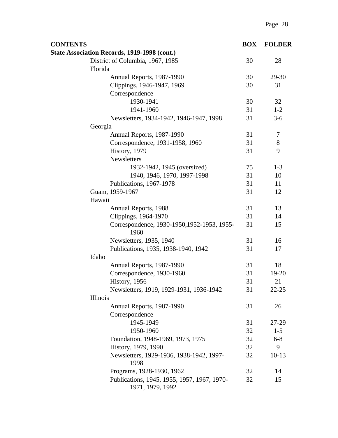| <b>CONTENTS</b>                                                 | <b>BOX</b> | <b>FOLDER</b> |
|-----------------------------------------------------------------|------------|---------------|
| State Association Records, 1919-1998 (cont.)                    |            |               |
| District of Columbia, 1967, 1985                                | 30         | 28            |
| Florida                                                         |            |               |
| Annual Reports, 1987-1990                                       | 30         | 29-30         |
| Clippings, 1946-1947, 1969                                      | 30         | 31            |
| Correspondence                                                  |            |               |
| 1930-1941                                                       | 30         | 32            |
| 1941-1960                                                       | 31         | $1 - 2$       |
| Newsletters, 1934-1942, 1946-1947, 1998                         | 31         | $3-6$         |
| Georgia                                                         |            |               |
| Annual Reports, 1987-1990                                       | 31         | 7             |
| Correspondence, 1931-1958, 1960                                 | 31         | 8             |
| History, 1979                                                   | 31         | 9             |
| <b>Newsletters</b>                                              |            |               |
| 1932-1942, 1945 (oversized)                                     | 75         | $1 - 3$       |
| 1940, 1946, 1970, 1997-1998                                     | 31         | 10            |
| Publications, 1967-1978                                         | 31         | 11            |
| Guam, 1959-1967                                                 | 31         | 12            |
| Hawaii                                                          |            |               |
| Annual Reports, 1988                                            | 31         | 13            |
| Clippings, 1964-1970                                            | 31         | 14            |
| Correspondence, 1930-1950, 1952-1953, 1955-<br>1960             | 31         | 15            |
| Newsletters, 1935, 1940                                         | 31         | 16            |
| Publications, 1935, 1938-1940, 1942                             | 31         | 17            |
| Idaho                                                           |            |               |
| Annual Reports, 1987-1990                                       | 31         | 18            |
| Correspondence, 1930-1960                                       | 31         | 19-20         |
| History, 1956                                                   | 31         | 21            |
| Newsletters, 1919, 1929-1931, 1936-1942                         | 31         | $22 - 25$     |
| Illinois                                                        |            |               |
| Annual Reports, 1987-1990                                       | 31         | 26            |
| Correspondence                                                  |            |               |
| 1945-1949                                                       | 31         | 27-29         |
| 1950-1960                                                       | 32         | $1 - 5$       |
| Foundation, 1948-1969, 1973, 1975                               | 32         | $6 - 8$       |
| History, 1979, 1990                                             | 32         | 9             |
| Newsletters, 1929-1936, 1938-1942, 1997-<br>1998                | 32         | $10-13$       |
| Programs, 1928-1930, 1962                                       | 32         | 14            |
| Publications, 1945, 1955, 1957, 1967, 1970-<br>1971, 1979, 1992 | 32         | 15            |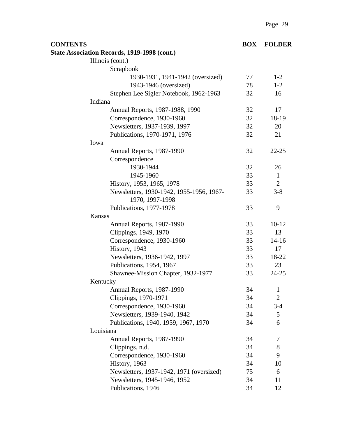| <b>CONTENTS</b> |                                                     | <b>BOX</b> | <b>FOLDER</b>  |
|-----------------|-----------------------------------------------------|------------|----------------|
|                 | <b>State Association Records, 1919-1998 (cont.)</b> |            |                |
|                 | Illinois (cont.)                                    |            |                |
|                 | Scrapbook                                           |            |                |
|                 | 1930-1931, 1941-1942 (oversized)                    | 77         | $1-2$          |
|                 | 1943-1946 (oversized)                               | 78         | $1 - 2$        |
|                 | Stephen Lee Sigler Notebook, 1962-1963              | 32         | 16             |
|                 | Indiana                                             |            |                |
|                 | Annual Reports, 1987-1988, 1990                     | 32         | 17             |
|                 | Correspondence, 1930-1960                           | 32         | 18-19          |
|                 | Newsletters, 1937-1939, 1997                        | 32         | 20             |
|                 | Publications, 1970-1971, 1976                       | 32         | 21             |
|                 | Iowa                                                |            |                |
|                 | Annual Reports, 1987-1990                           | 32         | $22 - 25$      |
|                 | Correspondence                                      |            |                |
|                 | 1930-1944                                           | 32         | 26             |
|                 | 1945-1960                                           | 33         | $\mathbf{1}$   |
|                 | History, 1953, 1965, 1978                           | 33         | $\overline{2}$ |
|                 | Newsletters, 1930-1942, 1955-1956, 1967-            | 33         | $3 - 8$        |
|                 | 1970, 1997-1998                                     |            |                |
|                 | Publications, 1977-1978                             | 33         | 9              |
|                 | Kansas                                              |            |                |
|                 | Annual Reports, 1987-1990                           | 33         | $10 - 12$      |
|                 | Clippings, 1949, 1970                               | 33         | 13             |
|                 | Correspondence, 1930-1960                           | 33         | $14 - 16$      |
|                 | History, 1943                                       | 33         | 17             |
|                 | Newsletters, 1936-1942, 1997                        | 33         | 18-22          |
|                 | Publications, 1954, 1967                            | 33         | 23             |
|                 | Shawnee-Mission Chapter, 1932-1977                  | 33         | $24 - 25$      |
|                 | Kentucky                                            |            |                |
|                 | Annual Reports, 1987-1990                           | 34         | 1              |
|                 | Clippings, 1970-1971                                | 34         | $\overline{2}$ |
|                 | Correspondence, 1930-1960                           | 34         | $3 - 4$        |
|                 | Newsletters, 1939-1940, 1942                        | 34         | 5              |
|                 | Publications, 1940, 1959, 1967, 1970                | 34         | 6              |
|                 | Louisiana                                           |            |                |
|                 | Annual Reports, 1987-1990                           | 34         | 7              |
|                 | Clippings, n.d.                                     | 34         | 8              |
|                 | Correspondence, 1930-1960                           | 34         | 9              |
|                 | History, 1963                                       | 34         | 10             |
|                 | Newsletters, 1937-1942, 1971 (oversized)            | 75         | 6              |
|                 | Newsletters, 1945-1946, 1952                        | 34         | 11             |
|                 | Publications, 1946                                  | 34         | 12             |
|                 |                                                     |            |                |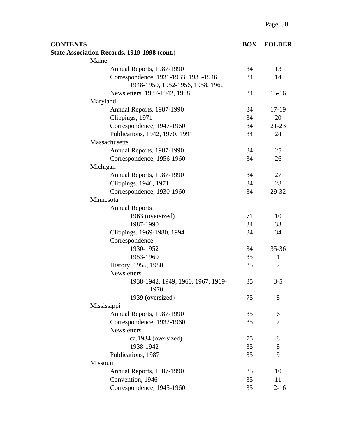| <b>CONTENTS</b> |                                                                           | <b>BOX</b> | <b>FOLDER</b>  |
|-----------------|---------------------------------------------------------------------------|------------|----------------|
|                 | <b>State Association Records, 1919-1998 (cont.)</b>                       |            |                |
|                 | Maine                                                                     |            |                |
|                 | Annual Reports, 1987-1990                                                 | 34         | 13             |
|                 | Correspondence, 1931-1933, 1935-1946,<br>1948-1950, 1952-1956, 1958, 1960 | 34         | 14             |
|                 | Newsletters, 1937-1942, 1988                                              | 34         | $15-16$        |
|                 | Maryland                                                                  |            |                |
|                 | Annual Reports, 1987-1990                                                 | 34         | 17-19          |
|                 | Clippings, 1971                                                           | 34         | 20             |
|                 | Correspondence, 1947-1960                                                 | 34         | $21 - 23$      |
|                 | Publications, 1942, 1970, 1991                                            | 34         | 24             |
|                 | <b>Massachusetts</b>                                                      |            |                |
|                 | Annual Reports, 1987-1990                                                 | 34         | 25             |
|                 | Correspondence, 1956-1960                                                 | 34         | 26             |
|                 | Michigan                                                                  |            |                |
|                 | Annual Reports, 1987-1990                                                 | 34         | 27             |
|                 | Clippings, 1946, 1971                                                     | 34         | 28             |
|                 | Correspondence, 1930-1960                                                 | 34         | 29-32          |
|                 | Minnesota                                                                 |            |                |
|                 | <b>Annual Reports</b>                                                     |            |                |
|                 | 1963 (oversized)                                                          | 71         | 10             |
|                 | 1987-1990                                                                 | 34         | 33             |
|                 | Clippings, 1969-1980, 1994                                                | 34         | 34             |
|                 | Correspondence                                                            |            |                |
|                 | 1930-1952                                                                 | 34         | 35-36          |
|                 | 1953-1960                                                                 | 35         | $\mathbf{1}$   |
|                 | History, 1955, 1980                                                       | 35         | $\overline{2}$ |
|                 | Newsletters                                                               |            |                |
|                 | 1938-1942, 1949, 1960, 1967, 1969-<br>1970                                | 35         | $3 - 5$        |
|                 | 1939 (oversized)                                                          | 75         | 8              |
|                 | Mississippi                                                               |            |                |
|                 | Annual Reports, 1987-1990                                                 | 35         | 6              |
|                 | Correspondence, 1932-1960                                                 | 35         | 7              |
|                 | Newsletters                                                               |            |                |
|                 | ca.1934 (oversized)                                                       | 75         | 8              |
|                 | 1938-1942                                                                 | 35         | 8              |
|                 | Publications, 1987                                                        | 35         | 9              |
|                 | Missouri                                                                  |            |                |
|                 | Annual Reports, 1987-1990                                                 | 35         | 10             |
|                 | Convention, 1946                                                          | 35         | 11             |
|                 | Correspondence, 1945-1960                                                 | 35         | $12 - 16$      |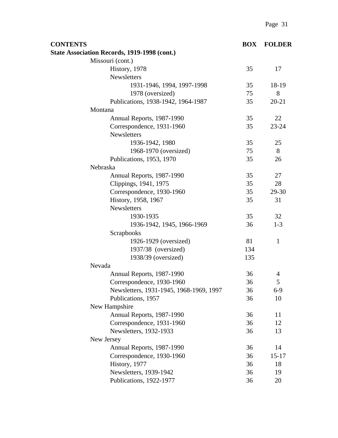| <b>CONTENTS</b>                                     | <b>BOX</b> | <b>FOLDER</b> |
|-----------------------------------------------------|------------|---------------|
| <b>State Association Records, 1919-1998 (cont.)</b> |            |               |
| Missouri (cont.)                                    |            |               |
| History, 1978                                       | 35         | 17            |
| <b>Newsletters</b>                                  |            |               |
| 1931-1946, 1994, 1997-1998                          | 35         | 18-19         |
| 1978 (oversized)                                    | 75         | 8             |
| Publications, 1938-1942, 1964-1987                  | 35         | $20 - 21$     |
| Montana                                             |            |               |
| Annual Reports, 1987-1990                           | 35         | 22            |
| Correspondence, 1931-1960                           | 35         | 23-24         |
| Newsletters                                         |            |               |
| 1936-1942, 1980                                     | 35         | 25            |
| 1968-1970 (oversized)                               | 75         | 8             |
| Publications, 1953, 1970                            | 35         | 26            |
| Nebraska                                            |            |               |
| Annual Reports, 1987-1990                           | 35         | 27            |
| Clippings, 1941, 1975                               | 35         | 28            |
| Correspondence, 1930-1960                           | 35         | 29-30         |
| History, 1958, 1967                                 | 35         | 31            |
| Newsletters                                         |            |               |
| 1930-1935                                           | 35         | 32            |
| 1936-1942, 1945, 1966-1969                          | 36         | $1 - 3$       |
| Scrapbooks                                          |            |               |
| 1926-1929 (oversized)                               | 81         | $\mathbf{1}$  |
| 1937/38 (oversized)                                 | 134        |               |
| 1938/39 (oversized)                                 | 135        |               |
| Nevada                                              |            |               |
| Annual Reports, 1987-1990                           | 36         | 4             |
| Correspondence, 1930-1960                           | 36         | 5             |
| Newsletters, 1931-1945, 1968-1969, 1997             | 36         | $6-9$         |
| Publications, 1957                                  | 36         | 10            |
| New Hampshire                                       |            |               |
| Annual Reports, 1987-1990                           | 36         | 11            |
| Correspondence, 1931-1960                           | 36         | 12            |
| Newsletters, 1932-1933                              | 36         | 13            |
| New Jersey                                          |            |               |
| Annual Reports, 1987-1990                           | 36         | 14            |
| Correspondence, 1930-1960                           | 36         | $15 - 17$     |
| History, 1977                                       | 36         | 18            |
| Newsletters, 1939-1942                              | 36         | 19            |
| Publications, 1922-1977                             | 36         | 20            |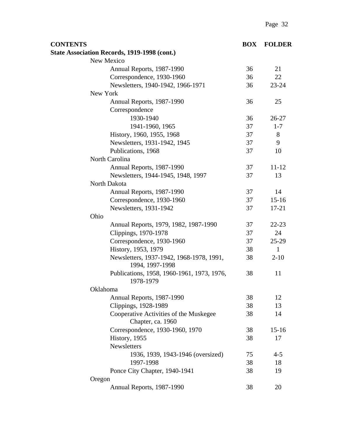| <b>CONTENTS</b>                                             | <b>BOX</b> | <b>FOLDER</b> |
|-------------------------------------------------------------|------------|---------------|
| <b>State Association Records, 1919-1998 (cont.)</b>         |            |               |
| New Mexico                                                  |            |               |
| Annual Reports, 1987-1990                                   | 36         | 21            |
| Correspondence, 1930-1960                                   | 36         | 22            |
| Newsletters, 1940-1942, 1966-1971                           | 36         | 23-24         |
| New York                                                    |            |               |
| Annual Reports, 1987-1990                                   | 36         | 25            |
| Correspondence                                              |            |               |
| 1930-1940                                                   | 36         | 26-27         |
| 1941-1960, 1965                                             | 37         | $1 - 7$       |
| History, 1960, 1955, 1968                                   | 37         | 8             |
| Newsletters, 1931-1942, 1945                                | 37         | 9             |
| Publications, 1968                                          | 37         | 10            |
| North Carolina                                              |            |               |
| Annual Reports, 1987-1990                                   | 37         | $11 - 12$     |
| Newsletters, 1944-1945, 1948, 1997                          | 37         | 13            |
| North Dakota                                                |            |               |
| Annual Reports, 1987-1990                                   | 37         | 14            |
| Correspondence, 1930-1960                                   | 37         | $15 - 16$     |
| Newsletters, 1931-1942                                      | 37         | 17-21         |
| Ohio                                                        |            |               |
| Annual Reports, 1979, 1982, 1987-1990                       | 37         | $22 - 23$     |
| Clippings, 1970-1978                                        | 37         | 24            |
| Correspondence, 1930-1960                                   | 37         | 25-29         |
| History, 1953, 1979                                         | 38         | 1             |
| Newsletters, 1937-1942, 1968-1978, 1991,<br>1994, 1997-1998 | 38         | $2 - 10$      |
| Publications, 1958, 1960-1961, 1973, 1976,<br>1978-1979     | 38         | 11            |
| Oklahoma                                                    |            |               |
| Annual Reports, 1987-1990                                   | 38         | 12            |
| Clippings, 1928-1989                                        | 38         | 13            |
| Cooperative Activities of the Muskegee<br>Chapter, ca. 1960 | 38         | 14            |
| Correspondence, 1930-1960, 1970                             | 38         | $15-16$       |
| History, 1955                                               | 38         | 17            |
| Newsletters                                                 |            |               |
| 1936, 1939, 1943-1946 (oversized)                           | 75         | $4 - 5$       |
| 1997-1998                                                   | 38         | 18            |
| Ponce City Chapter, 1940-1941                               | 38         | 19            |
| Oregon                                                      |            |               |
| Annual Reports, 1987-1990                                   | 38         | 20            |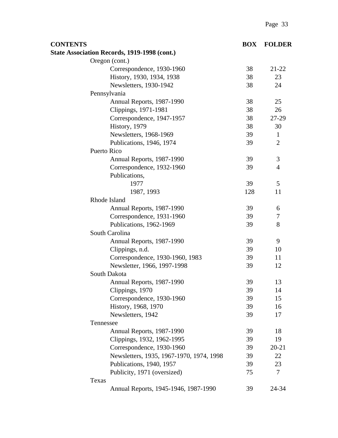| <b>CONTENTS</b>                                     | <b>BOX</b> | <b>FOLDER</b>  |
|-----------------------------------------------------|------------|----------------|
| <b>State Association Records, 1919-1998 (cont.)</b> |            |                |
| Oregon (cont.)                                      |            |                |
| Correspondence, 1930-1960                           | 38         | $21 - 22$      |
| History, 1930, 1934, 1938                           | 38         | 23             |
| Newsletters, 1930-1942                              | 38         | 24             |
| Pennsylvania                                        |            |                |
| Annual Reports, 1987-1990                           | 38         | 25             |
| Clippings, 1971-1981                                | 38         | 26             |
| Correspondence, 1947-1957                           | 38         | 27-29          |
| History, 1979                                       | 38         | 30             |
| Newsletters, 1968-1969                              | 39         | $\mathbf{1}$   |
| Publications, 1946, 1974                            | 39         | $\overline{2}$ |
| Puerto Rico                                         |            |                |
| Annual Reports, 1987-1990                           | 39         | 3              |
| Correspondence, 1932-1960                           | 39         | 4              |
| Publications,                                       |            |                |
| 1977                                                | 39         | 5              |
| 1987, 1993                                          | 128        | 11             |
| Rhode Island                                        |            |                |
| Annual Reports, 1987-1990                           | 39         | 6              |
| Correspondence, 1931-1960                           | 39         | 7              |
| Publications, 1962-1969                             | 39         | 8              |
| South Carolina                                      |            |                |
| Annual Reports, 1987-1990                           | 39         | 9              |
| Clippings, n.d.                                     | 39         | 10             |
| Correspondence, 1930-1960, 1983                     | 39         | 11             |
| Newsletter, 1966, 1997-1998                         | 39         | 12             |
| South Dakota                                        |            |                |
| Annual Reports, 1987-1990                           | 39         | 13             |
| Clippings, 1970                                     | 39         | 14             |
| Correspondence, 1930-1960                           | 39         | 15             |
| History, 1968, 1970                                 | 39         | 16             |
| Newsletters, 1942                                   | 39         | 17             |
| Tennessee                                           |            |                |
| Annual Reports, 1987-1990                           | 39         | 18             |
| Clippings, 1932, 1962-1995                          | 39         | 19             |
| Correspondence, 1930-1960                           | 39         | $20 - 21$      |
| Newsletters, 1935, 1967-1970, 1974, 1998            | 39         | 22             |
| Publications, 1940, 1957                            | 39         | 23             |
| Publicity, 1971 (oversized)                         | 75         | 7              |
| Texas                                               |            |                |
| Annual Reports, 1945-1946, 1987-1990                | 39         | 24-34          |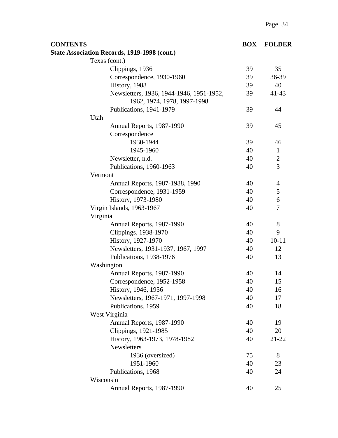| <b>CONTENTS</b> |                                                                         | <b>BOX</b> | <b>FOLDER</b>  |
|-----------------|-------------------------------------------------------------------------|------------|----------------|
|                 | <b>State Association Records, 1919-1998 (cont.)</b>                     |            |                |
|                 | Texas (cont.)                                                           |            |                |
|                 | Clippings, 1936                                                         | 39         | 35             |
|                 | Correspondence, 1930-1960                                               | 39         | 36-39          |
|                 | History, 1988                                                           | 39         | 40             |
|                 | Newsletters, 1936, 1944-1946, 1951-1952,<br>1962, 1974, 1978, 1997-1998 | 39         | $41 - 43$      |
|                 | Publications, 1941-1979                                                 | 39         | 44             |
|                 | Utah                                                                    |            |                |
|                 | Annual Reports, 1987-1990                                               | 39         | 45             |
|                 | Correspondence                                                          |            |                |
|                 | 1930-1944                                                               | 39         | 46             |
|                 | 1945-1960                                                               | 40         | $\mathbf{1}$   |
|                 | Newsletter, n.d.                                                        | 40         | $\mathbf{2}$   |
|                 | Publications, 1960-1963                                                 | 40         | 3              |
|                 | Vermont                                                                 |            |                |
|                 | Annual Reports, 1987-1988, 1990                                         | 40         | $\overline{4}$ |
|                 | Correspondence, 1931-1959                                               | 40         | 5              |
|                 | History, 1973-1980                                                      | 40         | 6              |
|                 | Virgin Islands, 1963-1967                                               | 40         | 7              |
|                 | Virginia                                                                |            |                |
|                 | Annual Reports, 1987-1990                                               | 40         | $8\,$          |
|                 | Clippings, 1938-1970                                                    | 40         | 9              |
|                 | History, 1927-1970                                                      | 40         | $10 - 11$      |
|                 | Newsletters, 1931-1937, 1967, 1997                                      | 40         | 12             |
|                 | Publications, 1938-1976                                                 | 40         | 13             |
|                 | Washington                                                              |            |                |
|                 | Annual Reports, 1987-1990                                               | 40         | 14             |
|                 | Correspondence, 1952-1958                                               | 40         | 15             |
|                 | History, 1946, 1956                                                     | 40         | 16             |
|                 | Newsletters, 1967-1971, 1997-1998                                       | 40         | 17             |
|                 | Publications, 1959                                                      | 40         | 18             |
|                 | West Virginia                                                           |            |                |
|                 | Annual Reports, 1987-1990                                               | 40         | 19             |
|                 | Clippings, 1921-1985                                                    | 40         | 20             |
|                 | History, 1963-1973, 1978-1982                                           | 40         | $21 - 22$      |
|                 | <b>Newsletters</b>                                                      |            |                |
|                 | 1936 (oversized)                                                        | 75         | 8              |
|                 | 1951-1960                                                               | 40         | 23             |
|                 | Publications, 1968                                                      | 40         | 24             |
|                 | Wisconsin                                                               |            |                |
|                 | Annual Reports, 1987-1990                                               | 40         | 25             |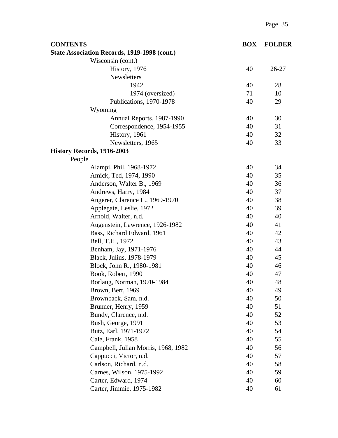| <b>CONTENTS</b>                              | <b>BOX</b> | <b>FOLDER</b> |
|----------------------------------------------|------------|---------------|
| State Association Records, 1919-1998 (cont.) |            |               |
| Wisconsin (cont.)                            |            |               |
| History, 1976                                | 40         | 26-27         |
| Newsletters                                  |            |               |
| 1942                                         | 40         | 28            |
| 1974 (oversized)                             | 71         | 10            |
| Publications, 1970-1978                      | 40         | 29            |
| Wyoming                                      |            |               |
| Annual Reports, 1987-1990                    | 40         | 30            |
| Correspondence, 1954-1955                    | 40         | 31            |
| History, 1961                                | 40         | 32            |
| Newsletters, 1965                            | 40         | 33            |
| History Records, 1916-2003                   |            |               |
| People                                       |            |               |
| Alampi, Phil, 1968-1972                      | 40         | 34            |
| Amick, Ted, 1974, 1990                       | 40         | 35            |
| Anderson, Walter B., 1969                    | 40         | 36            |
| Andrews, Harry, 1984                         | 40         | 37            |
| Angerer, Clarence L., 1969-1970              | 40         | 38            |
| Applegate, Leslie, 1972                      | 40         | 39            |
| Arnold, Walter, n.d.                         | 40         | 40            |
| Augenstein, Lawrence, 1926-1982              | 40         | 41            |
| Bass, Richard Edward, 1961                   | 40         | 42            |
| Bell, T.H., 1972                             | 40         | 43            |
| Benham, Jay, 1971-1976                       | 40         | 44            |
| Black, Julius, 1978-1979                     | 40         | 45            |
| Block, John R., 1980-1981                    | 40         | 46            |
| Book, Robert, 1990                           | 40         | 47            |
| Borlaug, Norman, 1970-1984                   | 40         | 48            |
| Brown, Bert, 1969                            | 40         | 49            |
| Brownback, Sam, n.d.                         | 40         | 50            |
| Brunner, Henry, 1959                         | 40         | 51            |
| Bundy, Clarence, n.d.                        | 40         | 52            |
| Bush, George, 1991                           | 40         | 53            |
| Butz, Earl, 1971-1972                        | 40         | 54            |
| Cale, Frank, 1958                            | 40         | 55            |
| Campbell, Julian Morris, 1968, 1982          | 40         | 56            |
| Cappucci, Victor, n.d.                       | 40         | 57            |
| Carlson, Richard, n.d.                       | 40         | 58            |
| Carnes, Wilson, 1975-1992                    | 40         | 59            |
| Carter, Edward, 1974                         | 40         | 60            |
| Carter, Jimmie, 1975-1982                    | 40         | 61            |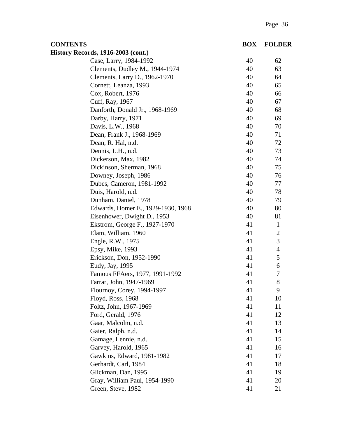| <b>CONTENTS</b>                           | <b>BOX</b> | <b>FOLDER</b>  |
|-------------------------------------------|------------|----------------|
| <b>History Records, 1916-2003 (cont.)</b> |            |                |
| Case, Larry, 1984-1992                    | 40         | 62             |
| Clements, Dudley M., 1944-1974            | 40         | 63             |
| Clements, Larry D., 1962-1970             | 40         | 64             |
| Cornett, Leanza, 1993                     | 40         | 65             |
| Cox, Robert, 1976                         | 40         | 66             |
| Cuff, Ray, 1967                           | 40         | 67             |
| Danforth, Donald Jr., 1968-1969           | 40         | 68             |
| Darby, Harry, 1971                        | 40         | 69             |
| Davis, L.W., 1968                         | 40         | 70             |
| Dean, Frank J., 1968-1969                 | 40         | 71             |
| Dean, R. Hal, n.d.                        | 40         | 72             |
| Dennis, L.H., n.d.                        | 40         | 73             |
| Dickerson, Max, 1982                      | 40         | 74             |
| Dickinson, Sherman, 1968                  | 40         | 75             |
| Downey, Joseph, 1986                      | 40         | 76             |
| Dubes, Cameron, 1981-1992                 | 40         | 77             |
| Duis, Harold, n.d.                        | 40         | 78             |
| Dunham, Daniel, 1978                      | 40         | 79             |
| Edwards, Homer E., 1929-1930, 1968        | 40         | 80             |
| Eisenhower, Dwight D., 1953               | 40         | 81             |
| Ekstrom, George F., 1927-1970             | 41         | $\mathbf{1}$   |
| Elam, William, 1960                       | 41         | $\overline{2}$ |
| Engle, R.W., 1975                         | 41         | 3              |
| Epsy, Mike, 1993                          | 41         | $\overline{4}$ |
| Erickson, Don, 1952-1990                  | 41         | 5              |
| Eudy, Jay, 1995                           | 41         | 6              |
| Famous FFAers, 1977, 1991-1992            | 41         | 7              |
| Farrar, John, 1947-1969                   | 41         | 8              |
| Flournoy, Corey, 1994-1997                | 41         | 9              |
| Floyd, Ross, 1968                         | 41         | 10             |
| Foltz, John, 1967-1969                    | 41         | 11             |
| Ford, Gerald, 1976                        | 41         | 12             |
| Gaar, Malcolm, n.d.                       | 41         | 13             |
| Gaier, Ralph, n.d.                        | 41         | 14             |
| Gamage, Lennie, n.d.                      | 41         | 15             |
| Garvey, Harold, 1965                      | 41         | 16             |
| Gawkins, Edward, 1981-1982                | 41         | 17             |
| Gerhardt, Carl, 1984                      | 41         | 18             |
| Glickman, Dan, 1995                       | 41         | 19             |
| Gray, William Paul, 1954-1990             | 41         | 20             |
| Green, Steve, 1982                        | 41         | 21             |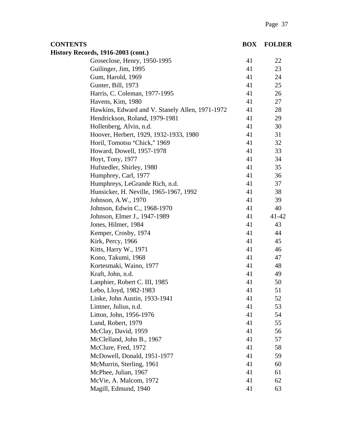| <b>CONTENTS</b>                                 | <b>BOX</b> | <b>FOLDER</b> |
|-------------------------------------------------|------------|---------------|
| <b>History Records, 1916-2003 (cont.)</b>       |            |               |
| Groseclose, Henry, 1950-1995                    | 41         | 22            |
| Guilinger, Jim, 1995                            | 41         | 23            |
| Gum, Harold, 1969                               | 41         | 24            |
| Gunter, Bill, 1973                              | 41         | 25            |
| Harris, C. Coleman, 1977-1995                   | 41         | 26            |
| Havens, Kim, 1980                               | 41         | 27            |
| Hawkins, Edward and V. Stanely Allen, 1971-1972 | 41         | 28            |
| Hendrickson, Roland, 1979-1981                  | 41         | 29            |
| Hollenberg, Alvin, n.d.                         | 41         | 30            |
| Hoover, Herbert, 1929, 1932-1933, 1980          | 41         | 31            |
| Horil, Tomotsu "Chick," 1969                    | 41         | 32            |
| Howard, Dowell, 1957-1978                       | 41         | 33            |
| Hoyt, Tony, 1977                                | 41         | 34            |
| Hufstedler, Shirley, 1980                       | 41         | 35            |
| Humphrey, Carl, 1977                            | 41         | 36            |
| Humphreys, LeGrande Rich, n.d.                  | 41         | 37            |
| Hunsicker, H. Neville, 1965-1967, 1992          | 41         | 38            |
| Johnson, A.W., 1970                             | 41         | 39            |
| Johnson, Edwin C., 1968-1970                    | 41         | 40            |
| Johnson, Elmer J., 1947-1989                    | 41         | 41-42         |
| Jones, Hilmer, 1984                             | 41         | 43            |
| Kemper, Crosby, 1974                            | 41         | 44            |
| Kirk, Percy, 1966                               | 41         | 45            |
| Kitts, Harry W., 1971                           | 41         | 46            |
| Kono, Takumi, 1968                              | 41         | 47            |
| Kortesmaki, Waino, 1977                         | 41         | 48            |
| Kraft, John, n.d.                               | 41         | 49            |
| Lanphier, Robert C. III, 1985                   | 41         | 50            |
| Lebo, Lloyd, 1982-1983                          | 41         | 51            |
| Linke, John Austin, 1933-1941                   | 41         | 52            |
| Lintner, Julius, n.d.                           | 41         | 53            |
| Litton, John, 1956-1976                         | 41         | 54            |
| Lund, Robert, 1979                              | 41         | 55            |
| McClay, David, 1959                             | 41         | 56            |
| McClelland, John B., 1967                       | 41         | 57            |
| McClure, Fred, 1972                             | 41         | 58            |
| McDowell, Donald, 1951-1977                     | 41         | 59            |
| McMurrin, Sterling, 1961                        | 41         | 60            |
| McPhee, Julian, 1967                            | 41         | 61            |
| McVie, A. Malcom, 1972                          | 41         | 62            |
| Magill, Edmund, 1940                            | 41         | 63            |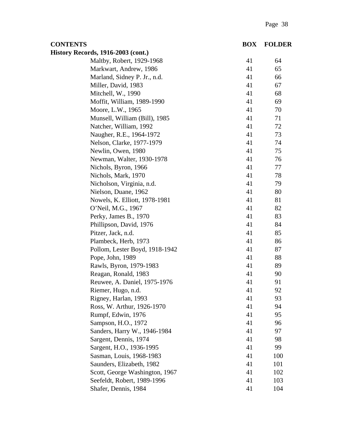| <b>CONTENTS</b>                           | <b>BOX</b> | <b>FOLDER</b> |
|-------------------------------------------|------------|---------------|
| <b>History Records, 1916-2003 (cont.)</b> |            |               |
| Maltby, Robert, 1929-1968                 | 41         | 64            |
| Markwart, Andrew, 1986                    | 41         | 65            |
| Marland, Sidney P. Jr., n.d.              | 41         | 66            |
| Miller, David, 1983                       | 41         | 67            |
| Mitchell, W., 1990                        | 41         | 68            |
| Moffit, William, 1989-1990                | 41         | 69            |
| Moore, L.W., 1965                         | 41         | 70            |
| Munsell, William (Bill), 1985             | 41         | 71            |
| Natcher, William, 1992                    | 41         | 72            |
| Naugher, R.E., 1964-1972                  | 41         | 73            |
| Nelson, Clarke, 1977-1979                 | 41         | 74            |
| Newlin, Owen, 1980                        | 41         | 75            |
| Newman, Walter, 1930-1978                 | 41         | 76            |
| Nichols, Byron, 1966                      | 41         | 77            |
| Nichols, Mark, 1970                       | 41         | 78            |
| Nicholson, Virginia, n.d.                 | 41         | 79            |
| Nielson, Duane, 1962                      | 41         | 80            |
| Nowels, K. Elliott, 1978-1981             | 41         | 81            |
| O'Neil, M.G., 1967                        | 41         | 82            |
| Perky, James B., 1970                     | 41         | 83            |
| Phillipson, David, 1976                   | 41         | 84            |
| Pitzer, Jack, n.d.                        | 41         | 85            |
| Plambeck, Herb, 1973                      | 41         | 86            |
| Pollom, Lester Boyd, 1918-1942            | 41         | 87            |
| Pope, John, 1989                          | 41         | 88            |
| Rawls, Byron, 1979-1983                   | 41         | 89            |
| Reagan, Ronald, 1983                      | 41         | 90            |
| Reuwee, A. Daniel, 1975-1976              | 41         | 91            |
| Riemer, Hugo, n.d.                        | 41         | 92            |
| Rigney, Harlan, 1993                      | 41         | 93            |
| Ross, W. Arthur, 1926-1970                | 41         | 94            |
| Rumpf, Edwin, 1976                        | 41         | 95            |
| Sampson, H.O., 1972                       | 41         | 96            |
| Sanders, Harry W., 1946-1984              | 41         | 97            |
| Sargent, Dennis, 1974                     | 41         | 98            |
| Sargent, H.O., 1936-1995                  | 41         | 99            |
| Sasman, Louis, 1968-1983                  | 41         | 100           |
| Saunders, Elizabeth, 1982                 | 41         | 101           |
| Scott, George Washington, 1967            | 41         | 102           |
| Seefeldt, Robert, 1989-1996               | 41         | 103           |
| Shafer, Dennis, 1984                      | 41         | 104           |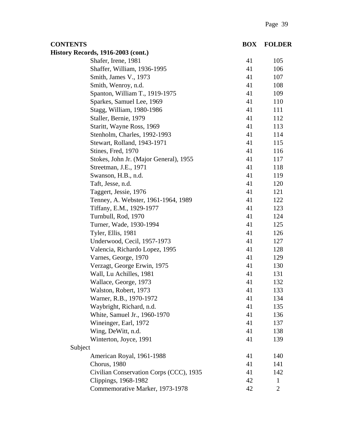| <b>CONTENTS</b>                           | <b>BOX</b> | <b>FOLDER</b> |
|-------------------------------------------|------------|---------------|
| <b>History Records, 1916-2003 (cont.)</b> |            |               |
| Shafer, Irene, 1981                       | 41         | 105           |
| Shaffer, William, 1936-1995               | 41         | 106           |
| Smith, James V., 1973                     | 41         | 107           |
| Smith, Wenroy, n.d.                       | 41         | 108           |
| Spanton, William T., 1919-1975            | 41         | 109           |
| Sparkes, Samuel Lee, 1969                 | 41         | 110           |
| Stagg, William, 1980-1986                 | 41         | 111           |
| Staller, Bernie, 1979                     | 41         | 112           |
| Staritt, Wayne Ross, 1969                 | 41         | 113           |
| Stenholm, Charles, 1992-1993              | 41         | 114           |
| Stewart, Rolland, 1943-1971               | 41         | 115           |
| Stines, Fred, 1970                        | 41         | 116           |
| Stokes, John Jr. (Major General), 1955    | 41         | 117           |
| Streetman, J.E., 1971                     | 41         | 118           |
| Swanson, H.B., n.d.                       | 41         | 119           |
| Taft, Jesse, n.d.                         | 41         | 120           |
| Taggert, Jessie, 1976                     | 41         | 121           |
| Tenney, A. Webster, 1961-1964, 1989       | 41         | 122           |
| Tiffany, E.M., 1929-1977                  | 41         | 123           |
| Turnbull, Rod, 1970                       | 41         | 124           |
| Turner, Wade, 1930-1994                   | 41         | 125           |
| Tyler, Ellis, 1981                        | 41         | 126           |
| Underwood, Cecil, 1957-1973               | 41         | 127           |
| Valencia, Richardo Lopez, 1995            | 41         | 128           |
| Varnes, George, 1970                      | 41         | 129           |
| Verzagt, George Erwin, 1975               | 41         | 130           |
| Wall, Lu Achilles, 1981                   | 41         | 131           |
| Wallace, George, 1973                     | 41         | 132           |
| Walston, Robert, 1973                     | 41         | 133           |
| Warner, R.B., 1970-1972                   | 41         | 134           |
| Waybright, Richard, n.d.                  | 41         | 135           |
| White, Samuel Jr., 1960-1970              | 41         | 136           |
| Wineinger, Earl, 1972                     | 41         | 137           |
| Wing, DeWitt, n.d.                        | 41         | 138           |
| Winterton, Joyce, 1991                    | 41         | 139           |
| Subject                                   |            |               |
| American Royal, 1961-1988                 | 41         | 140           |
| Chorus, 1980                              | 41         | 141           |
| Civilian Conservation Corps (CCC), 1935   | 41         | 142           |
| Clippings, 1968-1982                      | 42         | $\mathbf{1}$  |
| Commemorative Marker, 1973-1978           | 42         | $\mathbf{2}$  |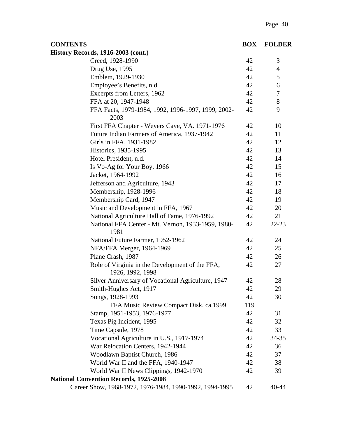| <b>CONTENTS</b>                                                     | <b>BOX</b> | <b>FOLDER</b>  |
|---------------------------------------------------------------------|------------|----------------|
| <b>History Records, 1916-2003 (cont.)</b>                           |            |                |
| Creed, 1928-1990                                                    | 42         | 3              |
| Drug Use, 1995                                                      | 42         | $\overline{4}$ |
| Emblem, 1929-1930                                                   | 42         | 5              |
| Employee's Benefits, n.d.                                           | 42         | 6              |
| Excerpts from Letters, 1962                                         | 42         | $\tau$         |
| FFA at 20, 1947-1948                                                | 42         | 8              |
| FFA Facts, 1979-1984, 1992, 1996-1997, 1999, 2002-<br>2003          | 42         | 9              |
| First FFA Chapter - Weyers Cave, VA. 1971-1976                      | 42         | 10             |
| Future Indian Farmers of America, 1937-1942                         | 42         | 11             |
| Girls in FFA, 1931-1982                                             | 42         | 12             |
| Histories, 1935-1995                                                | 42         | 13             |
| Hotel President, n.d.                                               | 42         | 14             |
| Is Vo-Ag for Your Boy, 1966                                         | 42         | 15             |
| Jacket, 1964-1992                                                   | 42         | 16             |
| Jefferson and Agriculture, 1943                                     | 42         | 17             |
| Membership, 1928-1996                                               | 42         | 18             |
| Membership Card, 1947                                               | 42         | 19             |
| Music and Development in FFA, 1967                                  | 42         | 20             |
| National Agriculture Hall of Fame, 1976-1992                        | 42         | 21             |
| National FFA Center - Mt. Vernon, 1933-1959, 1980-<br>1981          | 42         | $22 - 23$      |
| National Future Farmer, 1952-1962                                   | 42         | 24             |
| NFA/FFA Merger, 1964-1969                                           | 42         | 25             |
| Plane Crash, 1987                                                   | 42         | 26             |
| Role of Virginia in the Development of the FFA,<br>1926, 1992, 1998 | 42         | 27             |
| Silver Anniversary of Vocational Agriculture, 1947                  | 42         | 28             |
| Smith-Hughes Act, 1917                                              | 42         | 29             |
| Songs, 1928-1993                                                    | 42         | 30             |
| FFA Music Review Compact Disk, ca.1999                              | 119        |                |
| Stamp, 1951-1953, 1976-1977                                         | 42         | 31             |
| Texas Pig Incident, 1995                                            | 42         | 32             |
| Time Capsule, 1978                                                  | 42         | 33             |
| Vocational Agriculture in U.S., 1917-1974                           | 42         | 34-35          |
| War Relocation Centers, 1942-1944                                   | 42         | 36             |
| Woodlawn Baptist Church, 1986                                       | 42         | 37             |
| World War II and the FFA, 1940-1947                                 | 42         | 38             |
| World War II News Clippings, 1942-1970                              | 42         | 39             |
| <b>National Convention Records, 1925-2008</b>                       |            |                |
| Career Show, 1968-1972, 1976-1984, 1990-1992, 1994-1995             | 42         | 40-44          |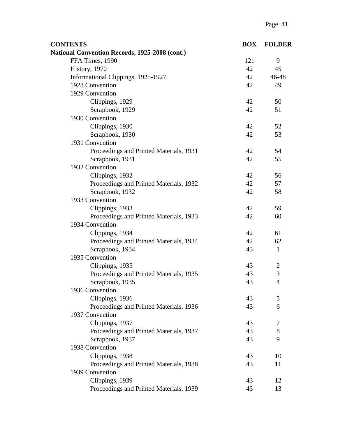| <b>CONTENTS</b>                                | <b>BOX</b> | <b>FOLDER</b>  |
|------------------------------------------------|------------|----------------|
| National Convention Records, 1925-2008 (cont.) |            |                |
| FFA Times, 1990                                | 121        | 9              |
| History, 1970                                  | 42         | 45             |
| Informational Clippings, 1925-1927             | 42         | 46-48          |
| 1928 Convention                                | 42         | 49             |
| 1929 Convention                                |            |                |
| Clippings, 1929                                | 42         | 50             |
| Scrapbook, 1929                                | 42         | 51             |
| 1930 Convention                                |            |                |
| Clippings, 1930                                | 42         | 52             |
| Scrapbook, 1930                                | 42         | 53             |
| 1931 Convention                                |            |                |
| Proceedings and Printed Materials, 1931        | 42         | 54             |
| Scrapbook, 1931                                | 42         | 55             |
| 1932 Convention                                |            |                |
| Clippings, 1932                                | 42         | 56             |
| Proceedings and Printed Materials, 1932        | 42         | 57             |
| Scrapbook, 1932                                | 42         | 58             |
| 1933 Convention                                |            |                |
| Clippings, 1933                                | 42         | 59             |
| Proceedings and Printed Materials, 1933        | 42         | 60             |
| 1934 Convention                                |            |                |
| Clippings, 1934                                | 42         | 61             |
| Proceedings and Printed Materials, 1934        | 42         | 62             |
| Scrapbook, 1934                                | 43         | $\mathbf{1}$   |
| 1935 Convention                                |            |                |
| Clippings, 1935                                | 43         | $\mathbf{2}$   |
| Proceedings and Printed Materials, 1935        | 43         | 3              |
| Scrapbook, 1935                                | 43         | $\overline{4}$ |
| 1936 Convention                                |            |                |
| Clippings, 1936                                | 43         | 5              |
| Proceedings and Printed Materials, 1936        | 43         | 6              |
| 1937 Convention                                |            |                |
| Clippings, 1937                                | 43         | 7              |
| Proceedings and Printed Materials, 1937        | 43         | $8\,$          |
| Scrapbook, 1937                                | 43         | 9              |
| 1938 Convention                                |            |                |
| Clippings, 1938                                | 43         | 10             |
| Proceedings and Printed Materials, 1938        | 43         | 11             |
| 1939 Convention                                |            |                |
| Clippings, 1939                                | 43         | 12             |
| Proceedings and Printed Materials, 1939        | 43         | 13             |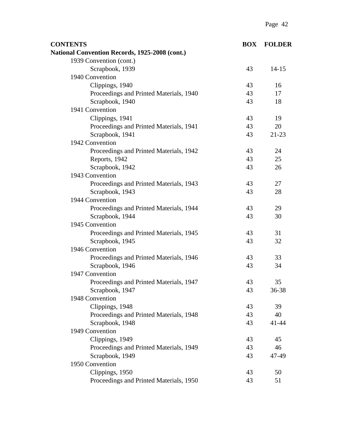| <b>CONTENTS</b>                                | <b>BOX</b> | <b>FOLDER</b> |
|------------------------------------------------|------------|---------------|
| National Convention Records, 1925-2008 (cont.) |            |               |
| 1939 Convention (cont.)                        |            |               |
| Scrapbook, 1939                                | 43         | $14 - 15$     |
| 1940 Convention                                |            |               |
| Clippings, 1940                                | 43         | 16            |
| Proceedings and Printed Materials, 1940        | 43         | 17            |
| Scrapbook, 1940                                | 43         | 18            |
| 1941 Convention                                |            |               |
| Clippings, 1941                                | 43         | 19            |
| Proceedings and Printed Materials, 1941        | 43         | 20            |
| Scrapbook, 1941                                | 43         | $21 - 23$     |
| 1942 Convention                                |            |               |
| Proceedings and Printed Materials, 1942        | 43         | 24            |
| Reports, 1942                                  | 43         | 25            |
| Scrapbook, 1942                                | 43         | 26            |
| 1943 Convention                                |            |               |
| Proceedings and Printed Materials, 1943        | 43         | 27            |
| Scrapbook, 1943                                | 43         | 28            |
| 1944 Convention                                |            |               |
| Proceedings and Printed Materials, 1944        | 43         | 29            |
| Scrapbook, 1944                                | 43         | 30            |
| 1945 Convention                                |            |               |
| Proceedings and Printed Materials, 1945        | 43         | 31            |
| Scrapbook, 1945                                | 43         | 32            |
| 1946 Convention                                |            |               |
| Proceedings and Printed Materials, 1946        | 43         | 33            |
| Scrapbook, 1946                                | 43         | 34            |
| 1947 Convention                                |            |               |
| Proceedings and Printed Materials, 1947        | 43         | 35            |
| Scrapbook, 1947                                | 43         | 36-38         |
| 1948 Convention                                |            |               |
| Clippings, 1948                                | 43         | 39            |
| Proceedings and Printed Materials, 1948        | 43         | 40            |
| Scrapbook, 1948                                | 43         | 41-44         |
| 1949 Convention                                |            |               |
| Clippings, 1949                                | 43         | 45            |
| Proceedings and Printed Materials, 1949        | 43         | 46            |
| Scrapbook, 1949                                | 43         | 47-49         |
| 1950 Convention                                |            |               |
| Clippings, 1950                                | 43         | 50            |
| Proceedings and Printed Materials, 1950        | 43         | 51            |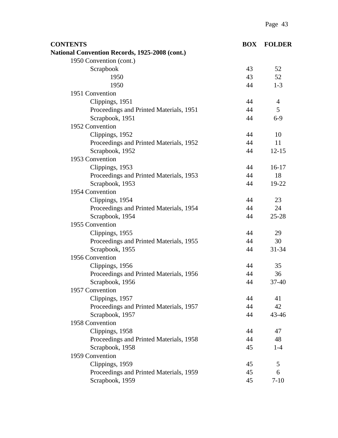| <b>CONTENTS</b>                                | <b>BOX</b> | <b>FOLDER</b>  |
|------------------------------------------------|------------|----------------|
| National Convention Records, 1925-2008 (cont.) |            |                |
| 1950 Convention (cont.)                        |            |                |
| Scrapbook                                      | 43         | 52             |
| 1950                                           | 43         | 52             |
| 1950                                           | 44         | $1 - 3$        |
| 1951 Convention                                |            |                |
| Clippings, 1951                                | 44         | $\overline{4}$ |
| Proceedings and Printed Materials, 1951        | 44         | 5              |
| Scrapbook, 1951                                | 44         | $6-9$          |
| 1952 Convention                                |            |                |
| Clippings, 1952                                | 44         | 10             |
| Proceedings and Printed Materials, 1952        | 44         | 11             |
| Scrapbook, 1952                                | 44         | $12 - 15$      |
| 1953 Convention                                |            |                |
| Clippings, 1953                                | 44         | $16-17$        |
| Proceedings and Printed Materials, 1953        | 44         | 18             |
| Scrapbook, 1953                                | 44         | 19-22          |
| 1954 Convention                                |            |                |
| Clippings, 1954                                | 44         | 23             |
| Proceedings and Printed Materials, 1954        | 44         | 24             |
| Scrapbook, 1954                                | 44         | $25 - 28$      |
| 1955 Convention                                |            |                |
| Clippings, 1955                                | 44         | 29             |
| Proceedings and Printed Materials, 1955        | 44         | 30             |
| Scrapbook, 1955                                | 44         | 31-34          |
| 1956 Convention                                |            |                |
| Clippings, 1956                                | 44         | 35             |
| Proceedings and Printed Materials, 1956        | 44         | 36             |
| Scrapbook, 1956                                | 44         | $37 - 40$      |
| 1957 Convention                                |            |                |
| Clippings, 1957                                | 44         | 41             |
| Proceedings and Printed Materials, 1957        | 44         | 42             |
| Scrapbook, 1957                                | 44         | 43-46          |
| 1958 Convention                                |            |                |
| Clippings, 1958                                | 44         | 47             |
| Proceedings and Printed Materials, 1958        | 44         | 48             |
| Scrapbook, 1958                                | 45         | $1-4$          |
| 1959 Convention                                |            |                |
| Clippings, 1959                                | 45         | 5              |
| Proceedings and Printed Materials, 1959        | 45         | 6              |
| Scrapbook, 1959                                | 45         | $7 - 10$       |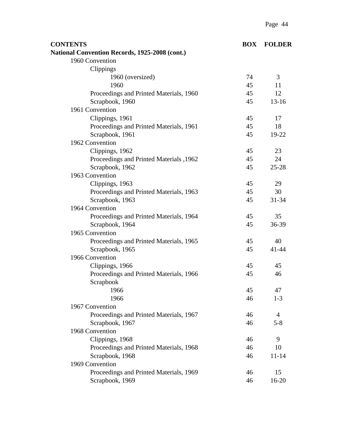| <b>CONTENTS</b>                                | <b>BOX</b> | <b>FOLDER</b>             |
|------------------------------------------------|------------|---------------------------|
| National Convention Records, 1925-2008 (cont.) |            |                           |
| 1960 Convention                                |            |                           |
| Clippings                                      |            |                           |
| 1960 (oversized)                               | 74         | 3                         |
| 1960                                           | 45         | 11                        |
| Proceedings and Printed Materials, 1960        | 45         | 12                        |
| Scrapbook, 1960                                | 45         | $13-16$                   |
| 1961 Convention                                |            |                           |
| Clippings, 1961                                | 45         | 17                        |
| Proceedings and Printed Materials, 1961        | 45         | 18                        |
| Scrapbook, 1961                                | 45         | 19-22                     |
| 1962 Convention                                |            |                           |
| Clippings, 1962                                | 45         | 23                        |
| Proceedings and Printed Materials , 1962       | 45         | 24                        |
| Scrapbook, 1962                                | 45         | $25 - 28$                 |
| 1963 Convention                                |            |                           |
| Clippings, 1963                                | 45         | 29                        |
| Proceedings and Printed Materials, 1963        | 45         | 30                        |
| Scrapbook, 1963                                | 45         | 31-34                     |
| 1964 Convention                                |            |                           |
| Proceedings and Printed Materials, 1964        | 45         | 35                        |
| Scrapbook, 1964                                | 45         | 36-39                     |
| 1965 Convention                                |            |                           |
| Proceedings and Printed Materials, 1965        | 45         | 40                        |
| Scrapbook, 1965                                | 45         | $41 - 44$                 |
| 1966 Convention                                |            |                           |
| Clippings, 1966                                | 45         | 45                        |
| Proceedings and Printed Materials, 1966        | 45         | 46                        |
| Scrapbook                                      |            |                           |
| 1966                                           | 45         | 47                        |
| 1966                                           | 46         | $1 - 3$                   |
| 1967 Convention                                |            |                           |
| Proceedings and Printed Materials, 1967        | 46<br>46   | $\overline{4}$<br>$5 - 8$ |
| Scrapbook, 1967<br>1968 Convention             |            |                           |
| Clippings, 1968                                | 46         | 9                         |
| Proceedings and Printed Materials, 1968        | 46         | 10                        |
| Scrapbook, 1968                                | 46         | $11 - 14$                 |
| 1969 Convention                                |            |                           |
| Proceedings and Printed Materials, 1969        | 46         | 15                        |
| Scrapbook, 1969                                | 46         | 16-20                     |
|                                                |            |                           |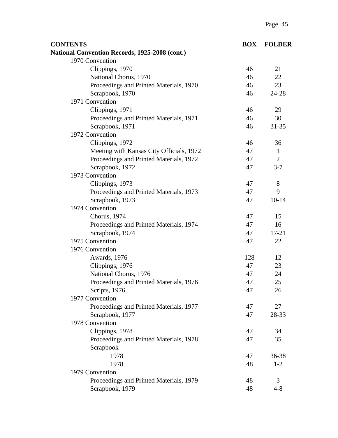| <b>CONTENTS</b>                                | <b>BOX</b> | <b>FOLDER</b>  |
|------------------------------------------------|------------|----------------|
| National Convention Records, 1925-2008 (cont.) |            |                |
| 1970 Convention                                |            |                |
| Clippings, 1970                                | 46         | 21             |
| National Chorus, 1970                          | 46         | 22             |
| Proceedings and Printed Materials, 1970        | 46         | 23             |
| Scrapbook, 1970                                | 46         | 24-28          |
| 1971 Convention                                |            |                |
| Clippings, 1971                                | 46         | 29             |
| Proceedings and Printed Materials, 1971        | 46         | 30             |
| Scrapbook, 1971                                | 46         | $31 - 35$      |
| 1972 Convention                                |            |                |
| Clippings, 1972                                | 46         | 36             |
| Meeting with Kansas City Officials, 1972       | 47         | $\mathbf{1}$   |
| Proceedings and Printed Materials, 1972        | 47         | $\overline{2}$ |
| Scrapbook, 1972                                | 47         | $3 - 7$        |
| 1973 Convention                                |            |                |
| Clippings, 1973                                | 47         | 8              |
| Proceedings and Printed Materials, 1973        | 47         | 9              |
| Scrapbook, 1973                                | 47         | $10 - 14$      |
| 1974 Convention                                |            |                |
| Chorus, 1974                                   | 47         | 15             |
| Proceedings and Printed Materials, 1974        | 47         | 16             |
| Scrapbook, 1974                                | 47         | $17 - 21$      |
| 1975 Convention                                | 47         | 22             |
| 1976 Convention                                |            |                |
| Awards, 1976                                   | 128        | 12             |
| Clippings, 1976                                | 47         | 23             |
| National Chorus, 1976                          | 47         | 24             |
| Proceedings and Printed Materials, 1976        | 47         | 25             |
| Scripts, 1976                                  | 47         | 26             |
| 1977 Convention                                |            |                |
| Proceedings and Printed Materials, 1977        | 47         | 27             |
| Scrapbook, 1977                                | 47         | 28-33          |
| 1978 Convention                                |            |                |
| Clippings, 1978                                | 47         | 34             |
| Proceedings and Printed Materials, 1978        | 47         | 35             |
| Scrapbook                                      |            |                |
| 1978                                           | 47         | 36-38          |
| 1978                                           | 48         | $1 - 2$        |
| 1979 Convention                                |            |                |
| Proceedings and Printed Materials, 1979        | 48         | 3              |
| Scrapbook, 1979                                | 48         | $4 - 8$        |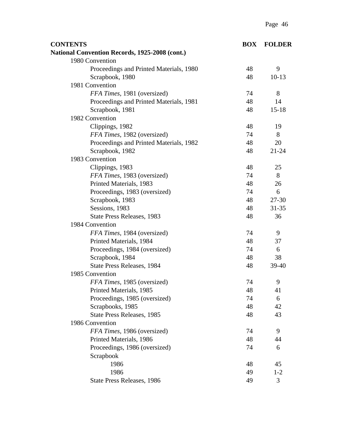| <b>CONTENTS</b>                                | <b>BOX</b> | <b>FOLDER</b> |
|------------------------------------------------|------------|---------------|
| National Convention Records, 1925-2008 (cont.) |            |               |
| 1980 Convention                                |            |               |
| Proceedings and Printed Materials, 1980        | 48         | 9             |
| Scrapbook, 1980                                | 48         | $10-13$       |
| 1981 Convention                                |            |               |
| FFA Times, 1981 (oversized)                    | 74         | 8             |
| Proceedings and Printed Materials, 1981        | 48         | 14            |
| Scrapbook, 1981                                | 48         | $15 - 18$     |
| 1982 Convention                                |            |               |
| Clippings, 1982                                | 48         | 19            |
| FFA Times, 1982 (oversized)                    | 74         | 8             |
| Proceedings and Printed Materials, 1982        | 48         | 20            |
| Scrapbook, 1982                                | 48         | $21 - 24$     |
| 1983 Convention                                |            |               |
| Clippings, 1983                                | 48         | 25            |
| FFA Times, 1983 (oversized)                    | 74         | 8             |
| Printed Materials, 1983                        | 48         | 26            |
| Proceedings, 1983 (oversized)                  | 74         | 6             |
| Scrapbook, 1983                                | 48         | 27-30         |
| Sessions, 1983                                 | 48         | $31 - 35$     |
| State Press Releases, 1983                     | 48         | 36            |
| 1984 Convention                                |            |               |
| FFA Times, 1984 (oversized)                    | 74         | 9             |
| Printed Materials, 1984                        | 48         | 37            |
| Proceedings, 1984 (oversized)                  | 74         | 6             |
| Scrapbook, 1984                                | 48         | 38            |
| <b>State Press Releases, 1984</b>              | 48         | $39-40$       |
| 1985 Convention                                |            |               |
| FFA Times, 1985 (oversized)                    | 74         | 9             |
| Printed Materials, 1985                        | 48         | 41            |
| Proceedings, 1985 (oversized)                  | 74         | 6             |
| Scrapbooks, 1985                               | 48         | 42            |
| State Press Releases, 1985                     | 48         | 43            |
| 1986 Convention                                |            |               |
| FFA Times, 1986 (oversized)                    | 74         | 9             |
| Printed Materials, 1986                        | 48         | 44            |
| Proceedings, 1986 (oversized)                  | 74         | 6             |
| Scrapbook                                      |            |               |
| 1986                                           | 48         | 45            |
| 1986                                           | 49         | $1 - 2$       |
| State Press Releases, 1986                     | 49         | 3             |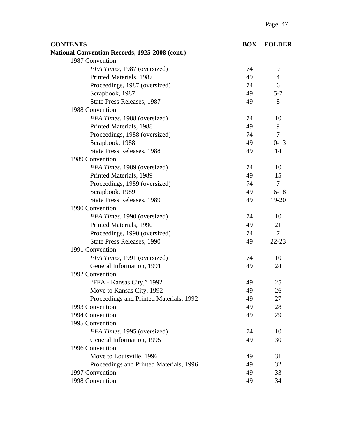| <b>CONTENTS</b>                                       | <b>BOX</b> | <b>FOLDER</b>  |
|-------------------------------------------------------|------------|----------------|
| <b>National Convention Records, 1925-2008 (cont.)</b> |            |                |
| 1987 Convention                                       |            |                |
| FFA Times, 1987 (oversized)                           | 74         | 9              |
| Printed Materials, 1987                               | 49         | $\overline{4}$ |
| Proceedings, 1987 (oversized)                         | 74         | 6              |
| Scrapbook, 1987                                       | 49         | $5 - 7$        |
| State Press Releases, 1987                            | 49         | 8              |
| 1988 Convention                                       |            |                |
| FFA Times, 1988 (oversized)                           | 74         | 10             |
| Printed Materials, 1988                               | 49         | 9              |
| Proceedings, 1988 (oversized)                         | 74         | $\overline{7}$ |
| Scrapbook, 1988                                       | 49         | $10-13$        |
| <b>State Press Releases, 1988</b>                     | 49         | 14             |
| 1989 Convention                                       |            |                |
| FFA Times, 1989 (oversized)                           | 74         | 10             |
| Printed Materials, 1989                               | 49         | 15             |
| Proceedings, 1989 (oversized)                         | 74         | $\tau$         |
| Scrapbook, 1989                                       | 49         | $16-18$        |
| <b>State Press Releases, 1989</b>                     | 49         | 19-20          |
| 1990 Convention                                       |            |                |
| FFA Times, 1990 (oversized)                           | 74         | 10             |
| Printed Materials, 1990                               | 49         | 21             |
| Proceedings, 1990 (oversized)                         | 74         | $\overline{7}$ |
| <b>State Press Releases, 1990</b>                     | 49         | $22 - 23$      |
| 1991 Convention                                       |            |                |
| FFA Times, 1991 (oversized)                           | 74         | 10             |
| General Information, 1991                             | 49         | 24             |
| 1992 Convention                                       |            |                |
| "FFA - Kansas City," 1992                             | 49         | 25             |
| Move to Kansas City, 1992                             | 49         | 26             |
| Proceedings and Printed Materials, 1992               | 49         | 27             |
| 1993 Convention                                       | 49         | 28             |
| 1994 Convention                                       | 49         | 29             |
| 1995 Convention                                       |            |                |
| FFA Times, 1995 (oversized)                           | 74         | 10             |
| General Information, 1995                             | 49         | 30             |
| 1996 Convention                                       |            |                |
| Move to Louisville, 1996                              | 49         | 31             |
| Proceedings and Printed Materials, 1996               | 49         | 32             |
| 1997 Convention                                       | 49         | 33             |
| 1998 Convention                                       | 49         | 34             |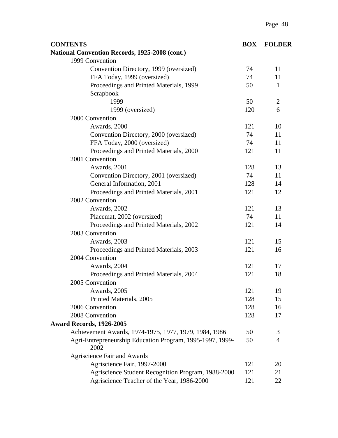| <b>CONTENTS</b>                                                   | <b>BOX</b> | <b>FOLDER</b>  |
|-------------------------------------------------------------------|------------|----------------|
| National Convention Records, 1925-2008 (cont.)                    |            |                |
| 1999 Convention                                                   |            |                |
| Convention Directory, 1999 (oversized)                            | 74         | 11             |
| FFA Today, 1999 (oversized)                                       | 74         | 11             |
| Proceedings and Printed Materials, 1999                           | 50         | $\mathbf{1}$   |
| Scrapbook                                                         |            |                |
| 1999                                                              | 50         | $\overline{2}$ |
| 1999 (oversized)                                                  | 120        | 6              |
| 2000 Convention                                                   |            |                |
| Awards, 2000                                                      | 121        | 10             |
| Convention Directory, 2000 (oversized)                            | 74         | 11             |
| FFA Today, 2000 (oversized)                                       | 74         | 11             |
| Proceedings and Printed Materials, 2000                           | 121        | 11             |
| 2001 Convention                                                   |            |                |
| Awards, 2001                                                      | 128        | 13             |
| Convention Directory, 2001 (oversized)                            | 74         | 11             |
| General Information, 2001                                         | 128        | 14             |
| Proceedings and Printed Materials, 2001                           | 121        | 12             |
| 2002 Convention                                                   |            |                |
| Awards, 2002                                                      | 121        | 13             |
| Placemat, 2002 (oversized)                                        | 74         | 11             |
| Proceedings and Printed Materials, 2002                           | 121        | 14             |
| 2003 Convention                                                   |            |                |
| Awards, 2003                                                      | 121        | 15             |
| Proceedings and Printed Materials, 2003                           | 121        | 16             |
| 2004 Convention                                                   |            |                |
| Awards, 2004                                                      | 121        | 17             |
| Proceedings and Printed Materials, 2004                           | 121        | 18             |
| 2005 Convention                                                   |            |                |
| Awards, 2005                                                      | 121        | 19             |
| Printed Materials, 2005                                           | 128        | 15             |
| 2006 Convention                                                   | 128        | 16             |
| 2008 Convention                                                   | 128        | 17             |
| <b>Award Records, 1926-2005</b>                                   |            |                |
| Achievement Awards, 1974-1975, 1977, 1979, 1984, 1986             | 50         | 3              |
| Agri-Entrepreneurship Education Program, 1995-1997, 1999-<br>2002 | 50         | $\overline{4}$ |
| Agriscience Fair and Awards                                       |            |                |
| Agriscience Fair, 1997-2000                                       | 121        | 20             |
| Agriscience Student Recognition Program, 1988-2000                | 121        | 21             |
| Agriscience Teacher of the Year, 1986-2000                        | 121        | 22             |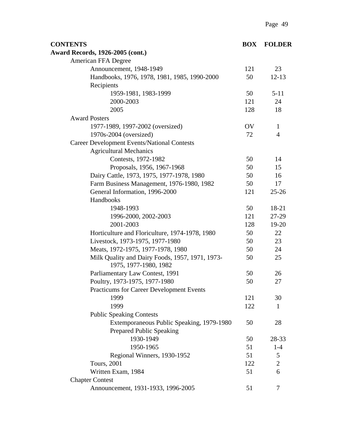| <b>CONTENTS</b>                                                              | <b>BOX</b> | <b>FOLDER</b>  |
|------------------------------------------------------------------------------|------------|----------------|
| <b>Award Records, 1926-2005 (cont.)</b>                                      |            |                |
| American FFA Degree                                                          |            |                |
| Announcement, 1948-1949                                                      | 121        | 23             |
| Handbooks, 1976, 1978, 1981, 1985, 1990-2000                                 | 50         | $12 - 13$      |
| Recipients                                                                   |            |                |
| 1959-1981, 1983-1999                                                         | 50         | $5 - 11$       |
| 2000-2003                                                                    | 121        | 24             |
| 2005                                                                         | 128        | 18             |
| <b>Award Posters</b>                                                         |            |                |
| 1977-1989, 1997-2002 (oversized)                                             | OV         | 1              |
| 1970s-2004 (oversized)                                                       | 72         | $\overline{4}$ |
| <b>Career Development Events/National Contests</b>                           |            |                |
| <b>Agricultural Mechanics</b>                                                |            |                |
| Contests, 1972-1982                                                          | 50         | 14             |
| Proposals, 1956, 1967-1968                                                   | 50         | 15             |
| Dairy Cattle, 1973, 1975, 1977-1978, 1980                                    | 50         | 16             |
| Farm Business Management, 1976-1980, 1982                                    | 50         | 17             |
| General Information, 1996-2000                                               | 121        | $25 - 26$      |
| Handbooks                                                                    |            |                |
| 1948-1993                                                                    | 50         | 18-21          |
| 1996-2000, 2002-2003                                                         | 121        | 27-29          |
| 2001-2003                                                                    | 128        | $19 - 20$      |
| Horticulture and Floriculture, 1974-1978, 1980                               | 50         | 22             |
| Livestock, 1973-1975, 1977-1980                                              | 50         | 23             |
| Meats, 1972-1975, 1977-1978, 1980                                            | 50         | 24             |
| Milk Quality and Dairy Foods, 1957, 1971, 1973-<br>1975, 1977-1980, 1982     | 50         | 25             |
| Parliamentary Law Contest, 1991                                              | 50         | 26             |
| Poultry, 1973-1975, 1977-1980                                                | 50         | 27             |
| <b>Practicums for Career Development Events</b>                              |            |                |
| 1999                                                                         | 121        | 30             |
| 1999                                                                         | 122        | $\mathbf{1}$   |
| <b>Public Speaking Contests</b>                                              |            |                |
| Extemporaneous Public Speaking, 1979-1980<br><b>Prepared Public Speaking</b> | 50         | 28             |
| 1930-1949                                                                    | 50         | 28-33          |
| 1950-1965                                                                    | 51         | $1-4$          |
| Regional Winners, 1930-1952                                                  | 51         | 5              |
| <b>Tours</b> , 2001                                                          | 122        | $\sqrt{2}$     |
| Written Exam, 1984                                                           | 51         | 6              |
| <b>Chapter Contest</b>                                                       |            |                |
| Announcement, 1931-1933, 1996-2005                                           | 51         | 7              |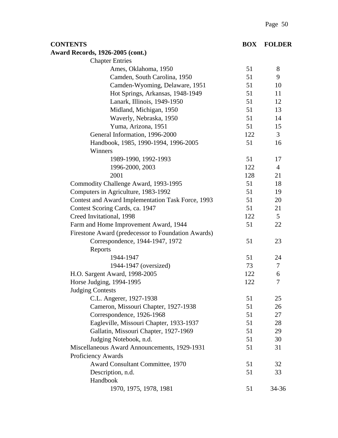|                                                    |            | $1 \, \text{a}$ gu $30$ |
|----------------------------------------------------|------------|-------------------------|
| <b>CONTENTS</b>                                    | <b>BOX</b> | <b>FOLDER</b>           |
| <b>Award Records, 1926-2005 (cont.)</b>            |            |                         |
| <b>Chapter Entries</b>                             |            |                         |
| Ames, Oklahoma, 1950                               | 51         | 8                       |
| Camden, South Carolina, 1950                       | 51         | 9                       |
| Camden-Wyoming, Delaware, 1951                     | 51         | 10                      |
| Hot Springs, Arkansas, 1948-1949                   | 51         | 11                      |
| Lanark, Illinois, 1949-1950                        | 51         | 12                      |
| Midland, Michigan, 1950                            | 51         | 13                      |
| Waverly, Nebraska, 1950                            | 51         | 14                      |
| Yuma, Arizona, 1951                                | 51         | 15                      |
| General Information, 1996-2000                     | 122        | 3                       |
| Handbook, 1985, 1990-1994, 1996-2005               | 51         | 16                      |
| Winners                                            |            |                         |
| 1989-1990, 1992-1993                               | 51         | 17                      |
| 1996-2000, 2003                                    | 122        | $\overline{4}$          |
| 2001                                               | 128        | 21                      |
| Commodity Challenge Award, 1993-1995               | 51         | 18                      |
| Computers in Agriculture, 1983-1992                | 51         | 19                      |
| Contest and Award Implementation Task Force, 1993  | 51         | 20                      |
| Contest Scoring Cards, ca. 1947                    | 51         | 21                      |
| Creed Invitational, 1998                           | 122        | 5                       |
| Farm and Home Improvement Award, 1944              | 51         | 22                      |
| Firestone Award (predecessor to Foundation Awards) |            |                         |
| Correspondence, 1944-1947, 1972                    | 51         | 23                      |
| Reports                                            |            |                         |
| 1944-1947                                          | 51         | 24                      |

1944-1947 (oversized) 73 7

H.O. Sargent Award, 1998-2005 122 6 Horse Judging, 1994-1995 122 7

Miscellaneous Award Announcements, 1929-1931 51 31

C.L. Angerer, 1927-1938 51 25 Cameron, Missouri Chapter, 1927-1938 51 51 51 Correspondence, 1926-1968 51 27 Eagleville, Missouri Chapter, 1933-1937 51 28 Gallatin, Missouri Chapter, 1927-1969 51 39 Judging Notebook, n.d. 51 30

Award Consultant Committee, 1970 51 32 Description, n.d. 51 33

1970, 1975, 1978, 1981 51 34-36

Judging Contests

Proficiency Awards

Handbook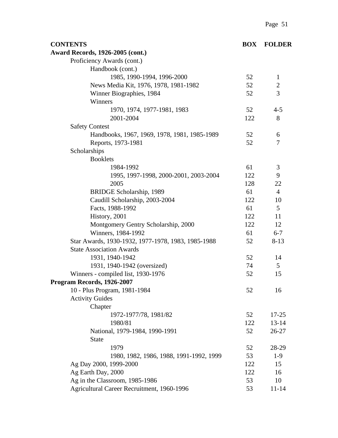| <b>CONTENTS</b>                                    | <b>BOX</b> | <b>FOLDER</b>  |
|----------------------------------------------------|------------|----------------|
| <b>Award Records, 1926-2005 (cont.)</b>            |            |                |
| Proficiency Awards (cont.)                         |            |                |
| Handbook (cont.)                                   |            |                |
| 1985, 1990-1994, 1996-2000                         | 52         | 1              |
| News Media Kit, 1976, 1978, 1981-1982              | 52         | $\overline{2}$ |
| Winner Biographies, 1984                           | 52         | 3              |
| Winners                                            |            |                |
| 1970, 1974, 1977-1981, 1983                        | 52         | $4 - 5$        |
| 2001-2004                                          | 122        | 8              |
| <b>Safety Contest</b>                              |            |                |
| Handbooks, 1967, 1969, 1978, 1981, 1985-1989       | 52         | 6              |
| Reports, 1973-1981                                 | 52         | 7              |
| Scholarships                                       |            |                |
| <b>Booklets</b>                                    |            |                |
| 1984-1992                                          | 61         | 3              |
| 1995, 1997-1998, 2000-2001, 2003-2004              | 122        | 9              |
| 2005                                               | 128        | 22             |
| BRIDGE Scholarship, 1989                           | 61         | $\overline{4}$ |
| Caudill Scholarship, 2003-2004                     | 122        | 10             |
| Facts, 1988-1992                                   | 61         | 5              |
| History, 2001                                      | 122        | 11             |
| Montgomery Gentry Scholarship, 2000                | 122        | 12             |
| Winners, 1984-1992                                 | 61         | $6 - 7$        |
| Star Awards, 1930-1932, 1977-1978, 1983, 1985-1988 | 52         | $8 - 13$       |
| <b>State Association Awards</b>                    |            |                |
| 1931, 1940-1942                                    | 52         | 14             |
| 1931, 1940-1942 (oversized)                        | 74         | 5              |
| Winners - compiled list, 1930-1976                 | 52         | 15             |
| Program Records, 1926-2007                         |            |                |
| 10 - Plus Program, 1981-1984                       | 52         | 16             |
| <b>Activity Guides</b>                             |            |                |
| Chapter                                            |            |                |
| 1972-1977/78, 1981/82                              | 52         | $17 - 25$      |
| 1980/81                                            | 122        | $13 - 14$      |
| National, 1979-1984, 1990-1991                     | 52         | $26 - 27$      |
| <b>State</b>                                       |            |                |
| 1979                                               | 52         | 28-29          |
| 1980, 1982, 1986, 1988, 1991-1992, 1999            | 53         | $1-9$          |
| Ag Day 2000, 1999-2000                             | 122        | 15             |
| Ag Earth Day, 2000                                 | 122        | 16             |
| Ag in the Classroom, 1985-1986                     | 53         | 10             |
| Agricultural Career Recruitment, 1960-1996         | 53         | $11 - 14$      |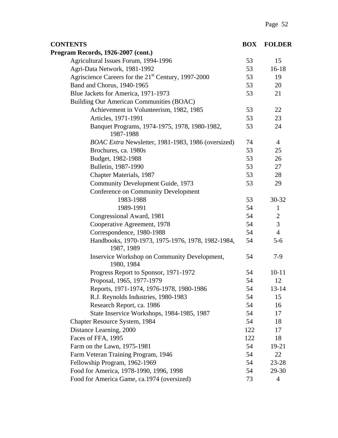| <b>CONTENTS</b>                                                 | <b>BOX</b> | <b>FOLDER</b>  |
|-----------------------------------------------------------------|------------|----------------|
| Program Records, 1926-2007 (cont.)                              |            |                |
| Agricultural Issues Forum, 1994-1996                            | 53         | 15             |
| Agri-Data Network, 1981-1992                                    | 53         | $16-18$        |
| Agriscience Careers for the 21 <sup>st</sup> Century, 1997-2000 | 53         | 19             |
| Band and Chorus, 1940-1965                                      | 53         | 20             |
| Blue Jackets for America, 1971-1973                             | 53         | 21             |
| Building Our American Communities (BOAC)                        |            |                |
| Achievement in Volunteerism, 1982, 1985                         | 53         | 22             |
| Articles, 1971-1991                                             | 53         | 23             |
| Banquet Programs, 1974-1975, 1978, 1980-1982,<br>1987-1988      | 53         | 24             |
| BOAC Extra Newsletter, 1981-1983, 1986 (oversized)              | 74         | $\overline{4}$ |
| Brochures, ca. 1980s                                            | 53         | 25             |
| Budget, 1982-1988                                               | 53         | 26             |
| Bulletin, 1987-1990                                             | 53         | 27             |
| Chapter Materials, 1987                                         | 53         | 28             |
| Community Development Guide, 1973                               | 53         | 29             |
| <b>Conference on Community Development</b>                      |            |                |
| 1983-1988                                                       | 53         | 30-32          |
| 1989-1991                                                       | 54         | $\mathbf{1}$   |
| Congressional Award, 1981                                       | 54         | 2              |
| Cooperative Agreement, 1978                                     | 54         | 3              |
| Correspondence, 1980-1988                                       | 54         | $\overline{4}$ |
| Handbooks, 1970-1973, 1975-1976, 1978, 1982-1984,<br>1987, 1989 | 54         | $5 - 6$        |
| Inservice Workshop on Community Development,<br>1980, 1984      | 54         | $7-9$          |
| Progress Report to Sponsor, 1971-1972                           | 54         | $10 - 11$      |
| Proposal, 1965, 1977-1979                                       | 54         | 12             |
| Reports, 1971-1974, 1976-1978, 1980-1986                        | 54         | $13 - 14$      |
| R.J. Reynolds Industries, 1980-1983                             | 54         | 15             |
| Research Report, ca. 1986                                       | 54         | 16             |
| State Inservice Workshops, 1984-1985, 1987                      | 54         | 17             |
| Chapter Resource System, 1984                                   | 54         | 18             |
| Distance Learning, 2000                                         | 122        | 17             |
| Faces of FFA, 1995                                              | 122        | 18             |
| Farm on the Lawn, 1975-1981                                     | 54         | 19-21          |
| Farm Veteran Training Program, 1946                             | 54         | 22             |
| Fellowship Program, 1962-1969                                   | 54         | 23-28          |
| Food for America, 1978-1990, 1996, 1998                         | 54         | 29-30          |
| Food for America Game, ca.1974 (oversized)                      | 73         | $\overline{4}$ |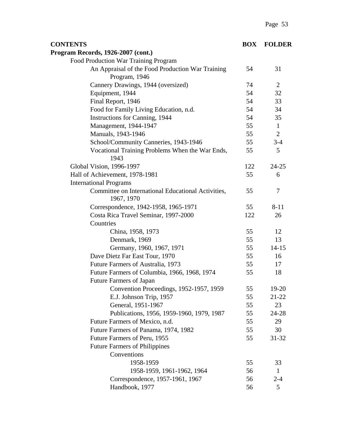| <b>CONTENTS</b>                                                   | <b>BOX</b> | <b>FOLDER</b>  |
|-------------------------------------------------------------------|------------|----------------|
| Program Records, 1926-2007 (cont.)                                |            |                |
| Food Production War Training Program                              |            |                |
| An Appraisal of the Food Production War Training<br>Program, 1946 | 54         | 31             |
| Cannery Drawings, 1944 (oversized)                                | 74         | 2              |
| Equipment, 1944                                                   | 54         | 32             |
| Final Report, 1946                                                | 54         | 33             |
| Food for Family Living Education, n.d.                            | 54         | 34             |
| Instructions for Canning, 1944                                    | 54         | 35             |
| Management, 1944-1947                                             | 55         | $\mathbf{1}$   |
| Manuals, 1943-1946                                                | 55         | $\overline{2}$ |
| School/Community Canneries, 1943-1946                             | 55         | $3 - 4$        |
| Vocational Training Problems When the War Ends,<br>1943           | 55         | 5              |
| Global Vision, 1996-1997                                          | 122        | $24 - 25$      |
| Hall of Achievement, 1978-1981                                    | 55         | 6              |
| <b>International Programs</b>                                     |            |                |
| Committee on International Educational Activities,<br>1967, 1970  | 55         | 7              |
| Correspondence, 1942-1958, 1965-1971                              | 55         | $8 - 11$       |
| Costa Rica Travel Seminar, 1997-2000                              | 122        | 26             |
| Countries                                                         |            |                |
| China, 1958, 1973                                                 | 55         | 12             |
| Denmark, 1969                                                     | 55         | 13             |
| Germany, 1960, 1967, 1971                                         | 55         | $14 - 15$      |
| Dave Dietz Far East Tour, 1970                                    | 55         | 16             |
| Future Farmers of Australia, 1973                                 | 55         | 17             |
| Future Farmers of Columbia, 1966, 1968, 1974                      | 55         | 18             |
| <b>Future Farmers of Japan</b>                                    |            |                |
| Convention Proceedings, 1952-1957, 1959                           | 55         | 19-20          |
| E.J. Johnson Trip, 1957                                           | 55         | $21 - 22$      |
| General, 1951-1967                                                | 55         | 23             |
| Publications, 1956, 1959-1960, 1979, 1987                         | 55         | 24-28          |
| Future Farmers of Mexico, n.d.                                    | 55         | 29             |
| Future Farmers of Panama, 1974, 1982                              | 55         | 30             |
| Future Farmers of Peru, 1955                                      | 55         | $31 - 32$      |
| <b>Future Farmers of Philippines</b>                              |            |                |
| Conventions                                                       |            |                |
| 1958-1959                                                         | 55         | 33             |
| 1958-1959, 1961-1962, 1964                                        | 56         | $\mathbf{1}$   |
| Correspondence, 1957-1961, 1967                                   | 56         | $2 - 4$        |
| Handbook, 1977                                                    | 56         | 5              |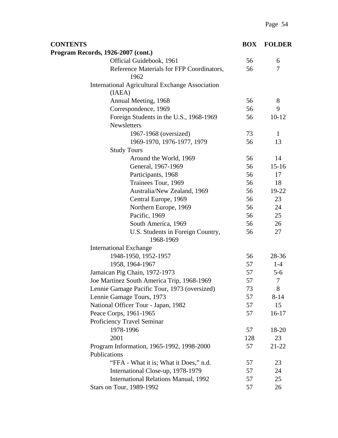| <b>CONTENTS</b>                                                  | <b>BOX</b> | <b>FOLDER</b> |
|------------------------------------------------------------------|------------|---------------|
| Program Records, 1926-2007 (cont.)                               |            |               |
| Official Guidebook, 1961                                         | 56         | 6             |
| Reference Materials for FFP Coordinators,<br>1962                | 56         | 7             |
| <b>International Agricultural Exchange Association</b><br>(IAEA) |            |               |
| Annual Meeting, 1968                                             | 56         | 8             |
| Correspondence, 1969                                             | 56         | 9             |
| Foreign Students in the U.S., 1968-1969<br>Newsletters           | 56         | $10-12$       |
| 1967-1968 (oversized)                                            | 73         | $\mathbf{1}$  |
| 1969-1970, 1976-1977, 1979                                       | 56         | 13            |
| <b>Study Tours</b>                                               |            |               |
| Around the World, 1969                                           | 56         | 14            |
| General, 1967-1969                                               | 56         | $15 - 16$     |
| Participants, 1968                                               | 56         | 17            |
| Trainees Tour, 1969                                              | 56         | 18            |
| Australia/New Zealand, 1969                                      | 56         | 19-22         |
| Central Europe, 1969                                             | 56         | 23            |
| Northern Europe, 1969                                            | 56         | 24            |
| Pacific, 1969                                                    | 56         | 25            |
| South America, 1969                                              | 56         | 26            |
| U.S. Students in Foreign Country,<br>1968-1969                   | 56         | 27            |
| <b>International Exchange</b>                                    |            |               |
| 1948-1950, 1952-1957                                             | 56         | 28-36         |
| 1958, 1964-1967                                                  | 57         | $1-4$         |
| Jamaican Pig Chain, 1972-1973                                    | 57         | $5 - 6$       |
| Joe Martinez South America Trip, 1968-1969                       | 57         | $\tau$        |
| Lennie Gamage Pacific Tour, 1973 (oversized)                     | 73         | 8             |
| Lennie Gamage Tours, 1973                                        | 57         | $8 - 14$      |
| National Officer Tour - Japan, 1982                              | 57         | 15            |
| Peace Corps, 1961-1965                                           | 57         | $16 - 17$     |
| Proficiency Travel Seminar                                       |            |               |
| 1978-1996                                                        | 57         | 18-20         |
| 2001                                                             | 128        | 23            |
| Program Information, 1965-1992, 1998-2000                        | 57         | 21-22         |
| Publications                                                     |            |               |
| "FFA - What it is; What it Does," n.d.                           | 57         | 23            |
| International Close-up, 1978-1979                                | 57         | 24            |
| <b>International Relations Manual, 1992</b>                      | 57         | 25            |
| Stars on Tour, 1989-1992                                         | 57         | 26            |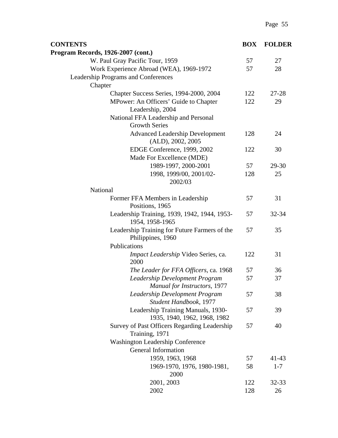| <b>CONTENTS</b>                                                              | <b>BOX</b> | <b>FOLDER</b> |
|------------------------------------------------------------------------------|------------|---------------|
| Program Records, 1926-2007 (cont.)                                           |            |               |
| W. Paul Gray Pacific Tour, 1959                                              | 57         | 27            |
| Work Experience Abroad (WEA), 1969-1972                                      | 57         | 28            |
| Leadership Programs and Conferences                                          |            |               |
| Chapter                                                                      |            |               |
| Chapter Success Series, 1994-2000, 2004                                      | 122        | $27 - 28$     |
| MPower: An Officers' Guide to Chapter<br>Leadership, 2004                    | 122        | 29            |
| National FFA Leadership and Personal<br><b>Growth Series</b>                 |            |               |
| <b>Advanced Leadership Development</b><br>(ALD), 2002, 2005                  | 128        | 24            |
| EDGE Conference, 1999, 2002                                                  | 122        | 30            |
| Made For Excellence (MDE)                                                    |            |               |
| 1989-1997, 2000-2001                                                         | 57         | 29-30         |
| 1998, 1999/00, 2001/02-<br>2002/03                                           | 128        | 25            |
| National                                                                     |            |               |
| Former FFA Members in Leadership<br>Positions, 1965                          | 57         | 31            |
| Leadership Training, 1939, 1942, 1944, 1953-<br>1954, 1958-1965              | 57         | 32-34         |
| Leadership Training for Future Farmers of the<br>Philippines, 1960           | 57         | 35            |
| Publications                                                                 |            |               |
| Impact Leadership Video Series, ca.<br>2000                                  | 122        | 31            |
| The Leader for FFA Officers, ca. 1968                                        | 57         | 36            |
| <b>Leadership Development Program</b><br><b>Manual for Instructors, 1977</b> | 57         | 37            |
| Leadership Development Program<br>Student Handbook, 1977                     | 57         | 38            |
| Leadership Training Manuals, 1930-<br>1935, 1940, 1962, 1968, 1982           | 57         | 39            |
| Survey of Past Officers Regarding Leadership                                 | 57         | 40            |
| Training, 1971                                                               |            |               |
| <b>Washington Leadership Conference</b>                                      |            |               |
| General Information                                                          |            |               |
| 1959, 1963, 1968                                                             | 57         | $41 - 43$     |
| 1969-1970, 1976, 1980-1981,<br>2000                                          | 58         | $1 - 7$       |
| 2001, 2003                                                                   | 122        | 32-33         |
| 2002                                                                         | 128        | 26            |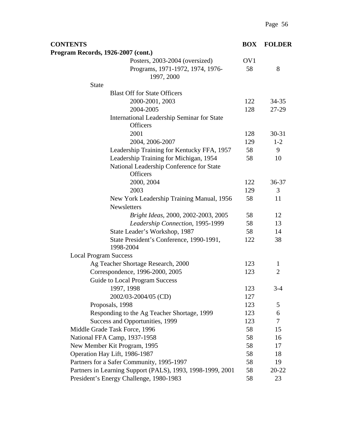| <b>CONTENTS</b>                                               | <b>BOX</b> | <b>FOLDER</b>  |
|---------------------------------------------------------------|------------|----------------|
| Program Records, 1926-2007 (cont.)                            |            |                |
| Posters, 2003-2004 (oversized)                                | OV1        |                |
| Programs, 1971-1972, 1974, 1976-<br>1997, 2000                | 58         | 8              |
| <b>State</b>                                                  |            |                |
| <b>Blast Off for State Officers</b>                           |            |                |
| 2000-2001, 2003                                               | 122        | $34 - 35$      |
| 2004-2005                                                     | 128        | 27-29          |
| International Leadership Seminar for State<br><b>Officers</b> |            |                |
| 2001                                                          | 128        | $30 - 31$      |
| 2004, 2006-2007                                               | 129        | $1 - 2$        |
| Leadership Training for Kentucky FFA, 1957                    | 58         | 9              |
| Leadership Training for Michigan, 1954                        | 58         | 10             |
| National Leadership Conference for State<br><b>Officers</b>   |            |                |
| 2000, 2004                                                    | 122        | 36-37          |
| 2003                                                          | 129        | 3              |
| New York Leadership Training Manual, 1956                     | 58         | 11             |
| <b>Newsletters</b>                                            |            |                |
| Bright Ideas, 2000, 2002-2003, 2005                           | 58         | 12             |
| Leadership Connection, 1995-1999                              | 58         | 13             |
| State Leader's Workshop, 1987                                 | 58         | 14             |
| State President's Conference, 1990-1991,<br>1998-2004         | 122        | 38             |
| <b>Local Program Success</b>                                  |            |                |
| Ag Teacher Shortage Research, 2000                            | 123        | 1              |
| Correspondence, 1996-2000, 2005                               | 123        | $\overline{2}$ |
| <b>Guide to Local Program Success</b>                         |            |                |
| 1997, 1998                                                    | 123        | $3 - 4$        |
| 2002/03-2004/05 (CD)                                          | 127        |                |
| Proposals, 1998                                               | 123        | 5              |
| Responding to the Ag Teacher Shortage, 1999                   | 123        | 6              |
| Success and Opportunities, 1999                               | 123        | 7              |
| Middle Grade Task Force, 1996                                 | 58         | 15             |
| National FFA Camp, 1937-1958                                  | 58         | 16             |
| New Member Kit Program, 1995                                  | 58         | 17             |
| Operation Hay Lift, 1986-1987                                 | 58         | 18             |
| Partners for a Safer Community, 1995-1997                     | 58         | 19             |
| Partners in Learning Support (PALS), 1993, 1998-1999, 2001    | 58         | 20-22          |
| President's Energy Challenge, 1980-1983                       | 58         | 23             |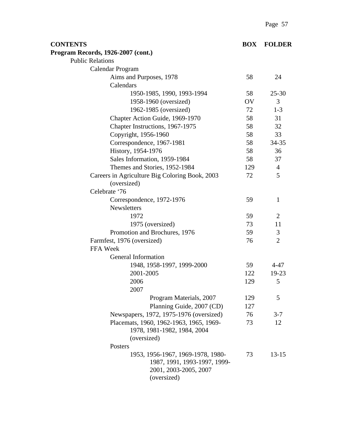| <b>CONTENTS</b>                                | <b>BOX</b> | <b>FOLDER</b>  |
|------------------------------------------------|------------|----------------|
| Program Records, 1926-2007 (cont.)             |            |                |
| <b>Public Relations</b>                        |            |                |
| Calendar Program                               |            |                |
| Aims and Purposes, 1978                        | 58         | 24             |
| Calendars                                      |            |                |
| 1950-1985, 1990, 1993-1994                     | 58         | $25 - 30$      |
| 1958-1960 (oversized)                          | OV         | 3              |
| 1962-1985 (oversized)                          | 72         | $1-3$          |
| Chapter Action Guide, 1969-1970                | 58         | 31             |
| Chapter Instructions, 1967-1975                | 58         | 32             |
| Copyright, 1956-1960                           | 58         | 33             |
| Correspondence, 1967-1981                      | 58         | 34-35          |
| History, 1954-1976                             | 58         | 36             |
| Sales Information, 1959-1984                   | 58         | 37             |
| Themes and Stories, 1952-1984                  | 129        | $\overline{4}$ |
| Careers in Agriculture Big Coloring Book, 2003 | 72         | 5              |
| (oversized)                                    |            |                |
| Celebrate '76                                  |            |                |
| Correspondence, 1972-1976                      | 59         | $\mathbf{1}$   |
| <b>Newsletters</b>                             |            |                |
| 1972                                           | 59         | $\overline{2}$ |
| 1975 (oversized)                               | 73         | 11             |
| Promotion and Brochures, 1976                  | 59         | 3              |
| Farmfest, 1976 (oversized)                     | 76         | $\overline{2}$ |
| FFA Week                                       |            |                |
| General Information                            |            |                |
| 1948, 1958-1997, 1999-2000                     | 59         | $4 - 47$       |
| 2001-2005                                      | 122        | 19-23          |
| 2006                                           | 129        | 5              |
| 2007                                           |            |                |
| Program Materials, 2007                        | 129        | 5              |
| Planning Guide, 2007 (CD)                      | 127        |                |
| Newspapers, 1972, 1975-1976 (oversized)        | 76         | $3 - 7$        |
| Placemats, 1960, 1962-1963, 1965, 1969-        | 73         | 12             |
| 1978, 1981-1982, 1984, 2004                    |            |                |
| (oversized)                                    |            |                |
| Posters                                        |            |                |
| 1953, 1956-1967, 1969-1978, 1980-              | 73         | $13 - 15$      |
| 1987, 1991, 1993-1997, 1999-                   |            |                |
| 2001, 2003-2005, 2007                          |            |                |
| (oversized)                                    |            |                |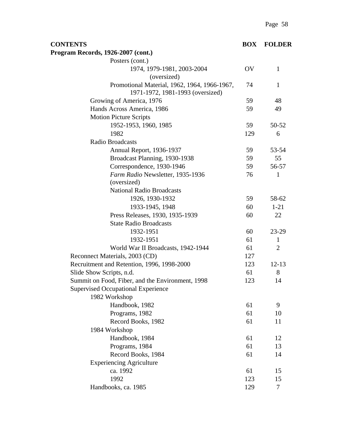| <b>CONTENTS</b>                                                                  | <b>BOX</b> | <b>FOLDER</b>  |
|----------------------------------------------------------------------------------|------------|----------------|
| Program Records, 1926-2007 (cont.)                                               |            |                |
| Posters (cont.)                                                                  |            |                |
| 1974, 1979-1981, 2003-2004                                                       | OV         | $\mathbf{1}$   |
| (oversized)                                                                      |            |                |
| Promotional Material, 1962, 1964, 1966-1967,<br>1971-1972, 1981-1993 (oversized) | 74         | $\mathbf{1}$   |
| Growing of America, 1976                                                         | 59         | 48             |
| Hands Across America, 1986                                                       | 59         | 49             |
| <b>Motion Picture Scripts</b>                                                    |            |                |
| 1952-1953, 1960, 1985                                                            | 59         | 50-52          |
| 1982                                                                             | 129        | 6              |
| Radio Broadcasts                                                                 |            |                |
| Annual Report, 1936-1937                                                         | 59         | 53-54          |
| Broadcast Planning, 1930-1938                                                    | 59         | 55             |
| Correspondence, 1930-1946                                                        | 59         | 56-57          |
| Farm Radio Newsletter, 1935-1936                                                 | 76         | $\mathbf{1}$   |
| (oversized)                                                                      |            |                |
| <b>National Radio Broadcasts</b>                                                 |            |                |
| 1926, 1930-1932                                                                  | 59         | 58-62          |
| 1933-1945, 1948                                                                  | 60         | $1 - 21$       |
| Press Releases, 1930, 1935-1939                                                  | 60         | 22             |
| <b>State Radio Broadcasts</b>                                                    |            |                |
| 1932-1951                                                                        | 60         | 23-29          |
| 1932-1951                                                                        | 61         | $\mathbf{1}$   |
| World War II Broadcasts, 1942-1944                                               | 61         | $\overline{2}$ |
| Reconnect Materials, 2003 (CD)                                                   | 127        |                |
| Recruitment and Retention, 1996, 1998-2000                                       | 123        | $12 - 13$      |
| Slide Show Scripts, n.d.                                                         | 61         | 8              |
| Summit on Food, Fiber, and the Environment, 1998                                 | 123        | 14             |
| <b>Supervised Occupational Experience</b>                                        |            |                |
| 1982 Workshop                                                                    |            |                |
| Handbook, 1982                                                                   | 61         | 9              |
| Programs, 1982                                                                   | 61         | 10             |
| Record Books, 1982                                                               | 61         | 11             |
| 1984 Workshop                                                                    |            |                |
| Handbook, 1984                                                                   | 61         | 12             |
| Programs, 1984                                                                   | 61         | 13             |
| Record Books, 1984                                                               | 61         | 14             |
| <b>Experiencing Agriculture</b>                                                  |            |                |
| ca. 1992                                                                         | 61         | 15             |
| 1992                                                                             | 123        | 15             |
| Handbooks, ca. 1985                                                              | 129        | 7              |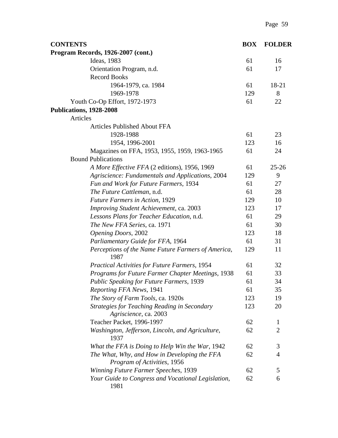| <b>CONTENTS</b>                                                              | <b>BOX</b> | <b>FOLDER</b>  |
|------------------------------------------------------------------------------|------------|----------------|
| Program Records, 1926-2007 (cont.)                                           |            |                |
| Ideas, 1983                                                                  | 61         | 16             |
| Orientation Program, n.d.                                                    | 61         | 17             |
| <b>Record Books</b>                                                          |            |                |
| 1964-1979, ca. 1984                                                          | 61         | 18-21          |
| 1969-1978                                                                    | 129        | 8              |
| Youth Co-Op Effort, 1972-1973                                                | 61         | 22             |
| Publications, 1928-2008                                                      |            |                |
| Articles                                                                     |            |                |
| <b>Articles Published About FFA</b>                                          |            |                |
| 1928-1988                                                                    | 61         | 23             |
| 1954, 1996-2001                                                              | 123        | 16             |
| Magazines on FFA, 1953, 1955, 1959, 1963-1965                                | 61         | 24             |
| <b>Bound Publications</b>                                                    |            |                |
| A More Effective FFA (2 editions), 1956, 1969                                | 61         | $25 - 26$      |
| Agriscience: Fundamentals and Applications, 2004                             | 129        | 9              |
| Fun and Work for Future Farmers, 1934                                        | 61         | 27             |
| The Future Cattleman, n.d.                                                   | 61         | 28             |
| <b>Future Farmers in Action, 1929</b>                                        | 129        | 10             |
| Improving Student Achievement, ca. 2003                                      | 123        | 17             |
| Lessons Plans for Teacher Education, n.d.                                    | 61         | 29             |
| The New FFA Series, ca. 1971                                                 | 61         | 30             |
| Opening Doors, 2002                                                          | 123        | 18             |
| Parliamentary Guide for FFA, 1964                                            | 61         | 31             |
| Perceptions of the Name Future Farmers of America,<br>1987                   | 129        | 11             |
| <b>Practical Activities for Future Farmers, 1954</b>                         | 61         | 32             |
| Programs for Future Farmer Chapter Meetings, 1938                            | 61         | 33             |
| <b>Public Speaking for Future Farmers, 1939</b>                              | 61         | 34             |
| Reporting FFA News, 1941                                                     | 61         | 35             |
| The Story of Farm Tools, ca. 1920s                                           | 123        | 19             |
| <b>Strategies for Teaching Reading in Secondary</b><br>Agriscience, ca. 2003 | 123        | 20             |
| Teacher Packet, 1996-1997                                                    | 62         | 1              |
| Washington, Jefferson, Lincoln, and Agriculture,<br>1937                     | 62         | $\overline{2}$ |
| What the FFA is Doing to Help Win the War, 1942                              | 62         | 3              |
| The What, Why, and How in Developing the FFA<br>Program of Activities, 1956  | 62         | $\overline{4}$ |
| Winning Future Farmer Speeches, 1939                                         | 62         | 5              |
| Your Guide to Congress and Vocational Legislation,<br>1981                   | 62         | 6              |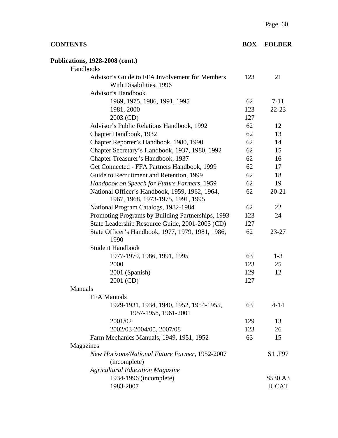| <b>CONTENTS</b>                                                 | <b>BOX</b> | <b>FOLDER</b> |
|-----------------------------------------------------------------|------------|---------------|
| <b>Publications, 1928-2008 (cont.)</b>                          |            |               |
| Handbooks                                                       |            |               |
| Advisor's Guide to FFA Involvement for Members                  | 123        | 21            |
| With Disabilities, 1996                                         |            |               |
| Advisor's Handbook                                              |            |               |
| 1969, 1975, 1986, 1991, 1995                                    | 62         | $7 - 11$      |
| 1981, 2000                                                      | 123        | $22 - 23$     |
| 2003 (CD)                                                       | 127        |               |
| Advisor's Public Relations Handbook, 1992                       | 62         | 12            |
| Chapter Handbook, 1932                                          | 62         | 13            |
| Chapter Reporter's Handbook, 1980, 1990                         | 62         | 14            |
| Chapter Secretary's Handbook, 1937, 1980, 1992                  | 62         | 15            |
| Chapter Treasurer's Handbook, 1937                              | 62         | 16            |
| Get Connected - FFA Partners Handbook, 1999                     | 62         | 17            |
| Guide to Recruitment and Retention, 1999                        | 62         | 18            |
| Handbook on Speech for Future Farmers, 1959                     | 62         | 19            |
| National Officer's Handbook, 1959, 1962, 1964,                  | 62         | $20 - 21$     |
| 1967, 1968, 1973-1975, 1991, 1995                               |            |               |
| National Program Catalogs, 1982-1984                            | 62         | 22            |
| Promoting Programs by Building Partnerships, 1993               | 123        | 24            |
| State Leadership Resource Guide, 2001-2005 (CD)                 | 127        |               |
| State Officer's Handbook, 1977, 1979, 1981, 1986,<br>1990       | 62         | 23-27         |
| <b>Student Handbook</b>                                         |            |               |
| 1977-1979, 1986, 1991, 1995                                     | 63         | $1-3$         |
| 2000                                                            | 123        | 25            |
| 2001 (Spanish)                                                  | 129        | 12            |
| 2001 (CD)                                                       | 127        |               |
| <b>Manuals</b>                                                  |            |               |
| <b>FFA Manuals</b>                                              |            |               |
| 1929-1931, 1934, 1940, 1952, 1954-1955,<br>1957-1958, 1961-2001 | 63         | $4 - 14$      |
| 2001/02                                                         | 129        | 13            |
| 2002/03-2004/05, 2007/08                                        | 123        | 26            |
| Farm Mechanics Manuals, 1949, 1951, 1952                        | 63         | 15            |
| Magazines                                                       |            |               |
| New Horizons/National Future Farmer, 1952-2007                  |            | S1 .F97       |
| (incomplete)                                                    |            |               |
| <b>Agricultural Education Magazine</b>                          |            |               |
| 1934-1996 (incomplete)                                          |            | S530.A3       |
| 1983-2007                                                       |            | <b>IUCAT</b>  |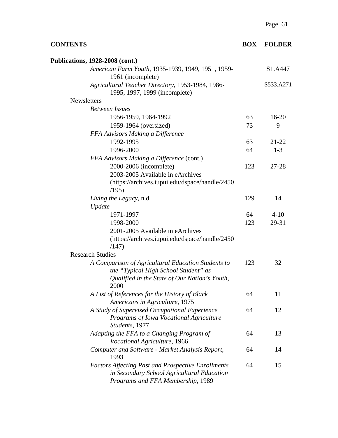| <b>CONTENTS</b>                                                                                                                                     | <b>BOX</b> | <b>FOLDER</b> |
|-----------------------------------------------------------------------------------------------------------------------------------------------------|------------|---------------|
| <b>Publications, 1928-2008 (cont.)</b>                                                                                                              |            |               |
| American Farm Youth, 1935-1939, 1949, 1951, 1959-<br>1961 (incomplete)                                                                              |            | S1.A447       |
| Agricultural Teacher Directory, 1953-1984, 1986-<br>1995, 1997, 1999 (incomplete)                                                                   |            | S533.A271     |
| <b>Newsletters</b>                                                                                                                                  |            |               |
| <b>Between Issues</b>                                                                                                                               |            |               |
| 1956-1959, 1964-1992                                                                                                                                | 63         | $16 - 20$     |
| 1959-1964 (oversized)                                                                                                                               | 73         | 9             |
| FFA Advisors Making a Difference                                                                                                                    |            |               |
| 1992-1995                                                                                                                                           | 63         | $21 - 22$     |
| 1996-2000                                                                                                                                           | 64         | $1-3$         |
| FFA Advisors Making a Difference (cont.)                                                                                                            |            |               |
| 2000-2006 (incomplete)                                                                                                                              | 123        | 27-28         |
| 2003-2005 Available in eArchives                                                                                                                    |            |               |
| (https://archives.iupui.edu/dspace/handle/2450<br>(195)                                                                                             |            |               |
| Living the Legacy, n.d.                                                                                                                             | 129        | 14            |
| Update                                                                                                                                              |            |               |
| 1971-1997                                                                                                                                           | 64         | $4 - 10$      |
| 1998-2000                                                                                                                                           | 123        | 29-31         |
| 2001-2005 Available in eArchives<br>(https://archives.iupui.edu/dspace/handle/2450<br>(147)                                                         |            |               |
| <b>Research Studies</b>                                                                                                                             |            |               |
| A Comparison of Agricultural Education Students to<br>the "Typical High School Student" as<br>Qualified in the State of Our Nation's Youth,<br>2000 | 123        | 32            |
| A List of References for the History of Black<br>Americans in Agriculture, 1975                                                                     | 64         | 11            |
| A Study of Supervised Occupational Experience<br>Programs of Iowa Vocational Agriculture<br>Students, 1977                                          | 64         | 12            |
| Adapting the FFA to a Changing Program of<br>Vocational Agriculture, 1966                                                                           | 64         | 13            |
| Computer and Software - Market Analysis Report,<br>1993                                                                                             | 64         | 14            |
| <b>Factors Affecting Past and Prospective Enrollments</b><br>in Secondary School Agricultural Education<br>Programs and FFA Membership, 1989        | 64         | 15            |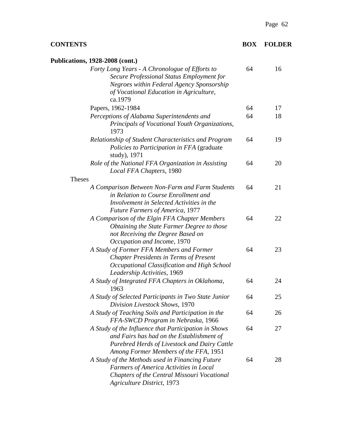## **CONTENTS BOX FOLDER**

| <b>Publications, 1928-2008 (cont.)</b>                                                                                                                                                         |    |    |
|------------------------------------------------------------------------------------------------------------------------------------------------------------------------------------------------|----|----|
| Forty Long Years - A Chronologue of Efforts to<br>Secure Professional Status Employment for<br>Negroes within Federal Agency Sponsorship<br>of Vocational Education in Agriculture,<br>ca.1979 | 64 | 16 |
| Papers, 1962-1984                                                                                                                                                                              | 64 | 17 |
| Perceptions of Alabama Superintendents and<br>Principals of Vocational Youth Organizations,<br>1973                                                                                            | 64 | 18 |
| Relationship of Student Characteristics and Program<br>Policies to Participation in FFA (graduate)<br>study), 1971                                                                             | 64 | 19 |
| Role of the National FFA Organization in Assisting<br>Local FFA Chapters, 1980                                                                                                                 | 64 | 20 |
| <b>Theses</b>                                                                                                                                                                                  |    |    |
| A Comparison Between Non-Farm and Farm Students<br>in Relation to Course Enrollment and<br>Involvement in Selected Activities in the<br><b>Future Farmers of America, 1977</b>                 | 64 | 21 |
| A Comparison of the Elgin FFA Chapter Members<br>Obtaining the State Farmer Degree to those<br>not Receiving the Degree Based on<br>Occupation and Income, 1970                                | 64 | 22 |
| A Study of Former FFA Members and Former<br><b>Chapter Presidents in Terms of Present</b><br>Occupational Classification and High School<br>Leadership Activities, 1969                        | 64 | 23 |
| A Study of Integrated FFA Chapters in Oklahoma,<br>1963                                                                                                                                        | 64 | 24 |
| A Study of Selected Participants in Two State Junior<br>Division Livestock Shows, 1970                                                                                                         | 64 | 25 |
| A Study of Teaching Soils and Participation in the<br>FFA-SWCD Program in Nebraska, 1966                                                                                                       | 64 | 26 |
| A Study of the Influence that Participation in Shows<br>and Fairs has had on the Establishment of<br>Purebred Herds of Livestock and Dairy Cattle<br>Among Former Members of the FFA, 1951     | 64 | 27 |
| A Study of the Methods used in Financing Future<br>Farmers of America Activities in Local<br>Chapters of the Central Missouri Vocational<br><b>Agriculture District, 1973</b>                  | 64 | 28 |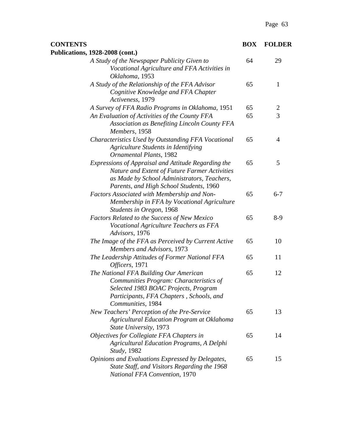| <b>CONTENTS</b>                                                                                                                                                                                | <b>BOX</b> | <b>FOLDER</b>  |
|------------------------------------------------------------------------------------------------------------------------------------------------------------------------------------------------|------------|----------------|
| <b>Publications, 1928-2008 (cont.)</b>                                                                                                                                                         |            |                |
| A Study of the Newspaper Publicity Given to<br>Vocational Agriculture and FFA Activities in<br>Oklahoma, 1953                                                                                  | 64         | 29             |
| A Study of the Relationship of the FFA Advisor<br>Cognitive Knowledge and FFA Chapter<br>Activeness, 1979                                                                                      | 65         | 1              |
| A Survey of FFA Radio Programs in Oklahoma, 1951                                                                                                                                               | 65         | $\overline{c}$ |
| An Evaluation of Activities of the County FFA<br>Association as Benefiting Lincoln County FFA<br>Members, 1958                                                                                 | 65         | 3              |
| Characteristics Used by Outstanding FFA Vocational<br>Agriculture Students in Identifying<br><b>Ornamental Plants</b> , 1982                                                                   | 65         | 4              |
| Expressions of Appraisal and Attitude Regarding the<br>Nature and Extent of Future Farmer Activities<br>as Made by School Administrators, Teachers,<br>Parents, and High School Students, 1960 | 65         | 5              |
| Factors Associated with Membership and Non-<br>Membership in FFA by Vocational Agriculture<br>Students in Oregon, 1968                                                                         | 65         | $6 - 7$        |
| <b>Factors Related to the Success of New Mexico</b><br>Vocational Agriculture Teachers as FFA<br>Advisors, 1976                                                                                | 65         | $8-9$          |
| The Image of the FFA as Perceived by Current Active<br>Members and Advisors, 1973                                                                                                              | 65         | 10             |
| The Leadership Attitudes of Former National FFA<br>Officers, 1971                                                                                                                              | 65         | 11             |
| The National FFA Building Our American<br>Communities Program: Characteristics of<br>Selected 1983 BOAC Projects, Program<br>Participants, FFA Chapters, Schools, and<br>Communities, 1984     | 65         | 12             |
| New Teachers' Perception of the Pre-Service<br><b>Agricultural Education Program at Oklahoma</b><br>State University, 1973                                                                     | 65         | 13             |
| Objectives for Collegiate FFA Chapters in<br><b>Agricultural Education Programs, A Delphi</b><br><i>Study</i> , 1982                                                                           | 65         | 14             |
| Opinions and Evaluations Expressed by Delegates,<br>State Staff, and Visitors Regarding the 1968<br>National FFA Convention, 1970                                                              | 65         | 15             |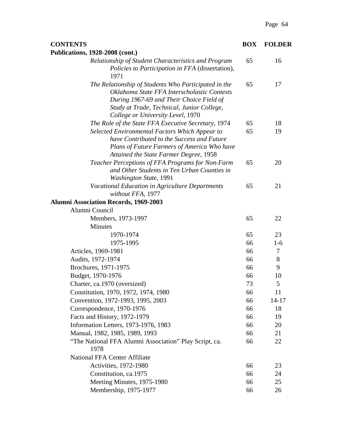| <b>CONTENTS</b>                                                                                                                                                                                                                    | <b>BOX</b> | <b>FOLDER</b> |
|------------------------------------------------------------------------------------------------------------------------------------------------------------------------------------------------------------------------------------|------------|---------------|
| <b>Publications, 1928-2008 (cont.)</b>                                                                                                                                                                                             |            |               |
| Relationship of Student Characteristics and Program<br>Policies to Participation in FFA (dissertation),<br>1971                                                                                                                    | 65         | 16            |
| The Relationship of Students Who Participated in the<br>Oklahoma State FFA Interscholastic Contests<br>During 1967-69 and Their Choice Field of<br>Study at Trade, Technical, Junior College,<br>College or University Level, 1970 | 65         | 17            |
| The Role of the State FFA Executive Secretary, 1974                                                                                                                                                                                | 65         | 18            |
| Selected Environmental Factors Which Appear to<br>have Contributed to the Success and Future<br>Plans of Future Farmers of America Who have<br>Attained the State Farmer Degree, 1958                                              | 65         | 19            |
| Teacher Perceptions of FFA Programs for Non-Farm<br>and Other Students in Ten Urban Counties in<br><b>Washington State, 1991</b>                                                                                                   | 65         | 20            |
| Vocational Education in Agriculture Departments<br>without FFA, 1977<br><b>Alumni Association Records, 1969-2003</b>                                                                                                               | 65         | 21            |
| Alumni Council                                                                                                                                                                                                                     |            |               |
| Members, 1973-1997                                                                                                                                                                                                                 | 65         | 22            |
| Minutes                                                                                                                                                                                                                            |            |               |
| 1970-1974                                                                                                                                                                                                                          | 65         | 23            |
| 1975-1995                                                                                                                                                                                                                          | 66         | $1-6$         |
| Articles, 1969-1981                                                                                                                                                                                                                | 66         | 7             |
| Audits, 1972-1974                                                                                                                                                                                                                  | 66         | 8             |
| Brochures, 1971-1975                                                                                                                                                                                                               | 66         | 9             |
| Budget, 1970-1976                                                                                                                                                                                                                  | 66         | 10            |
| Charter, ca.1970 (oversized)                                                                                                                                                                                                       | 73         | 5             |
| Constitution, 1970, 1972, 1974, 1980                                                                                                                                                                                               | 66         | 11            |
| Convention, 1972-1993, 1995, 2003                                                                                                                                                                                                  | 66         | $14 - 17$     |
| Correspondence, 1970-1976                                                                                                                                                                                                          | 66         | 18            |
| Facts and History, 1972-1979                                                                                                                                                                                                       | 66         | 19            |
| Information Letters, 1973-1976, 1983                                                                                                                                                                                               | 66         | 20            |
| Manual, 1982, 1985, 1989, 1993                                                                                                                                                                                                     | 66         | 21            |
| "The National FFA Alumni Association" Play Script, ca.<br>1978                                                                                                                                                                     | 66         | 22            |
| <b>National FFA Center Affiliate</b>                                                                                                                                                                                               |            |               |
| <b>Activities</b> , 1972-1980                                                                                                                                                                                                      | 66         | 23            |
| Constitution, ca.1975                                                                                                                                                                                                              | 66         | 24            |
| Meeting Minutes, 1975-1980                                                                                                                                                                                                         | 66         | 25            |
| Membership, 1975-1977                                                                                                                                                                                                              | 66         | 26            |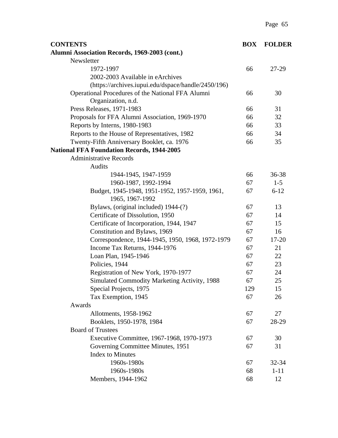| <b>CONTENTS</b>                                     | <b>BOX</b> | <b>FOLDER</b> |
|-----------------------------------------------------|------------|---------------|
| Alumni Association Records, 1969-2003 (cont.)       |            |               |
| Newsletter                                          |            |               |
| 1972-1997                                           | 66         | 27-29         |
| 2002-2003 Available in eArchives                    |            |               |
| (https://archives.iupui.edu/dspace/handle/2450/196) |            |               |
| Operational Procedures of the National FFA Alumni   | 66         | 30            |
| Organization, n.d.                                  |            |               |
| Press Releases, 1971-1983                           | 66         | 31            |
| Proposals for FFA Alumni Association, 1969-1970     | 66         | 32            |
| Reports by Interns, 1980-1983                       | 66         | 33            |
| Reports to the House of Representatives, 1982       | 66         | 34            |
| Twenty-Fifth Anniversary Booklet, ca. 1976          | 66         | 35            |
| <b>National FFA Foundation Records, 1944-2005</b>   |            |               |
| <b>Administrative Records</b>                       |            |               |
| <b>Audits</b>                                       |            |               |
| 1944-1945, 1947-1959                                | 66         | 36-38         |
| 1960-1987, 1992-1994                                | 67         | $1 - 5$       |
| Budget, 1945-1948, 1951-1952, 1957-1959, 1961,      | 67         | $6 - 12$      |
| 1965, 1967-1992                                     |            |               |
| Bylaws, (original included) 1944-(?)                | 67         | 13            |
| Certificate of Dissolution, 1950                    | 67         | 14            |
| Certificate of Incorporation, 1944, 1947            | 67         | 15            |
| Constitution and Bylaws, 1969                       | 67         | 16            |
| Correspondence, 1944-1945, 1950, 1968, 1972-1979    | 67         | $17 - 20$     |
| Income Tax Returns, 1944-1976                       | 67         | 21            |
| Loan Plan, 1945-1946                                | 67         | 22            |
| Policies, 1944                                      | 67         | 23            |
| Registration of New York, 1970-1977                 | 67         | 24            |
| Simulated Commodity Marketing Activity, 1988        | 67         | 25            |
| Special Projects, 1975                              | 129        | 15            |
| Tax Exemption, 1945                                 | 67         | 26            |
| Awards                                              |            |               |
| Allotments, 1958-1962                               | 67         | 27            |
| Booklets, 1950-1978, 1984                           | 67         | 28-29         |
| <b>Board of Trustees</b>                            |            |               |
| Executive Committee, 1967-1968, 1970-1973           | 67         | 30            |
| Governing Committee Minutes, 1951                   | 67         | 31            |
| <b>Index to Minutes</b>                             |            |               |
| 1960s-1980s                                         | 67         | 32-34         |
| 1960s-1980s                                         | 68         | $1 - 11$      |
| Members, 1944-1962                                  | 68         | 12            |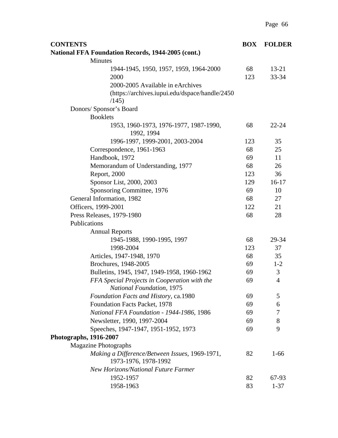| <b>CONTENTS</b>                                                        | <b>BOX</b> | <b>FOLDER</b>  |
|------------------------------------------------------------------------|------------|----------------|
| <b>National FFA Foundation Records, 1944-2005 (cont.)</b>              |            |                |
| <b>Minutes</b>                                                         |            |                |
| 1944-1945, 1950, 1957, 1959, 1964-2000                                 | 68         | $13 - 21$      |
| 2000                                                                   | 123        | $33 - 34$      |
| 2000-2005 Available in eArchives                                       |            |                |
| (https://archives.iupui.edu/dspace/handle/2450                         |            |                |
| /145)                                                                  |            |                |
| Donors/ Sponsor's Board                                                |            |                |
| <b>Booklets</b>                                                        |            |                |
| 1953, 1960-1973, 1976-1977, 1987-1990,<br>1992, 1994                   | 68         | $22 - 24$      |
| 1996-1997, 1999-2001, 2003-2004                                        | 123        | 35             |
| Correspondence, 1961-1963                                              | 68         | 25             |
| Handbook, 1972                                                         | 69         | 11             |
| Memorandum of Understanding, 1977                                      | 68         | 26             |
| Report, 2000                                                           | 123        | 36             |
| Sponsor List, 2000, 2003                                               | 129        | $16-17$        |
| Sponsoring Committee, 1976                                             | 69         | 10             |
| General Information, 1982                                              | 68         | 27             |
| Officers, 1999-2001                                                    | 122        | 21             |
| Press Releases, 1979-1980                                              | 68         | 28             |
| Publications                                                           |            |                |
| <b>Annual Reports</b>                                                  |            |                |
| 1945-1988, 1990-1995, 1997                                             | 68         | 29-34          |
| 1998-2004                                                              | 123        | 37             |
| Articles, 1947-1948, 1970                                              | 68         | 35             |
| Brochures, 1948-2005                                                   | 69         | $1 - 2$        |
| Bulletins, 1945, 1947, 1949-1958, 1960-1962                            | 69         | 3              |
| FFA Special Projects in Cooperation with the                           | 69         | $\overline{4}$ |
| <b>National Foundation, 1975</b>                                       |            |                |
| Foundation Facts and History, ca.1980                                  | 69         | 5              |
| Foundation Facts Packet, 1978                                          | 69         | 6              |
| National FFA Foundation - 1944-1986, 1986                              | 69         | 7              |
| Newsletter, 1990, 1997-2004                                            | 69         | 8              |
| Speeches, 1947-1947, 1951-1952, 1973                                   | 69         | 9              |
| Photographs, 1916-2007                                                 |            |                |
| <b>Magazine Photographs</b>                                            |            |                |
| Making a Difference/Between Issues, 1969-1971,<br>1973-1976, 1978-1992 | 82         | $1 - 66$       |
| <b>New Horizons/National Future Farmer</b>                             |            |                |
| 1952-1957                                                              | 82         | 67-93          |
| 1958-1963                                                              | 83         | $1 - 37$       |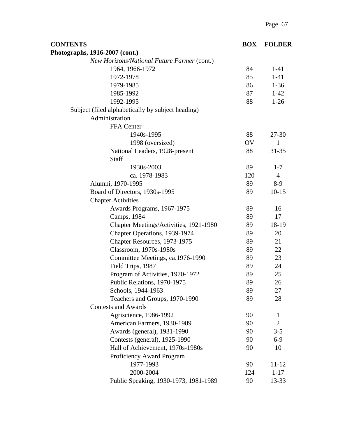| <b>CONTENTS</b>                                   | <b>BOX</b> | <b>FOLDER</b>  |
|---------------------------------------------------|------------|----------------|
| Photographs, 1916-2007 (cont.)                    |            |                |
| New Horizons/National Future Farmer (cont.)       |            |                |
| 1964, 1966-1972                                   | 84         | $1-41$         |
| 1972-1978                                         | 85         | $1-41$         |
| 1979-1985                                         | 86         | $1-36$         |
| 1985-1992                                         | 87         | $1 - 42$       |
| 1992-1995                                         | 88         | $1-26$         |
| Subject (filed alphabetically by subject heading) |            |                |
| Administration                                    |            |                |
| FFA Center                                        |            |                |
| 1940s-1995                                        | 88         | $27 - 30$      |
| 1998 (oversized)                                  | OV         | $\mathbf{1}$   |
| National Leaders, 1928-present                    | 88         | $31 - 35$      |
| Staff                                             |            |                |
| 1930s-2003                                        | 89         | $1 - 7$        |
| ca. 1978-1983                                     | 120        | $\overline{4}$ |
| Alumni, 1970-1995                                 | 89         | $8-9$          |
| Board of Directors, 1930s-1995                    | 89         | $10 - 15$      |
| <b>Chapter Activities</b>                         |            |                |
| Awards Programs, 1967-1975                        | 89         | 16             |
| Camps, 1984                                       | 89         | 17             |
| Chapter Meetings/Activities, 1921-1980            | 89         | 18-19          |
| Chapter Operations, 1939-1974                     | 89         | 20             |
| Chapter Resources, 1973-1975                      | 89         | 21             |
| Classroom, 1970s-1980s                            | 89         | 22             |
| Committee Meetings, ca.1976-1990                  | 89         | 23             |
| Field Trips, 1987                                 | 89         | 24             |
| Program of Activities, 1970-1972                  | 89         | 25             |
| Public Relations, 1970-1975                       | 89         | 26             |
| Schools, 1944-1963                                | 89         | 27             |
| Teachers and Groups, 1970-1990                    | 89         | 28             |
| <b>Contests and Awards</b>                        |            |                |
| Agriscience, 1986-1992                            | 90         | $\mathbf{1}$   |
| American Farmers, 1930-1989                       | 90         | $\overline{2}$ |
| Awards (general), 1931-1990                       | 90         | $3 - 5$        |
| Contests (general), 1925-1990                     | 90         | $6-9$          |
| Hall of Achievement, 1970s-1980s                  | 90         | 10             |
| Proficiency Award Program                         |            |                |
| 1977-1993                                         | 90         | 11-12          |
| 2000-2004                                         | 124        | $1 - 17$       |
| Public Speaking, 1930-1973, 1981-1989             | 90         | 13-33          |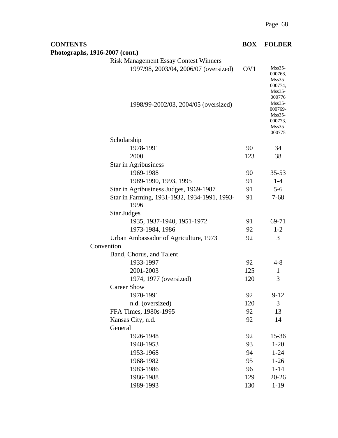| <b>CONTENTS</b>                                                                       | <b>BOX</b>      | <b>FOLDER</b>                                                                          |
|---------------------------------------------------------------------------------------|-----------------|----------------------------------------------------------------------------------------|
| Photographs, 1916-2007 (cont.)                                                        |                 |                                                                                        |
| <b>Risk Management Essay Contest Winners</b><br>1997/98, 2003/04, 2006/07 (oversized) | OV <sub>1</sub> | $M$ ss $35-$<br>000768,<br>$M$ ss $35-$<br>000774,<br>$Mss35-$                         |
| 1998/99-2002/03, 2004/05 (oversized)                                                  |                 | 000776<br>$M$ ss $35-$<br>000769-<br>$M$ ss $35-$<br>000773,<br>$M$ ss $35-$<br>000775 |
| Scholarship                                                                           |                 |                                                                                        |
| 1978-1991                                                                             | 90              | 34                                                                                     |
| 2000                                                                                  | 123             | 38                                                                                     |
| Star in Agribusiness                                                                  |                 |                                                                                        |
| 1969-1988                                                                             | 90              | $35 - 53$                                                                              |
| 1989-1990, 1993, 1995                                                                 | 91              | $1 - 4$                                                                                |
| Star in Agribusiness Judges, 1969-1987                                                | 91              | $5-6$                                                                                  |
| Star in Farming, 1931-1932, 1934-1991, 1993-<br>1996                                  | 91              | $7 - 68$                                                                               |
| <b>Star Judges</b>                                                                    |                 |                                                                                        |
| 1935, 1937-1940, 1951-1972                                                            | 91              | 69-71                                                                                  |
| 1973-1984, 1986                                                                       | 92              | $1 - 2$                                                                                |
| Urban Ambassador of Agriculture, 1973                                                 | 92              | 3                                                                                      |
| Convention                                                                            |                 |                                                                                        |
| Band, Chorus, and Talent                                                              |                 |                                                                                        |
| 1933-1997                                                                             | 92              | $4 - 8$                                                                                |
| 2001-2003                                                                             | 125             | $\mathbf{1}$                                                                           |
| 1974, 1977 (oversized)                                                                | 120             | 3                                                                                      |
| <b>Career Show</b>                                                                    |                 |                                                                                        |
| 1970-1991                                                                             | 92              | $9 - 12$                                                                               |
| n.d. (oversized)                                                                      | 120             | 3                                                                                      |
| FFA Times, 1980s-1995                                                                 | 92              | 13                                                                                     |
| Kansas City, n.d.                                                                     | 92              | 14                                                                                     |
| General                                                                               |                 |                                                                                        |
| 1926-1948                                                                             | 92              | $15 - 36$                                                                              |
| 1948-1953                                                                             | 93              | $1 - 20$                                                                               |
| 1953-1968                                                                             | 94              | $1 - 24$                                                                               |
| 1968-1982                                                                             | 95              | $1-26$                                                                                 |
| 1983-1986                                                                             | 96              | $1 - 14$                                                                               |
| 1986-1988                                                                             | 129             | $20 - 26$                                                                              |
| 1989-1993                                                                             | 130             | $1 - 19$                                                                               |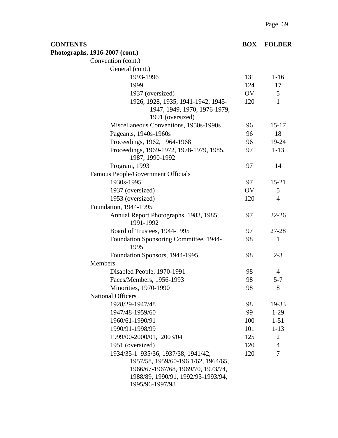| <b>CONTENTS</b> |                                                                                                                                                                           | <b>BOX</b> | <b>FOLDER</b>  |
|-----------------|---------------------------------------------------------------------------------------------------------------------------------------------------------------------------|------------|----------------|
|                 | Photographs, 1916-2007 (cont.)                                                                                                                                            |            |                |
|                 | Convention (cont.)                                                                                                                                                        |            |                |
|                 | General (cont.)                                                                                                                                                           |            |                |
|                 | 1993-1996                                                                                                                                                                 | 131        | $1 - 16$       |
|                 | 1999                                                                                                                                                                      | 124        | 17             |
|                 | 1937 (oversized)                                                                                                                                                          | OV         | 5              |
|                 | 1926, 1928, 1935, 1941-1942, 1945-<br>1947, 1949, 1970, 1976-1979,<br>1991 (oversized)                                                                                    | 120        | $\mathbf{1}$   |
|                 | Miscellaneous Conventions, 1950s-1990s                                                                                                                                    | 96         | $15 - 17$      |
|                 | Pageants, 1940s-1960s                                                                                                                                                     | 96         | 18             |
|                 | Proceedings, 1962, 1964-1968                                                                                                                                              | 96         | 19-24          |
|                 | Proceedings, 1969-1972, 1978-1979, 1985,<br>1987, 1990-1992                                                                                                               | 97         | $1 - 13$       |
|                 | Program, 1993                                                                                                                                                             | 97         | 14             |
|                 | Famous People/Government Officials                                                                                                                                        |            |                |
|                 | 1930s-1995                                                                                                                                                                | 97         | $15 - 21$      |
|                 | 1937 (oversized)                                                                                                                                                          | OV         | 5              |
|                 | 1953 (oversized)                                                                                                                                                          | 120        | $\overline{4}$ |
|                 | Foundation, 1944-1995                                                                                                                                                     |            |                |
|                 | Annual Report Photographs, 1983, 1985,<br>1991-1992                                                                                                                       | 97         | $22 - 26$      |
|                 | Board of Trustees, 1944-1995                                                                                                                                              | 97         | 27-28          |
|                 | Foundation Sponsoring Committee, 1944-<br>1995                                                                                                                            | 98         | 1              |
|                 | Foundation Sponsors, 1944-1995                                                                                                                                            | 98         | $2 - 3$        |
|                 | Members                                                                                                                                                                   |            |                |
|                 | Disabled People, 1970-1991                                                                                                                                                | 98         | $\overline{4}$ |
|                 | Faces/Members, 1956-1993                                                                                                                                                  | 98         | $5 - 7$        |
|                 | Minorities, 1970-1990                                                                                                                                                     | 98         | $\Omega$<br>ŏ  |
|                 | <b>National Officers</b>                                                                                                                                                  |            |                |
|                 | 1928/29-1947/48                                                                                                                                                           | 98         | 19-33          |
|                 | 1947/48-1959/60                                                                                                                                                           | 99         | $1-29$         |
|                 | 1960/61-1990/91                                                                                                                                                           | 100        | $1 - 51$       |
|                 | 1990/91-1998/99                                                                                                                                                           | 101        | $1 - 13$       |
|                 | 1999/00-2000/01, 2003/04                                                                                                                                                  | 125        | $\overline{2}$ |
|                 | 1951 (oversized)                                                                                                                                                          | 120        | $\overline{4}$ |
|                 | 1934/35-1 935/36, 1937/38, 1941/42,<br>1957/58, 1959/60-196 1/62, 1964/65,<br>1966/67-1967/68, 1969/70, 1973/74,<br>1988/89, 1990/91, 1992/93-1993/94,<br>1995/96-1997/98 | 120        | 7              |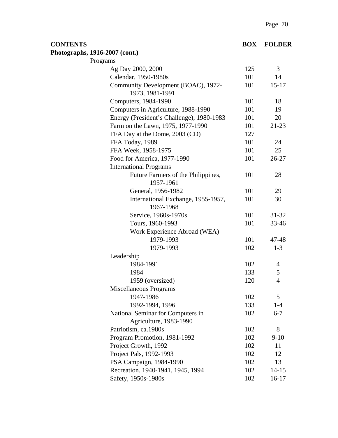| <b>CONTENTS</b>                |                                                             | <b>BOX</b> | <b>FOLDER</b>  |
|--------------------------------|-------------------------------------------------------------|------------|----------------|
| Photographs, 1916-2007 (cont.) |                                                             |            |                |
|                                | Programs                                                    |            |                |
|                                | Ag Day 2000, 2000                                           | 125        | 3              |
|                                | Calendar, 1950-1980s                                        | 101        | 14             |
|                                | Community Development (BOAC), 1972-<br>1973, 1981-1991      | 101        | $15 - 17$      |
|                                | Computers, 1984-1990                                        | 101        | 18             |
|                                | Computers in Agriculture, 1988-1990                         | 101        | 19             |
|                                | Energy (President's Challenge), 1980-1983                   | 101        | 20             |
|                                | Farm on the Lawn, 1975, 1977-1990                           | 101        | $21 - 23$      |
|                                | FFA Day at the Dome, 2003 (CD)                              | 127        |                |
|                                | FFA Today, 1989                                             | 101        | 24             |
|                                | FFA Week, 1958-1975                                         | 101        | 25             |
|                                | Food for America, 1977-1990                                 | 101        | $26 - 27$      |
|                                | <b>International Programs</b>                               |            |                |
|                                | Future Farmers of the Philippines,<br>1957-1961             | 101        | 28             |
|                                | General, 1956-1982                                          | 101        | 29             |
|                                | International Exchange, 1955-1957,<br>1967-1968             | 101        | 30             |
|                                | Service, 1960s-1970s                                        | 101        | $31 - 32$      |
|                                | Tours, 1960-1993                                            | 101        | 33-46          |
|                                | Work Experience Abroad (WEA)                                |            |                |
|                                | 1979-1993                                                   | 101        | 47-48          |
|                                | 1979-1993                                                   | 102        | $1 - 3$        |
|                                | Leadership                                                  |            |                |
|                                | 1984-1991                                                   | 102        | $\overline{4}$ |
|                                | 1984                                                        | 133        | 5              |
|                                | 1959 (oversized)                                            | 120        | $\overline{4}$ |
|                                | Miscellaneous Programs                                      |            |                |
|                                | 1947-1986                                                   | 102        | 5              |
|                                | 1992-1994, 1996                                             | 133        | $1-4$          |
|                                | National Seminar for Computers in<br>Agriculture, 1983-1990 | 102        | $6 - 7$        |
|                                | Patriotism, ca.1980s                                        | 102        | 8              |
|                                | Program Promotion, 1981-1992                                | 102        | $9-10$         |
|                                | Project Growth, 1992                                        | 102        | 11             |
|                                | Project Pals, 1992-1993                                     | 102        | 12             |
|                                | PSA Campaign, 1984-1990                                     | 102        | 13             |
|                                | Recreation. 1940-1941, 1945, 1994                           | 102        | $14 - 15$      |
|                                | Safety, 1950s-1980s                                         | 102        | $16-17$        |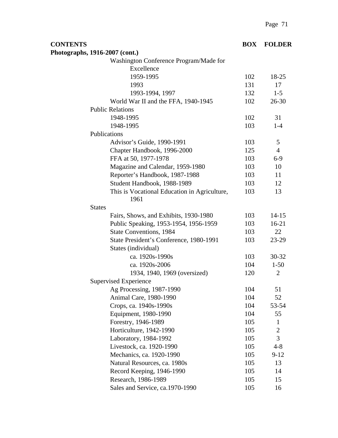| <b>CONTENTS</b>                                      | <b>BOX</b> | <b>FOLDER</b>  |
|------------------------------------------------------|------------|----------------|
| Photographs, 1916-2007 (cont.)                       |            |                |
| Washington Conference Program/Made for               |            |                |
| Excellence                                           |            |                |
| 1959-1995                                            | 102        | 18-25          |
| 1993                                                 | 131        | 17             |
| 1993-1994, 1997                                      | 132        | $1 - 5$        |
| World War II and the FFA, 1940-1945                  | 102        | $26 - 30$      |
| <b>Public Relations</b>                              |            |                |
| 1948-1995                                            | 102        | 31             |
| 1948-1995                                            | 103        | $1-4$          |
| Publications                                         |            |                |
| Advisor's Guide, 1990-1991                           | 103        | 5              |
| Chapter Handbook, 1996-2000                          | 125        | $\overline{4}$ |
| FFA at 50, 1977-1978                                 | 103        | $6-9$          |
| Magazine and Calendar, 1959-1980                     | 103        | 10             |
| Reporter's Handbook, 1987-1988                       | 103        | 11             |
| Student Handbook, 1988-1989                          | 103        | 12             |
| This is Vocational Education in Agriculture,<br>1961 | 103        | 13             |
| <b>States</b>                                        |            |                |
| Fairs, Shows, and Exhibits, 1930-1980                | 103        | $14 - 15$      |
| Public Speaking, 1953-1954, 1956-1959                | 103        | $16-21$        |
| <b>State Conventions, 1984</b>                       | 103        | 22             |
| State President's Conference, 1980-1991              | 103        | $23-29$        |
| States (individual)                                  |            |                |
| ca. 1920s-1990s                                      | 103        | 30-32          |
| ca. 1920s-2006                                       | 104        | $1-50$         |
| 1934, 1940, 1969 (oversized)                         | 120        | $\overline{2}$ |
| <b>Supervised Experience</b>                         |            |                |
| Ag Processing, 1987-1990                             | 104        | 51             |
| Animal Care, 1980-1990                               | 104        | 52             |
| Crops, ca. 1940s-1990s                               | 104        | 53-54          |
| Equipment, 1980-1990                                 | 104        | 55             |
| Forestry, 1946-1989                                  | 105        | 1              |
| Horticulture, 1942-1990                              | 105        | $\overline{2}$ |
| Laboratory, 1984-1992                                | 105        | 3              |
| Livestock, ca. 1920-1990                             | 105        | $4 - 8$        |
| Mechanics, ca. 1920-1990                             | 105        | $9 - 12$       |
| Natural Resources, ca. 1980s                         | 105        | 13             |
| Record Keeping, 1946-1990                            | 105        | 14             |
| Research, 1986-1989                                  | 105        | 15             |
| Sales and Service, ca.1970-1990                      | 105        | 16             |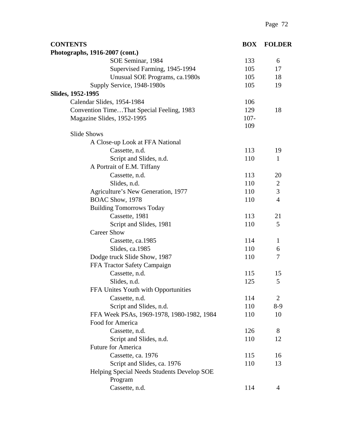| <b>CONTENTS</b>                            | <b>BOX</b> | <b>FOLDER</b>  |
|--------------------------------------------|------------|----------------|
| Photographs, 1916-2007 (cont.)             |            |                |
| SOE Seminar, 1984                          | 133        | 6              |
| Supervised Farming, 1945-1994              | 105        | 17             |
| Unusual SOE Programs, ca.1980s             | 105        | 18             |
| Supply Service, 1948-1980s                 | 105        | 19             |
| Slides, 1952-1995                          |            |                |
| Calendar Slides, 1954-1984                 | 106        |                |
| Convention TimeThat Special Feeling, 1983  | 129        | 18             |
| Magazine Slides, 1952-1995                 | $107 -$    |                |
|                                            | 109        |                |
| <b>Slide Shows</b>                         |            |                |
| A Close-up Look at FFA National            |            |                |
| Cassette, n.d.                             | 113        | 19             |
| Script and Slides, n.d.                    | 110        | $\mathbf{1}$   |
| A Portrait of E.M. Tiffany                 |            |                |
| Cassette, n.d.                             | 113        | 20             |
| Slides, n.d.                               | 110        | $\overline{2}$ |
| Agriculture's New Generation, 1977         | 110        | 3              |
| BOAC Show, 1978                            | 110        | $\overline{4}$ |
| <b>Building Tomorrows Today</b>            |            |                |
| Cassette, 1981                             | 113        | 21             |
| Script and Slides, 1981                    | 110        | 5              |
| <b>Career Show</b>                         |            |                |
| Cassette, ca.1985                          | 114        | $\mathbf{1}$   |
| Slides, ca.1985                            | 110        | 6              |
| Dodge truck Slide Show, 1987               | 110        | 7              |
| FFA Tractor Safety Campaign                |            |                |
| Cassette, n.d.                             | 115        | 15             |
| Slides, n.d.                               | 125        | 5              |
| FFA Unites Youth with Opportunities        |            |                |
| Cassette, n.d.                             | 114        | $\overline{2}$ |
| Script and Slides, n.d.                    | 110        | $8-9$          |
| FFA Week PSAs, 1969-1978, 1980-1982, 1984  | 110        | 10             |
| Food for America                           |            |                |
| Cassette, n.d.                             | 126        | 8              |
| Script and Slides, n.d.                    | 110        | 12             |
| <b>Future for America</b>                  |            |                |
| Cassette, ca. 1976                         | 115        | 16             |
| Script and Slides, ca. 1976                | 110        | 13             |
| Helping Special Needs Students Develop SOE |            |                |
| Program                                    |            |                |
| Cassette, n.d.                             | 114        | $\overline{4}$ |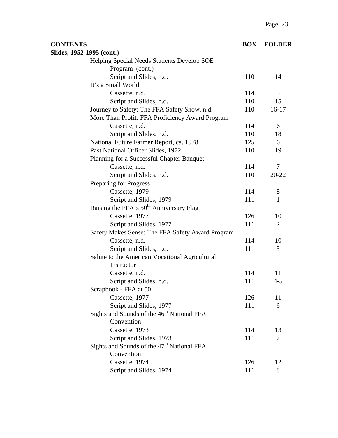| <b>CONTENTS</b>                                        | <b>BOX</b> | <b>FOLDER</b>  |
|--------------------------------------------------------|------------|----------------|
| Slides, 1952-1995 (cont.)                              |            |                |
| Helping Special Needs Students Develop SOE             |            |                |
| Program (cont.)                                        |            |                |
| Script and Slides, n.d.                                | 110        | 14             |
| It's a Small World                                     |            |                |
| Cassette, n.d.                                         | 114        | 5              |
| Script and Slides, n.d.                                | 110        | 15             |
| Journey to Safety: The FFA Safety Show, n.d.           | 110        | $16-17$        |
| More Than Profit: FFA Proficiency Award Program        |            |                |
| Cassette, n.d.                                         | 114        | 6              |
| Script and Slides, n.d.                                | 110        | 18             |
| National Future Farmer Report, ca. 1978                | 125        | 6              |
| Past National Officer Slides, 1972                     | 110        | 19             |
| Planning for a Successful Chapter Banquet              |            |                |
| Cassette, n.d.                                         | 114        | 7              |
| Script and Slides, n.d.                                | 110        | $20 - 22$      |
| Preparing for Progress                                 |            |                |
| Cassette, 1979                                         | 114        | 8              |
| Script and Slides, 1979                                | 111        | 1              |
| Raising the FFA's 50 <sup>th</sup> Anniversary Flag    |            |                |
| Cassette, 1977                                         | 126        | 10             |
| Script and Slides, 1977                                | 111        | $\overline{2}$ |
| Safety Makes Sense: The FFA Safety Award Program       |            |                |
| Cassette, n.d.                                         | 114        | 10             |
| Script and Slides, n.d.                                | 111        | 3              |
| Salute to the American Vocational Agricultural         |            |                |
| Instructor                                             |            |                |
| Cassette, n.d.                                         | 114        | 11             |
| Script and Slides, n.d.                                | 111        | $4 - 5$        |
| Scrapbook - FFA at 50                                  |            |                |
| Cassette, 1977                                         | 126        | 11             |
| Script and Slides, 1977                                | 111        | 6              |
| Sights and Sounds of the 46 <sup>th</sup> National FFA |            |                |
| Convention                                             |            |                |
| Cassette, 1973                                         | 114        | 13             |
| Script and Slides, 1973                                | 111        | 7              |
| Sights and Sounds of the 47 <sup>th</sup> National FFA |            |                |
| Convention                                             |            |                |
| Cassette, 1974                                         | 126        | 12             |
| Script and Slides, 1974                                | 111        | 8              |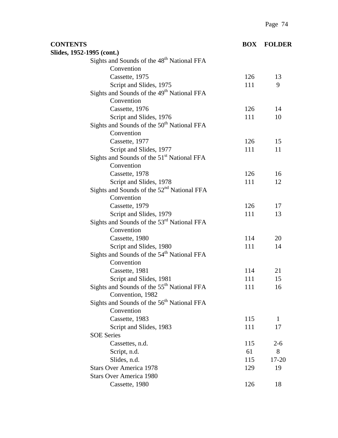| <b>CONTENTS</b>                                        | <b>BOX</b> | <b>FOLDER</b> |
|--------------------------------------------------------|------------|---------------|
| Slides, 1952-1995 (cont.)                              |            |               |
| Sights and Sounds of the 48 <sup>th</sup> National FFA |            |               |
| Convention                                             |            |               |
| Cassette, 1975                                         | 126        | 13            |
| Script and Slides, 1975                                | 111        | 9             |
| Sights and Sounds of the 49 <sup>th</sup> National FFA |            |               |
| Convention                                             |            |               |
| Cassette, 1976                                         | 126        | 14            |
| Script and Slides, 1976                                | 111        | 10            |
| Sights and Sounds of the 50 <sup>th</sup> National FFA |            |               |
| Convention                                             |            |               |
| Cassette, 1977                                         | 126        | 15            |
| Script and Slides, 1977                                | 111        | 11            |
| Sights and Sounds of the 51 <sup>st</sup> National FFA |            |               |
| Convention                                             |            |               |
| Cassette, 1978                                         | 126        | 16            |
| Script and Slides, 1978                                | 111        | 12            |
| Sights and Sounds of the $52nd$ National FFA           |            |               |
| Convention                                             |            |               |
| Cassette, 1979                                         | 126        | 17            |
| Script and Slides, 1979                                | 111        | 13            |
| Sights and Sounds of the 53 <sup>rd</sup> National FFA |            |               |
| Convention                                             |            |               |
| Cassette, 1980                                         | 114        | 20            |
| Script and Slides, 1980                                | 111        | 14            |
| Sights and Sounds of the 54 <sup>th</sup> National FFA |            |               |
| Convention                                             |            |               |
| Cassette, 1981                                         | 114        | 21            |
| Script and Slides, 1981                                | 111        | 15            |
| Sights and Sounds of the 55 <sup>th</sup> National FFA | 111        | 16            |
| Convention, 1982                                       |            |               |
| Sights and Sounds of the 56 <sup>th</sup> National FFA |            |               |
| Convention                                             |            |               |
| Cassette, 1983                                         | 115        | 1             |
| Script and Slides, 1983                                | 111        | 17            |
| <b>SOE Series</b>                                      |            |               |
| Cassettes, n.d.                                        | 115        | $2 - 6$       |
| Script, n.d.                                           | 61         | 8             |
| Slides, n.d.                                           | 115        | $17 - 20$     |
| <b>Stars Over America 1978</b>                         | 129        | 19            |
| <b>Stars Over America 1980</b>                         |            |               |
| Cassette, 1980                                         | 126        | 18            |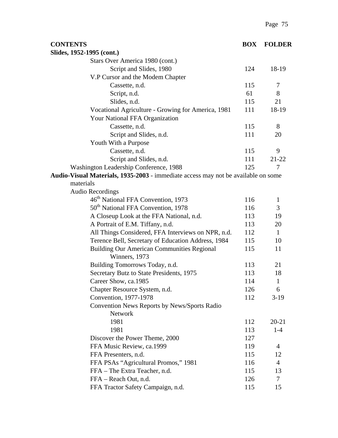| <b>CONTENTS</b>                                                                   | <b>BOX</b> | <b>FOLDER</b>  |
|-----------------------------------------------------------------------------------|------------|----------------|
| Slides, 1952-1995 (cont.)                                                         |            |                |
| Stars Over America 1980 (cont.)                                                   |            |                |
| Script and Slides, 1980                                                           | 124        | 18-19          |
| V.P Cursor and the Modem Chapter                                                  |            |                |
| Cassette, n.d.                                                                    | 115        | 7              |
| Script, n.d.                                                                      | 61         | 8              |
| Slides, n.d.                                                                      | 115        | 21             |
| Vocational Agriculture - Growing for America, 1981                                | 111        | 18-19          |
| Your National FFA Organization                                                    |            |                |
| Cassette, n.d.                                                                    | 115        | 8              |
| Script and Slides, n.d.                                                           | 111        | 20             |
| Youth With a Purpose                                                              |            |                |
| Cassette, n.d.                                                                    | 115        | 9              |
| Script and Slides, n.d.                                                           | 111        | $21 - 22$      |
| Washington Leadership Conference, 1988                                            | 125        | 7              |
| Audio-Visual Materials, 1935-2003 - immediate access may not be available on some |            |                |
| materials                                                                         |            |                |
| <b>Audio Recordings</b>                                                           |            |                |
| 46 <sup>th</sup> National FFA Convention, 1973                                    | 116        | $\mathbf{1}$   |
| 50 <sup>th</sup> National FFA Convention, 1978                                    | 116        | 3              |
| A Closeup Look at the FFA National, n.d.                                          | 113        | 19             |
| A Portrait of E.M. Tiffany, n.d.                                                  | 113        | 20             |
| All Things Considered, FFA Interviews on NPR, n.d.                                | 112        | $\mathbf{1}$   |
| Terence Bell, Secretary of Education Address, 1984                                | 115        | 10             |
| <b>Building Our American Communities Regional</b><br>Winners, 1973                | 115        | 11             |
| Building Tomorrows Today, n.d.                                                    | 113        | 21             |
| Secretary Butz to State Presidents, 1975                                          | 113        | 18             |
| Career Show, ca.1985                                                              | 114        | 1              |
| Chapter Resource System, n.d.                                                     | 126        | 6              |
| Convention, 1977-1978                                                             | 112        | $3-19$         |
| Convention News Reports by News/Sports Radio<br>Network                           |            |                |
| 1981                                                                              | 112        | $20 - 21$      |
| 1981                                                                              | 113        | $1-4$          |
| Discover the Power Theme, 2000                                                    | 127        |                |
| FFA Music Review, ca.1999                                                         | 119        | 4              |
| FFA Presenters, n.d.                                                              | 115        | 12             |
| FFA PSAs "Agricultural Promos," 1981                                              | 116        | $\overline{4}$ |
| FFA – The Extra Teacher, n.d.                                                     | 115        | 13             |
| FFA - Reach Out, n.d.                                                             | 126        | $\overline{7}$ |
| FFA Tractor Safety Campaign, n.d.                                                 | 115        | 15             |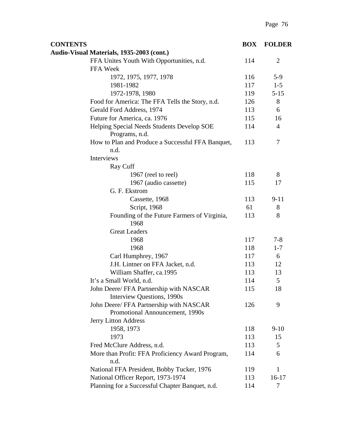| <b>CONTENTS</b>                                                            | <b>BOX</b> | <b>FOLDER</b>  |
|----------------------------------------------------------------------------|------------|----------------|
| Audio-Visual Materials, 1935-2003 (cont.)                                  |            |                |
| FFA Unites Youth With Opportunities, n.d.                                  | 114        | $\overline{2}$ |
| FFA Week                                                                   |            |                |
| 1972, 1975, 1977, 1978                                                     | 116        | $5-9$          |
| 1981-1982                                                                  | 117        | $1 - 5$        |
| 1972-1978, 1980                                                            | 119        | $5 - 15$       |
| Food for America: The FFA Tells the Story, n.d.                            | 126        | 8              |
| Gerald Ford Address, 1974                                                  | 113        | 6              |
| Future for America, ca. 1976                                               | 115        | 16             |
| Helping Special Needs Students Develop SOE                                 | 114        | $\overline{4}$ |
| Programs, n.d.                                                             |            |                |
| How to Plan and Produce a Successful FFA Banquet,                          | 113        | 7              |
| n.d.                                                                       |            |                |
| Interviews                                                                 |            |                |
| Ray Cuff                                                                   |            |                |
| 1967 (reel to reel)                                                        | 118        | 8              |
| 1967 (audio cassette)                                                      | 115        | 17             |
| G. F. Ekstrom                                                              |            |                |
| Cassette, 1968                                                             | 113        | $9 - 11$       |
| Script, 1968                                                               | 61         | 8              |
| Founding of the Future Farmers of Virginia,<br>1968                        | 113        | 8              |
| <b>Great Leaders</b>                                                       |            |                |
| 1968                                                                       | 117        | $7 - 8$        |
| 1968                                                                       | 118        | $1 - 7$        |
| Carl Humphrey, 1967                                                        | 117        | 6              |
| J.H. Lintner on FFA Jacket, n.d.                                           | 113        | 12             |
| William Shaffer, ca.1995                                                   | 113        | 13             |
| It's a Small World, n.d.                                                   | 114        | 5              |
| John Deere/ FFA Partnership with NASCAR<br>Interview Questions, 1990s      | 115        | 18             |
| John Deere/ FFA Partnership with NASCAR<br>Promotional Announcement, 1990s | 126        | 9              |
| Jerry Litton Address                                                       |            |                |
| 1958, 1973                                                                 | 118        | $9-10$         |
| 1973                                                                       | 113        | 15             |
| Fred McClure Address, n.d.                                                 | 113        | 5              |
| More than Profit: FFA Proficiency Award Program,<br>n.d.                   | 114        | 6              |
| National FFA President, Bobby Tucker, 1976                                 | 119        | 1              |
| National Officer Report, 1973-1974                                         | 113        | $16-17$        |
| Planning for a Successful Chapter Banquet, n.d.                            | 114        | 7              |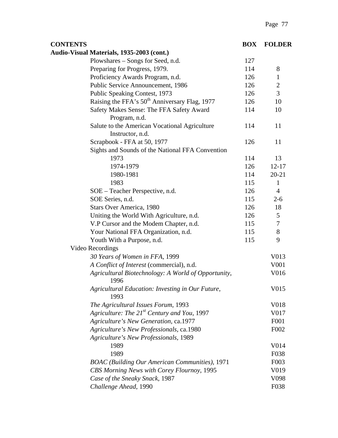| <b>CONTENTS</b>                                                   | <b>BOX</b> | <b>FOLDER</b>    |
|-------------------------------------------------------------------|------------|------------------|
| Audio-Visual Materials, 1935-2003 (cont.)                         |            |                  |
| Plowshares – Songs for Seed, n.d.                                 | 127        |                  |
| Preparing for Progress, 1979.                                     | 114        | 8                |
| Proficiency Awards Program, n.d.                                  | 126        | $\mathbf{1}$     |
| Public Service Announcement, 1986                                 | 126        | $\overline{2}$   |
| Public Speaking Contest, 1973                                     | 126        | 3                |
| Raising the FFA's 50 <sup>th</sup> Anniversary Flag, 1977         | 126        | 10               |
| Safety Makes Sense: The FFA Safety Award<br>Program, n.d.         | 114        | 10               |
| Salute to the American Vocational Agriculture<br>Instructor, n.d. | 114        | 11               |
| Scrapbook - FFA at 50, 1977                                       | 126        | 11               |
| Sights and Sounds of the National FFA Convention                  |            |                  |
| 1973                                                              | 114        | 13               |
| 1974-1979                                                         | 126        | $12 - 17$        |
| 1980-1981                                                         | 114        | $20 - 21$        |
| 1983                                                              | 115        | $\mathbf{1}$     |
| SOE - Teacher Perspective, n.d.                                   | 126        | $\overline{4}$   |
| SOE Series, n.d.                                                  | 115        | $2 - 6$          |
| Stars Over America, 1980                                          | 126        | 18               |
| Uniting the World With Agriculture, n.d.                          | 126        | 5                |
| V.P Cursor and the Modem Chapter, n.d.                            | 115        | $\tau$           |
| Your National FFA Organization, n.d.                              | 115        | 8                |
| Youth With a Purpose, n.d.                                        | 115        | 9                |
| Video Recordings                                                  |            |                  |
| 30 Years of Women in FFA, 1999                                    |            | V013             |
| A Conflict of Interest (commercial), n.d.                         |            | V <sub>001</sub> |
| Agricultural Biotechnology: A World of Opportunity,<br>1996       |            | V016             |
| Agricultural Education: Investing in Our Future,<br>1993          |            | V015             |
| The Agricultural Issues Forum, 1993                               |            | V018             |
| Agriculture: The 21 <sup>st</sup> Century and You, 1997           |            | V017             |
| Agriculture's New Generation, ca.1977                             |            | F <sub>001</sub> |
| Agriculture's New Professionals, ca.1980                          |            | F002             |
| <b>Agriculture's New Professionals, 1989</b>                      |            |                  |
| 1989                                                              |            | V014             |
| 1989                                                              |            | F038             |
| <b>BOAC</b> (Building Our American Communities), 1971             |            | F <sub>003</sub> |
| CBS Morning News with Corey Flournoy, 1995                        |            | V019             |
| Case of the Sneaky Snack, 1987                                    |            | V <sub>098</sub> |
| Challenge Ahead, 1990                                             |            | F038             |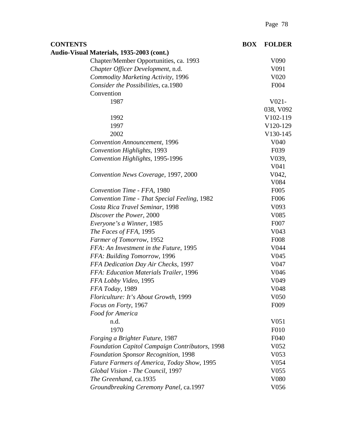| <b>CONTENTS</b> |                                                    | <b>BOX</b> | <b>FOLDER</b>         |
|-----------------|----------------------------------------------------|------------|-----------------------|
|                 | Audio-Visual Materials, 1935-2003 (cont.)          |            |                       |
|                 | Chapter/Member Opportunities, ca. 1993             |            | V <sub>090</sub>      |
|                 | Chapter Officer Development, n.d.                  |            | V091                  |
|                 | <b>Commodity Marketing Activity, 1996</b>          |            | V <sub>0</sub> 20     |
|                 | Consider the Possibilities, ca.1980                |            | F004                  |
|                 | Convention                                         |            |                       |
|                 | 1987                                               |            | $V021-$               |
|                 |                                                    |            | 038, V092             |
|                 | 1992                                               |            | V <sub>102</sub> -119 |
|                 | 1997                                               |            | V120-129              |
|                 | 2002                                               |            | V130-145              |
|                 | <b>Convention Announcement</b> , 1996              |            | V <sub>040</sub>      |
|                 | Convention Highlights, 1993                        |            | F <sub>0</sub> 39     |
|                 | Convention Highlights, 1995-1996                   |            | V039,                 |
|                 |                                                    |            | V <sub>041</sub>      |
|                 | Convention News Coverage, 1997, 2000               |            | V042,                 |
|                 |                                                    |            | V084                  |
|                 | Convention Time - FFA, 1980                        |            | F <sub>005</sub>      |
|                 | Convention Time - That Special Feeling, 1982       |            | F006                  |
|                 | Costa Rica Travel Seminar, 1998                    |            | V <sub>093</sub>      |
|                 | Discover the Power, 2000                           |            | V <sub>0</sub> 85     |
|                 | Everyone's a Winner, 1985                          |            | F <sub>007</sub>      |
|                 | The Faces of FFA, 1995                             |            | V043                  |
|                 | Farmer of Tomorrow, 1952                           |            | <b>F008</b>           |
|                 | FFA: An Investment in the Future, 1995             |            | V044                  |
|                 | FFA: Building Tomorrow, 1996                       |            | V <sub>045</sub>      |
|                 | FFA Dedication Day Air Checks, 1997                |            | V047                  |
|                 | FFA: Education Materials Trailer, 1996             |            | V046                  |
|                 | FFA Lobby Video, 1995                              |            | V <sub>049</sub>      |
|                 | FFA Today, 1989                                    |            | V048                  |
|                 | Floriculture: It's About Growth, 1999              |            | V <sub>050</sub>      |
|                 | Focus on Forty, 1967                               |            | F <sub>009</sub>      |
|                 | Food for America                                   |            |                       |
|                 | n.d.                                               |            | V <sub>051</sub>      |
|                 | 1970                                               |            | F010                  |
|                 | Forging a Brighter Future, 1987                    |            | F <sub>04</sub> 0     |
|                 | Foundation Capitol Campaign Contributors, 1998     |            | V <sub>052</sub>      |
|                 | <b>Foundation Sponsor Recognition, 1998</b>        |            | V <sub>053</sub>      |
|                 | <b>Future Farmers of America, Today Show, 1995</b> |            | V <sub>054</sub>      |
|                 | Global Vision - The Council, 1997                  |            | V <sub>055</sub>      |
|                 | The Greenhand, ca.1935                             |            | V <sub>0</sub> 80     |
|                 | Groundbreaking Ceremony Panel, ca.1997             |            | V056                  |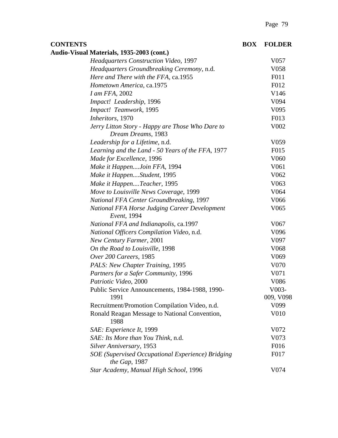| <b>CONTENTS</b>                                                        | <b>BOX</b> | <b>FOLDER</b>    |
|------------------------------------------------------------------------|------------|------------------|
| Audio-Visual Materials, 1935-2003 (cont.)                              |            |                  |
| <b>Headquarters Construction Video, 1997</b>                           |            | V057             |
| Headquarters Groundbreaking Ceremony, n.d.                             |            | V <sub>058</sub> |
| Here and There with the FFA, ca.1955                                   |            | F011             |
| Hometown America, ca.1975                                              |            | F012             |
| <i>I am FFA</i> , 2002                                                 |            | V146             |
| Impact! Leadership, 1996                                               |            | V094             |
| Impact! Teamwork, 1995                                                 |            | V <sub>095</sub> |
| Inheritors, 1970                                                       |            | F013             |
| Jerry Litton Story - Happy are Those Who Dare to<br>Dream Dreams, 1983 |            | V002             |
| Leadership for a Lifetime, n.d.                                        |            | V <sub>059</sub> |
| Learning and the Land - 50 Years of the FFA, 1977                      |            | F <sub>015</sub> |
| Made for Excellence, 1996                                              |            | V <sub>060</sub> |
| Make it HappenJoin FFA, 1994                                           |            | V <sub>061</sub> |
| Make it HappenStudent, 1995                                            |            | V <sub>062</sub> |
| Make it HappenTeacher, 1995                                            |            | V <sub>063</sub> |
| Move to Louisville News Coverage, 1999                                 |            | V064             |
| National FFA Center Groundbreaking, 1997                               |            | V066             |
| <b>National FFA Horse Judging Career Development</b><br>Event, 1994    |            | V <sub>065</sub> |
| National FFA and Indianapolis, ca.1997                                 |            | V <sub>067</sub> |
| National Officers Compilation Video, n.d.                              |            | V <sub>096</sub> |
| New Century Farmer, 2001                                               |            | V097             |
| On the Road to Louisville, 1998                                        |            | V <sub>068</sub> |
| Over 200 Careers, 1985                                                 |            | V <sub>069</sub> |
| PALS: New Chapter Training, 1995                                       |            | V070             |
| Partners for a Safer Community, 1996                                   |            | V071             |
| Patriotic Video, 2000                                                  |            | V086             |
| Public Service Announcements, 1984-1988, 1990-                         |            | V003-            |
| 1991                                                                   |            | 009, V098        |
| Recruitment/Promotion Compilation Video, n.d.                          |            | V <sub>099</sub> |
| Ronald Reagan Message to National Convention,<br>1988                  |            | V010             |
| SAE: Experience It, 1999                                               |            | V072             |
| SAE: Its More than You Think, n.d.                                     |            | V073             |
| Silver Anniversary, 1953                                               |            | F016             |
| SOE (Supervised Occupational Experience) Bridging<br>the Gap, 1987     |            | F017             |
| Star Academy, Manual High School, 1996                                 |            | V074             |